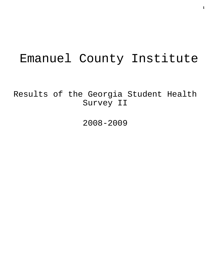# Emanuel County Institute

Results of the Georgia Student Health Survey II

2008-2009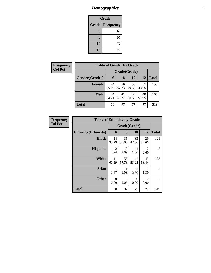### *Demographics* **2**

| Grade                     |    |  |  |  |  |
|---------------------------|----|--|--|--|--|
| Grade<br><b>Frequency</b> |    |  |  |  |  |
| 6                         | 68 |  |  |  |  |
| 8                         | 97 |  |  |  |  |
| 10                        | 77 |  |  |  |  |
| 12                        | 77 |  |  |  |  |

| <b>Frequency</b> | <b>Table of Gender by Grade</b> |              |             |             |             |              |  |
|------------------|---------------------------------|--------------|-------------|-------------|-------------|--------------|--|
| <b>Col Pct</b>   |                                 | Grade(Grade) |             |             |             |              |  |
|                  | Gender(Gender)                  | 6            | 8           | 10          | 12          | <b>Total</b> |  |
|                  | <b>Female</b>                   | 24<br>35.29  | 56<br>57.73 | 38<br>49.35 | 37<br>48.05 | 155          |  |
|                  | <b>Male</b>                     | 44<br>64.71  | 41<br>42.27 | 39<br>50.65 | 40<br>51.95 | 164          |  |
|                  | <b>Total</b>                    | 68           | 97          | 77          | 77          | 319          |  |

| <b>Frequency</b> | <b>Table of Ethnicity by Grade</b> |                  |                        |                        |                        |                |
|------------------|------------------------------------|------------------|------------------------|------------------------|------------------------|----------------|
| <b>Col Pct</b>   |                                    | Grade(Grade)     |                        |                        |                        |                |
|                  | <b>Ethnicity</b> (Ethnicity)       | 6                | 8                      | 10                     | 12                     | <b>Total</b>   |
|                  | <b>Black</b>                       | 24<br>35.29      | 35<br>36.08            | 33<br>42.86            | 29<br>37.66            | 121            |
|                  | <b>Hispanic</b>                    | 2<br>2.94        | 3<br>3.09              | 1<br>1.30              | $\mathfrak{D}$<br>2.60 | 8              |
|                  | <b>White</b>                       | 41<br>60.29      | 56<br>57.73            | 41<br>53.25            | 45<br>58.44            | 183            |
|                  | <b>Asian</b>                       | 1<br>1.47        | 1.03                   | $\overline{c}$<br>2.60 | 1.30                   | 5              |
|                  | <b>Other</b>                       | $\theta$<br>0.00 | $\overline{2}$<br>2.06 | $\theta$<br>0.00       | $\Omega$<br>0.00       | $\overline{2}$ |
|                  | <b>Total</b>                       | 68               | 97                     | 77                     | 77                     | 319            |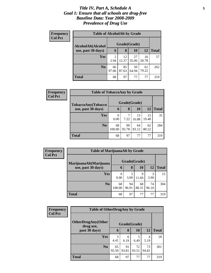#### *Title IV, Part A, Schedule A* **3** *Goal 1: Ensure that all schools are drug-free Baseline Data: Year 2008-2009 Prevalence of Drug Use*

| Frequency<br><b>Col Pct</b> | <b>Table of AlcoholAlt by Grade</b> |                        |             |             |             |              |  |  |  |
|-----------------------------|-------------------------------------|------------------------|-------------|-------------|-------------|--------------|--|--|--|
|                             | AlcoholAlt(Alcohol                  | Grade(Grade)           |             |             |             |              |  |  |  |
|                             | use, past 30 days)                  | 6                      | 8           | <b>10</b>   | 12          | <b>Total</b> |  |  |  |
|                             | Yes                                 | $\overline{c}$<br>2.94 | 12<br>12.37 | 27<br>35.06 | 16<br>20.78 | 57           |  |  |  |
|                             | N <sub>0</sub>                      | 66<br>97.06            | 85<br>87.63 | 50<br>64.94 | 61<br>79.22 | 262          |  |  |  |
|                             | Total                               | 68                     | 97          | 77          | 77          | 319          |  |  |  |

| Frequency<br><b>Col Pct</b> | <b>Table of TobaccoAny by Grade</b>      |              |              |             |             |              |  |
|-----------------------------|------------------------------------------|--------------|--------------|-------------|-------------|--------------|--|
|                             | TobaccoAny(Tobacco<br>use, past 30 days) |              | Grade(Grade) |             |             |              |  |
|                             |                                          | 6            | 8            | 10          | 12          | <b>Total</b> |  |
|                             | <b>Yes</b>                               | 0.00         | 7<br>7.22    | 13<br>16.88 | 15<br>19.48 | 35           |  |
|                             | N <sub>0</sub>                           | 68<br>100.00 | 90<br>92.78  | 64<br>83.12 | 62<br>80.52 | 284          |  |
|                             | <b>Total</b>                             | 68           | 97           | 77          | 77          | 319          |  |

| Frequency      | <b>Table of MarijuanaAlt by Grade</b>        |              |             |             |             |              |
|----------------|----------------------------------------------|--------------|-------------|-------------|-------------|--------------|
| <b>Col Pct</b> | MarijuanaAlt(Marijuana<br>use, past 30 days) | Grade(Grade) |             |             |             |              |
|                |                                              | 6            | 8           | 10          | 12          | <b>Total</b> |
|                | Yes                                          | 0<br>0.00    | 3<br>3.09   | 9<br>11.69  | 3<br>3.90   | 15           |
|                | N <sub>0</sub>                               | 68<br>100.00 | 94<br>96.91 | 68<br>88.31 | 74<br>96.10 | 304          |
|                | <b>Total</b>                                 | 68           | 97          | 77          | 77          | 319          |

| Frequency      | <b>Table of OtherDrugAny by Grade</b>  |             |              |             |             |              |
|----------------|----------------------------------------|-------------|--------------|-------------|-------------|--------------|
| <b>Col Pct</b> | <b>OtherDrugAny(Other</b><br>drug use, |             | Grade(Grade) |             |             |              |
|                | past 30 days)                          | 6           | 8            | 10          | 12          | <b>Total</b> |
|                | <b>Yes</b>                             | 3<br>4.41   | 6<br>6.19    | 5<br>6.49   | 4<br>5.19   | 18           |
|                | N <sub>0</sub>                         | 65<br>95.59 | 91<br>93.81  | 72<br>93.51 | 73<br>94.81 | 301          |
|                | <b>Total</b>                           | 68          | 97           | 77          | 77          | 319          |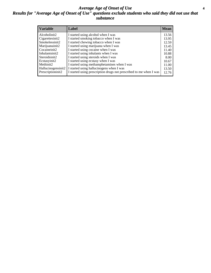#### *Average Age of Onset of Use* **4** *Results for "Average Age of Onset of Use" questions exclude students who said they did not use that substance*

| <b>Variable</b>       | Label                                                              | <b>Mean</b> |
|-----------------------|--------------------------------------------------------------------|-------------|
| Alcoholinit2          | I started using alcohol when I was                                 | 13.56       |
| Cigarettesinit2       | I started smoking tobacco when I was                               | 13.95       |
| Smokelessinit2        | I started chewing tobacco when I was                               | 12.59       |
| Marijuanainit2        | I started using marijuana when I was                               | 13.45       |
| Cocaineinit2          | I started using cocaine when I was                                 | 11.40       |
| Inhalantsinit2        | I started using inhalants when I was                               | 10.88       |
| Steroidsinit2         | I started using steroids when I was                                | 8.00        |
| Ecstasyinit2          | I started using ecstasy when I was                                 | 10.67       |
| Methinit <sub>2</sub> | I started using methamphetamines when I was                        | 11.00       |
| Hallucinogensinit2    | I started using hallucinogens when I was                           | 13.50       |
| Prescriptioninit2     | I started using prescription drugs not prescribed to me when I was | 12.76       |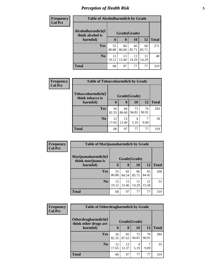# *Perception of Health Risk* **5**

| <b>Frequency</b> | <b>Table of Alcoholharmdich by Grade</b> |             |              |             |             |              |  |
|------------------|------------------------------------------|-------------|--------------|-------------|-------------|--------------|--|
| <b>Col Pct</b>   | Alcoholharmdich(I<br>think alcohol is    |             | Grade(Grade) |             |             |              |  |
|                  | harmful)                                 | 6           | 8            | <b>10</b>   | 12          | <b>Total</b> |  |
|                  | <b>Yes</b>                               | 55<br>80.88 | 84<br>86.60  | 66<br>85.71 | 66<br>85.71 | 271          |  |
|                  | N <sub>o</sub>                           | 13<br>19.12 | 13<br>13.40  | 11<br>14.29 | 11<br>14.29 | 48           |  |
|                  | <b>Total</b>                             | 68          | 97           | 77          | 77          | 319          |  |

| Frequency      | <b>Table of Tobaccoharmdich by Grade</b> |              |             |             |             |              |  |  |
|----------------|------------------------------------------|--------------|-------------|-------------|-------------|--------------|--|--|
| <b>Col Pct</b> | Tobaccoharmdich(I<br>think tobacco is    | Grade(Grade) |             |             |             |              |  |  |
|                | harmful)                                 | 6            | 8           | <b>10</b>   | 12          | <b>Total</b> |  |  |
|                | <b>Yes</b>                               | 56<br>82.35  | 84<br>86.60 | 73<br>94.81 | 70<br>90.91 | 283          |  |  |
|                | N <sub>0</sub>                           | 12<br>17.65  | 13<br>13.40 | 4<br>5.19   | 9.09        | 36           |  |  |
|                | <b>Total</b>                             | 68           | 97          | 77          | 77          | 319          |  |  |

| Frequency      | <b>Table of Marijuanaharmdich by Grade</b> |             |              |             |             |              |
|----------------|--------------------------------------------|-------------|--------------|-------------|-------------|--------------|
| <b>Col Pct</b> | Marijuanaharmdich(I<br>think marijuana is  |             | Grade(Grade) |             |             |              |
|                | harmful)                                   | 6           | 8            | 10          | 12          | <b>Total</b> |
|                | <b>Yes</b>                                 | 55<br>80.88 | 82<br>84.54  | 66<br>85.71 | 65<br>84.42 | 268          |
|                | N <sub>0</sub>                             | 13<br>19.12 | 15<br>15.46  | 11<br>14.29 | 12<br>15.58 | 51           |
|                | <b>Total</b>                               | 68          | 97           | 77          | 77          | 319          |

| Frequency      | <b>Table of Otherdrugharmdich by Grade</b>   |             |              |             |             |              |
|----------------|----------------------------------------------|-------------|--------------|-------------|-------------|--------------|
| <b>Col Pct</b> | Otherdrugharmdich(I<br>think other drugs are |             | Grade(Grade) |             |             |              |
|                | harmful)                                     | 6           | 8            | 10          | 12          | <b>Total</b> |
|                | <b>Yes</b>                                   | 56<br>82.35 | 85<br>87.63  | 73<br>94.81 | 70<br>90.91 | 284          |
|                | N <sub>0</sub>                               | 12<br>17.65 | 12<br>12.37  | 4<br>5.19   | 9.09        | 35           |
|                | <b>Total</b>                                 | 68          | 97           | 77          | 77          | 319          |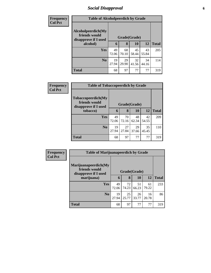### *Social Disapproval* **6**

| <b>Frequency</b> | <b>Table of Alcoholpeerdich by Grade</b>                    |             |             |              |             |              |
|------------------|-------------------------------------------------------------|-------------|-------------|--------------|-------------|--------------|
| <b>Col Pct</b>   |                                                             |             |             |              |             |              |
|                  | Alcoholpeerdich(My<br>friends would<br>disapprove if I used |             |             | Grade(Grade) |             |              |
|                  | alcohol)                                                    | 6           | 8           | 10           | <b>12</b>   | <b>Total</b> |
|                  | Yes                                                         | 49<br>72.06 | 68<br>70.10 | 45<br>58.44  | 43<br>55.84 | 205          |
|                  | N <sub>0</sub>                                              | 19<br>27.94 | 29<br>29.90 | 32<br>41.56  | 34<br>44.16 | 114          |
|                  | <b>Total</b>                                                | 68          | 97          | 77           | 77          | 319          |

| <b>Frequency</b> | <b>Table of Tobaccopeerdich by Grade</b>                            |              |             |             |             |              |
|------------------|---------------------------------------------------------------------|--------------|-------------|-------------|-------------|--------------|
| <b>Col Pct</b>   | <b>Tobaccopeerdich</b> (My<br>friends would<br>disapprove if I used | Grade(Grade) |             |             |             |              |
|                  | tobacco)                                                            | 6            | 8           | <b>10</b>   | 12          | <b>Total</b> |
|                  | <b>Yes</b>                                                          | 49<br>72.06  | 70<br>72.16 | 48<br>62.34 | 42<br>54.55 | 209          |
|                  | $\bf No$                                                            | 19<br>27.94  | 27<br>27.84 | 29<br>37.66 | 35<br>45.45 | 110          |
|                  | <b>Total</b>                                                        | 68           | 97          | 77          | 77          | 319          |

| Frequency      | <b>Table of Marijuanapeerdich by Grade</b>                    |              |             |             |             |              |
|----------------|---------------------------------------------------------------|--------------|-------------|-------------|-------------|--------------|
| <b>Col Pct</b> | Marijuanapeerdich(My<br>friends would<br>disapprove if I used | Grade(Grade) |             |             |             |              |
|                | marijuana)                                                    | 6            | 8           | 10          | 12          | <b>Total</b> |
|                | <b>Yes</b>                                                    | 49<br>72.06  | 72<br>74.23 | 51<br>66.23 | 61<br>79.22 | 233          |
|                | N <sub>0</sub>                                                | 19<br>27.94  | 25<br>25.77 | 26<br>33.77 | 16<br>20.78 | 86           |
|                | <b>Total</b>                                                  | 68           | 97          | 77          | 77          | 319          |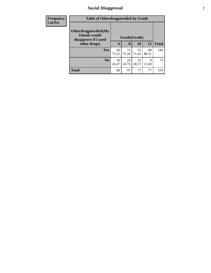### *Social Disapproval* **7**

| <b>Frequency</b> |                                                               | <b>Table of Otherdrugpeerdich by Grade</b> |             |             |             |              |  |
|------------------|---------------------------------------------------------------|--------------------------------------------|-------------|-------------|-------------|--------------|--|
| <b>Col Pct</b>   | Otherdrugpeerdich(My<br>friends would<br>disapprove if I used | Grade(Grade)                               |             |             |             |              |  |
|                  | other drugs)                                                  | 6                                          | 8           | <b>10</b>   | <b>12</b>   | <b>Total</b> |  |
|                  | Yes                                                           | 50<br>73.53                                | 73<br>75.26 | 55<br>71.43 | 68<br>88.31 | 246          |  |
|                  | N <sub>0</sub>                                                | 18<br>26.47                                | 24<br>24.74 | 22<br>28.57 | 9<br>11.69  | 73           |  |
|                  | <b>Total</b>                                                  | 68                                         | 97          | 77          | 77          | 319          |  |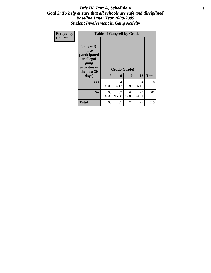#### Title IV, Part A, Schedule A **8** *Goal 2: To help ensure that all schools are safe and disciplined Baseline Data: Year 2008-2009 Student Involvement in Gang Activity*

| Frequency<br><b>Col Pct</b> |                                                                                                   | <b>Table of Gangself by Grade</b> |                        |                    |             |              |  |  |  |
|-----------------------------|---------------------------------------------------------------------------------------------------|-----------------------------------|------------------------|--------------------|-------------|--------------|--|--|--|
|                             | Gangself(I<br>have<br>participated<br>in illegal<br>gang<br>activities in<br>the past 30<br>days) | 6                                 | 8                      | Grade(Grade)<br>10 | 12          | <b>Total</b> |  |  |  |
|                             | Yes                                                                                               | $\Omega$<br>0.00                  | $\overline{4}$<br>4.12 | 10<br>12.99        | 4<br>5.19   | 18           |  |  |  |
|                             | N <sub>0</sub>                                                                                    | 68<br>100.00                      | 93<br>95.88            | 67<br>87.01        | 73<br>94.81 | 301          |  |  |  |
|                             | <b>Total</b>                                                                                      | 68                                | 97                     | 77                 | 77          | 319          |  |  |  |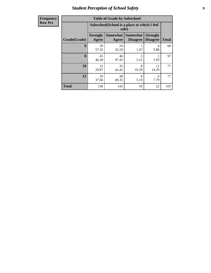# *Student Perception of School Safety* **9**

| Frequency           |
|---------------------|
| I<br><b>Row Pct</b> |

| <b>Table of Grade by Safeschool</b> |                          |                                                        |                                    |                                    |              |  |  |  |  |
|-------------------------------------|--------------------------|--------------------------------------------------------|------------------------------------|------------------------------------|--------------|--|--|--|--|
|                                     |                          | Safeschool (School is a place at which I feel<br>safe) |                                    |                                    |              |  |  |  |  |
| Grade(Grade)                        | <b>Strongly</b><br>Agree | <b>Somewhat</b><br>Agree                               | <b>Somewhat</b><br><b>Disagree</b> | <b>Strongly</b><br><b>Disagree</b> | <b>Total</b> |  |  |  |  |
| 6                                   | 39<br>57.35              | 24<br>35.29                                            | 1.47                               | 4<br>5.88                          | 68           |  |  |  |  |
| 8                                   | 45<br>46.39              | 46<br>47.42                                            | 5<br>5.15                          | 1.03                               | 97           |  |  |  |  |
| 10                                  | 23<br>29.87              | 35<br>45.45                                            | 8<br>10.39                         | 11<br>14.29                        | 77           |  |  |  |  |
| 12                                  | 29<br>37.66              | 38<br>4<br>6<br>7.79<br>49.35<br>5.19                  |                                    |                                    |              |  |  |  |  |
| <b>Total</b>                        | 136                      | 143                                                    | 18                                 | 22                                 | 319          |  |  |  |  |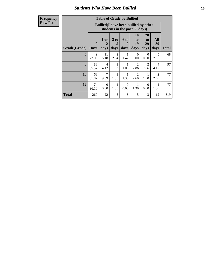### *Students Who Have Been Bullied* **10**

**Frequency Row Pct**

| <b>Table of Grade by Bullied</b> |                             |                                                                               |                        |                   |                        |                        |                                     |              |
|----------------------------------|-----------------------------|-------------------------------------------------------------------------------|------------------------|-------------------|------------------------|------------------------|-------------------------------------|--------------|
|                                  |                             | <b>Bullied</b> (I have been bullied by other<br>students in the past 30 days) |                        |                   |                        |                        |                                     |              |
| Grade(Grade)                     | $\mathbf{0}$<br><b>Days</b> | 1 or<br>2<br>days                                                             | 3 to<br>5<br>days      | 6 to<br>9<br>days | 10<br>to<br>19<br>days | 20<br>to<br>29<br>days | All<br>30<br>days                   | <b>Total</b> |
| 6                                | 49<br>72.06                 | 11<br>16.18                                                                   | $\overline{2}$<br>2.94 | 1.47              | $\Omega$<br>0.00       | $\Omega$<br>0.00       | 5<br>7.35                           | 68           |
| 8                                | 83<br>85.57                 | $\overline{4}$<br>4.12                                                        | 1<br>1.03              | 1.03              | 2<br>2.06              | $\overline{2}$<br>2.06 | $\overline{4}$<br>4.12              | 97           |
| 10                               | 63<br>81.82                 | $\overline{7}$<br>9.09                                                        | 1<br>1.30              | 1.30              | $\mathfrak{D}$<br>2.60 | 1<br>1.30              | $\mathcal{D}_{\mathcal{A}}$<br>2.60 | 77           |
| 12                               | 74<br>96.10                 | $\Omega$<br>0.00                                                              | 1<br>1.30              | $\Omega$<br>0.00  | 1<br>1.30              | $\Omega$<br>0.00       | 1.30                                | 77           |
| <b>Total</b>                     | 269                         | 22                                                                            | 5                      | 3                 | 5                      | 3                      | 12                                  | 319          |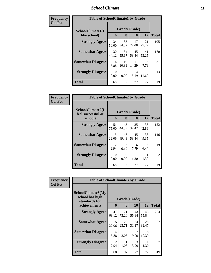### *School Climate* **11**

| Frequency      | <b>Table of SchoolClimate1 by Grade</b> |                  |                   |                   |                   |                     |  |  |
|----------------|-----------------------------------------|------------------|-------------------|-------------------|-------------------|---------------------|--|--|
| <b>Col Pct</b> | SchoolClimate1(I<br>like school)        | 6                | Grade(Grade)<br>8 |                   |                   |                     |  |  |
|                | <b>Strongly Agree</b>                   | 34<br>50.00      | 33<br>34.02       | 10<br>17<br>22.08 | 12<br>21<br>27.27 | <b>Total</b><br>105 |  |  |
|                | <b>Somewhat Agree</b>                   | 30<br>44.12      | 54<br>55.67       | 45<br>58.44       | 41<br>53.25       | 170                 |  |  |
|                | <b>Somewhat Disagree</b>                | 4<br>5.88        | 10<br>10.31       | 11<br>14.29       | 6<br>7.79         | 31                  |  |  |
|                | <b>Strongly Disagree</b>                | $\Omega$<br>0.00 | $\theta$<br>0.00  | 4<br>5.19         | 9<br>11.69        | 13                  |  |  |
|                | <b>Total</b>                            | 68               | 97                | 77                | 77                | 319                 |  |  |

| Frequency      | <b>Table of SchoolClimate2 by Grade</b>           |                  |                   |             |             |                |
|----------------|---------------------------------------------------|------------------|-------------------|-------------|-------------|----------------|
| <b>Col Pct</b> | SchoolClimate2(I<br>feel successful at<br>school) | 6                | Grade(Grade)<br>8 | 10          | 12          | <b>Total</b>   |
|                | <b>Strongly Agree</b>                             | 51<br>75.00      | 43<br>44.33       | 25<br>32.47 | 33<br>42.86 | 152            |
|                | <b>Somewhat Agree</b>                             | 15<br>22.06      | 48<br>49.48       | 45<br>58.44 | 38<br>49.35 | 146            |
|                | <b>Somewhat Disagree</b>                          | 2<br>2.94        | 6<br>6.19         | 6<br>7.79   | 5<br>6.49   | 19             |
|                | <b>Strongly Disagree</b>                          | $\Omega$<br>0.00 | 0<br>0.00         | 1.30        | 1.30        | $\mathfrak{D}$ |
|                | Total                                             | 68               | 97                | 77          | 77          | 319            |

| <b>Frequency</b> | <b>Table of SchoolClimate3 by Grade</b>               |                        |                                     |                       |             |              |  |  |
|------------------|-------------------------------------------------------|------------------------|-------------------------------------|-----------------------|-------------|--------------|--|--|
| <b>Col Pct</b>   | SchoolClimate3(My<br>school has high<br>standards for |                        | Grade(Grade)                        |                       |             |              |  |  |
|                  | achievement)                                          | 6                      | 8                                   | 10                    | 12          | <b>Total</b> |  |  |
|                  | <b>Strongly Agree</b>                                 | 47<br>69.12            | 71<br>73.20                         | 43<br>55.84           | 43<br>55.84 | 204          |  |  |
|                  | <b>Somewhat Agree</b>                                 | 15<br>22.06            | 23<br>23.71                         | 24<br>31.17           | 25<br>32.47 | 87           |  |  |
|                  | <b>Somewhat Disagree</b>                              | 4<br>5.88              | $\mathcal{D}_{\mathcal{L}}$<br>2.06 | 7<br>9.09             | 8<br>10.39  | 21           |  |  |
|                  | <b>Strongly Disagree</b>                              | $\mathfrak{D}$<br>2.94 | 1.03                                | $\mathcal{R}$<br>3.90 | 1.30        | 7            |  |  |
|                  | <b>Total</b>                                          | 68                     | 97                                  | 77                    | 77          | 319          |  |  |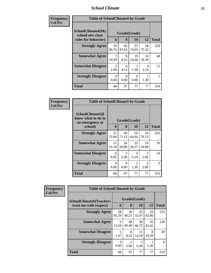### *School Climate* **12**

| Frequency      | <b>Table of SchoolClimate4 by Grade</b>                              |                                     |                        |                  |                        |              |  |
|----------------|----------------------------------------------------------------------|-------------------------------------|------------------------|------------------|------------------------|--------------|--|
| <b>Col Pct</b> | <b>SchoolClimate4(My</b><br>school sets clear<br>rules for behavior) | 6                                   | Grade(Grade)<br>8      | 10               | 12                     | <b>Total</b> |  |
|                | <b>Strongly Agree</b>                                                | 59<br>86.76                         | 85<br>87.63            | 57<br>74.03      | 58<br>75.32            | 259          |  |
|                | <b>Somewhat Agree</b>                                                | 10.29                               | 8<br>8.25              | 19<br>24.68      | 14<br>18.18            | 48           |  |
|                | <b>Somewhat Disagree</b>                                             | $\mathcal{D}_{\mathcal{L}}$<br>2.94 | $\overline{4}$<br>4.12 | 1.30             | $\overline{4}$<br>5.19 | 11           |  |
|                | <b>Strongly Disagree</b>                                             | $\Omega$<br>0.00                    | 0<br>0.00              | $\Omega$<br>0.00 | 1.30                   |              |  |
|                | <b>Total</b>                                                         | 68                                  | 97                     | 77               | 77                     | 319          |  |

| Frequency      | <b>Table of SchoolClimate5 by Grade</b>                   |             |              |             |                        |              |  |
|----------------|-----------------------------------------------------------|-------------|--------------|-------------|------------------------|--------------|--|
| <b>Col Pct</b> | SchoolClimate5(I<br>know what to do in<br>an emergency at |             | Grade(Grade) |             |                        |              |  |
|                | school)                                                   | 6           | 8            | 10          | 12                     | <b>Total</b> |  |
|                | <b>Strongly Agree</b>                                     | 51<br>75.00 | 69<br>71.13  | 50<br>64.94 | 54<br>70.13            | 224          |  |
|                | <b>Somewhat Agree</b>                                     | 11<br>16.18 | 26<br>26.80  | 22<br>28.57 | 19<br>24.68            | 78           |  |
|                | <b>Somewhat Disagree</b>                                  | 6<br>8.82   | 2<br>2.06    | 4<br>5.19   | $\mathfrak{D}$<br>2.60 | 14           |  |
|                | <b>Strongly Disagree</b>                                  | 0<br>0.00   | 0<br>0.00    | 1.30        | $\mathfrak{D}$<br>2.60 | 3            |  |
|                | Total                                                     | 68          | 97           | 77          | 77                     | 319          |  |

| Frequency      | <b>Table of SchoolClimate6 by Grade</b>                  |             |                        |                    |             |              |  |
|----------------|----------------------------------------------------------|-------------|------------------------|--------------------|-------------|--------------|--|
| <b>Col Pct</b> | <b>SchoolClimate6(Teachers</b><br>treat me with respect) | 6           | 8                      | Grade(Grade)<br>10 | 12          | <b>Total</b> |  |
|                | <b>Strongly Agree</b>                                    | 58<br>85.29 | 39<br>40.21            | 25<br>32.47        | 33<br>42.86 | 155          |  |
|                | <b>Somewhat Agree</b>                                    | 9<br>13.24  | 48<br>49.48            | 36<br>46.75        | 35<br>45.45 | 128          |  |
|                | <b>Somewhat Disagree</b>                                 | 1.47        | 8<br>8.25              | 11<br>14.29        | 8<br>10.39  | 28           |  |
|                | <b>Strongly Disagree</b>                                 | 0<br>0.00   | $\mathfrak{D}$<br>2.06 | 5<br>6.49          | 1.30        | 8            |  |
|                | <b>Total</b>                                             | 68          | 97                     | 77                 | 77          | 319          |  |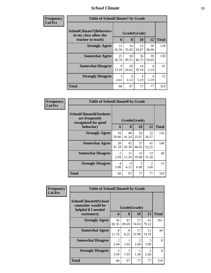### *School Climate* **13**

| <b>Frequency</b> |
|------------------|
| <b>Col Pct</b>   |

| ncy | <b>Table of SchoolClimate7 by Grade</b>                                       |             |                   |             |                        |              |  |  |
|-----|-------------------------------------------------------------------------------|-------------|-------------------|-------------|------------------------|--------------|--|--|
|     | <b>SchoolClimate7(Behaviors</b><br>in my class allow the<br>teacher to teach) | 6           | Grade(Grade)<br>8 | 10          | 12                     | <b>Total</b> |  |  |
|     | <b>Strongly Agree</b>                                                         | 31<br>45.59 | 34<br>35.05       | 23<br>29.87 | 30<br>38.96            | 118          |  |  |
|     | <b>Somewhat Agree</b>                                                         | 25<br>36.76 | 39<br>40.21       | 36<br>46.75 | 39<br>50.65            | 139          |  |  |
|     | <b>Somewhat Disagree</b>                                                      | 9<br>13.24  | 20<br>20.62       | 14<br>18.18 | $\overline{4}$<br>5.19 | 47           |  |  |
|     | <b>Strongly Disagree</b>                                                      | 3<br>4.41   | 4<br>4.12         | 4<br>5.19   | 4<br>5.19              | 15           |  |  |
|     | <b>Total</b>                                                                  | 68          | 97                | 77          | 77                     | 319          |  |  |

| Frequency      | <b>Table of SchoolClimate8 by Grade</b>                                 |                        |              |             |                        |              |  |
|----------------|-------------------------------------------------------------------------|------------------------|--------------|-------------|------------------------|--------------|--|
| <b>Col Pct</b> | <b>SchoolClimate8(Students</b><br>are frequently<br>recognized for good |                        | Grade(Grade) |             |                        |              |  |
|                | behavior)                                                               | 6                      | 8            | <b>10</b>   | 12                     | <b>Total</b> |  |
|                | <b>Strongly Agree</b>                                                   | 34<br>50.00            | 40<br>41.24  | 20<br>25.97 | 22<br>28.57            | 116          |  |
|                | <b>Somewhat Agree</b>                                                   | 28<br>41.18            | 42<br>43.30  | 37<br>48.05 | 41<br>53.25            | 148          |  |
|                | <b>Somewhat Disagree</b>                                                | 2<br>2.94              | 11<br>11.34  | 15<br>19.48 | 12<br>15.58            | 40           |  |
|                | <b>Strongly Disagree</b>                                                | $\overline{4}$<br>5.88 | 4<br>4.12    | 5<br>6.49   | $\mathfrak{D}$<br>2.60 | 15           |  |
|                | <b>Total</b>                                                            | 68                     | 97           | 77          | 77                     | 319          |  |

| Frequency<br><b>Col Pct</b> | <b>Table of SchoolClimate9 by Grade</b>                            |                        |             |                        |                                     |              |  |  |
|-----------------------------|--------------------------------------------------------------------|------------------------|-------------|------------------------|-------------------------------------|--------------|--|--|
|                             | SchoolClimate9(School<br>counselor would be<br>helpful if I needed | Grade(Grade)           |             |                        |                                     |              |  |  |
|                             | assistance)                                                        | 6                      | 8           | <b>10</b>              | 12                                  | <b>Total</b> |  |  |
|                             | <b>Strongly Agree</b>                                              | 56<br>82.35            | 87<br>89.69 | 57<br>74.03            | 61<br>79.22                         | 261          |  |  |
|                             | <b>Somewhat Agree</b>                                              | 8<br>11.76             | 8<br>8.25   | 17<br>22.08            | 11<br>14.29                         | 44           |  |  |
|                             | <b>Somewhat Disagree</b>                                           | $\mathfrak{D}$<br>2.94 | 1.03        | $\mathfrak{D}$<br>2.60 | $\mathcal{R}$<br>3.90               | 8            |  |  |
|                             | <b>Strongly Disagree</b>                                           | $\mathfrak{D}$<br>2.94 | 1.03        | 1.30                   | $\mathcal{D}_{\mathcal{A}}$<br>2.60 | 6            |  |  |
|                             | Total                                                              | 68                     | 97          | 77                     | 77                                  | 319          |  |  |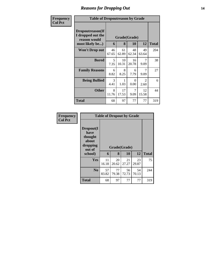# *Reasons for Dropping Out* **14**

| Frequency      | <b>Table of Dropoutreason by Grade</b>                                   |             |                   |             |                                     |              |
|----------------|--------------------------------------------------------------------------|-------------|-------------------|-------------|-------------------------------------|--------------|
| <b>Col Pct</b> | Dropoutreason(If<br>I dropped out the<br>reason would<br>most likely be) | 6           | Grade(Grade)<br>8 | 10          | 12                                  | <b>Total</b> |
|                | <b>Won't Drop out</b>                                                    | 46<br>67.65 | 61<br>62.89       | 48<br>62.34 | 49<br>63.64                         | 204          |
|                | <b>Bored</b>                                                             | 5<br>7.35   | 10<br>10.31       | 16<br>20.78 | 7<br>9.09                           | 38           |
|                | <b>Family Reasons</b>                                                    | 6<br>8.82   | 8<br>8.25         | 6<br>7.79   | 7<br>9.09                           | 27           |
|                | <b>Being Bullied</b>                                                     | 3<br>4.41   | 1<br>1.03         | 0<br>0.00   | $\mathcal{D}_{\mathcal{L}}$<br>2.60 | 6            |
|                | <b>Other</b>                                                             | 8<br>11.76  | 17<br>17.53       | 7<br>9.09   | 12<br>15.58                         | 44           |
|                | Total                                                                    | 68          | 97                | 77          | 77                                  | 319          |

| Frequency<br><b>Col Pct</b> |                                                             |             | <b>Table of Dropout by Grade</b> |             |             |              |
|-----------------------------|-------------------------------------------------------------|-------------|----------------------------------|-------------|-------------|--------------|
|                             | Dropout(I<br>have<br>thought<br>about<br>dropping<br>out of |             | Grade(Grade)                     |             |             |              |
|                             | school)                                                     | 6           | 8                                | 10          | 12          | <b>Total</b> |
|                             | Yes                                                         | 11<br>16.18 | 20<br>20.62                      | 21<br>27.27 | 23<br>29.87 | 75           |
|                             | N <sub>0</sub>                                              | 57<br>83.82 | 77<br>79.38                      | 56<br>72.73 | 54<br>70.13 | 244          |
|                             | <b>Total</b>                                                | 68          | 97                               | 77          | 77          | 319          |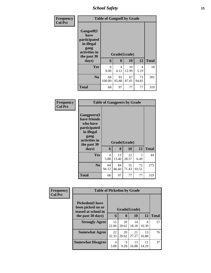*School Safety* **15**

| Frequency<br><b>Col Pct</b> | <b>Table of Gangself by Grade</b>                                                        |                  |              |             |             |              |  |  |
|-----------------------------|------------------------------------------------------------------------------------------|------------------|--------------|-------------|-------------|--------------|--|--|
|                             | Gangself(I<br>have<br>participated<br>in illegal<br>gang<br>activities in<br>the past 30 |                  | Grade(Grade) |             |             |              |  |  |
|                             | days)                                                                                    | 6                | 8            | 10          | 12          | <b>Total</b> |  |  |
|                             | Yes                                                                                      | $\Omega$<br>0.00 | 4<br>4.12    | 10<br>12.99 | 4<br>5.19   | 18           |  |  |
|                             | N <sub>0</sub>                                                                           | 68<br>100.00     | 93<br>95.88  | 67<br>87.01 | 73<br>94.81 | 301          |  |  |
|                             | <b>Total</b>                                                                             | 68               | 97           | 77          | 77          | 319          |  |  |

| Frequency<br><b>Col Pct</b> |                                                                                                                                | <b>Table of Gangpeers by Grade</b> |             |                    |             |              |
|-----------------------------|--------------------------------------------------------------------------------------------------------------------------------|------------------------------------|-------------|--------------------|-------------|--------------|
|                             | <b>Gangpeers</b> (I<br>have friends<br>who have<br>participated<br>in illegal<br>gang<br>activities in<br>the past 30<br>days) | 6                                  | 8           | Grade(Grade)<br>10 | 12          | <b>Total</b> |
|                             | Yes                                                                                                                            | 4<br>5.88                          | 13<br>13.40 | 22<br>28.57        | 5<br>6.49   | 44           |
|                             | N <sub>0</sub>                                                                                                                 | 64<br>94.12                        | 84<br>86.60 | 55<br>71.43        | 72<br>93.51 | 275          |
|                             | <b>Total</b>                                                                                                                   | 68                                 | 97          | 77                 | 77          | 319          |

| Frequency<br><b>Col Pct</b> | <b>Table of Pickedon by Grade</b>                                   |             |              |             |             |              |
|-----------------------------|---------------------------------------------------------------------|-------------|--------------|-------------|-------------|--------------|
|                             | <b>Pickedon</b> (I have<br>been picked on or<br>teased at school in |             | Grade(Grade) |             |             |              |
|                             | the past 30 days)                                                   | 6           | 8            | 10          | 12          | <b>Total</b> |
|                             | <b>Strongly Agree</b>                                               | 15<br>22.06 | 20<br>20.62  | 14<br>18.18 | 8<br>10.39  | 57           |
|                             | <b>Somewhat Agree</b>                                               | 22<br>32.35 | 20<br>20.62  | 21<br>27.27 | 13<br>16.88 | 76           |
|                             | <b>Somewhat Disagree</b>                                            | 4<br>5.88   | 9<br>9.28    | 13<br>16.88 | 11<br>14.29 | 37           |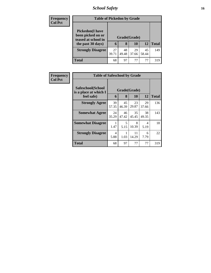# *School Safety* **16**

| <b>Frequency</b> | <b>Table of Pickedon by Grade</b>                                   |              |             |             |             |              |  |
|------------------|---------------------------------------------------------------------|--------------|-------------|-------------|-------------|--------------|--|
| <b>Col Pct</b>   | <b>Pickedon</b> (I have<br>been picked on or<br>teased at school in | Grade(Grade) |             |             |             |              |  |
|                  | the past 30 days)                                                   | 6            | 8           | 10          | 12          | <b>Total</b> |  |
|                  | <b>Strongly Disagree</b>                                            | 27<br>39.71  | 48<br>49.48 | 29<br>37.66 | 45<br>58.44 | 149          |  |
|                  | <b>Total</b>                                                        | 68           | 97          | 77          | 77          | 319          |  |

| Frequency<br><b>Col Pct</b> | <b>Table of Safeschool by Grade</b>        |              |             |             |             |              |  |  |
|-----------------------------|--------------------------------------------|--------------|-------------|-------------|-------------|--------------|--|--|
|                             | Safeschool(School<br>is a place at which I | Grade(Grade) |             |             |             |              |  |  |
|                             | feel safe)                                 | 6            | 8           | 10          | 12          | <b>Total</b> |  |  |
|                             | <b>Strongly Agree</b>                      | 39<br>57.35  | 45<br>46.39 | 23<br>29.87 | 29<br>37.66 | 136          |  |  |
|                             | <b>Somewhat Agree</b>                      | 24<br>35.29  | 46<br>47.42 | 35<br>45.45 | 38<br>49.35 | 143          |  |  |
|                             | <b>Somewhat Disagree</b>                   | 1.47         | 5<br>5.15   | 8<br>10.39  | 4<br>5.19   | 18           |  |  |
|                             | <b>Strongly Disagree</b>                   | 4<br>5.88    | 1.03        | 11<br>14.29 | 6<br>7.79   | 22           |  |  |
|                             | <b>Total</b>                               | 68           | 97          | 77          | 77          | 319          |  |  |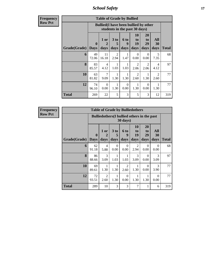*School Safety* **17**

**Frequency Row Pct**

| <b>Table of Grade by Bullied</b> |                             |                                                                               |                        |                   |                        |                        |                                     |              |  |  |  |
|----------------------------------|-----------------------------|-------------------------------------------------------------------------------|------------------------|-------------------|------------------------|------------------------|-------------------------------------|--------------|--|--|--|
|                                  |                             | <b>Bullied</b> (I have been bullied by other<br>students in the past 30 days) |                        |                   |                        |                        |                                     |              |  |  |  |
| Grade(Grade)                     | $\mathbf{0}$<br><b>Days</b> | 1 or<br>$\mathbf 2$<br>days                                                   | 3 to<br>5<br>days      | 6 to<br>9<br>days | 10<br>to<br>19<br>days | 20<br>to<br>29<br>days | All<br>30<br>days                   | <b>Total</b> |  |  |  |
| 6                                | 49<br>72.06                 | 11<br>16.18                                                                   | $\overline{2}$<br>2.94 | 1<br>1.47         | $\Omega$<br>0.00       | $\Omega$<br>0.00       | 5<br>7.35                           | 68           |  |  |  |
| 8                                | 83<br>85.57                 | 4<br>4.12                                                                     | 1<br>1.03              | 1<br>1.03         | 2<br>2.06              | 2<br>2.06              | 4<br>4.12                           | 97           |  |  |  |
| 10                               | 63<br>81.82                 | 7<br>9.09                                                                     | 1<br>1.30              | 1<br>1.30         | 2<br>2.60              | 1.30                   | $\mathcal{D}_{\mathcal{A}}$<br>2.60 | 77           |  |  |  |
| 12                               | 74<br>96.10                 | $\Omega$<br>0.00                                                              | 1<br>1.30              | $\Omega$<br>0.00  | 1<br>1.30              | $\Omega$<br>0.00       | 1.30                                | 77           |  |  |  |
| Total                            | 269                         | 22                                                                            | 5                      | 3                 | 5                      | 3                      | 12                                  | 319          |  |  |  |

**Frequency Row Pct**

| <b>Table of Grade by Bulliedothers</b> |                            |                                                                         |                   |                        |                        |                        |                       |              |  |  |
|----------------------------------------|----------------------------|-------------------------------------------------------------------------|-------------------|------------------------|------------------------|------------------------|-----------------------|--------------|--|--|
|                                        |                            | <b>Bulliedothers</b> (I bullied others in the past<br>$30 \text{ days}$ |                   |                        |                        |                        |                       |              |  |  |
| Grade(Grade)                           | $\mathbf 0$<br><b>Days</b> | 1 or<br>$\mathbf 2$<br>days                                             | 3 to<br>5<br>days | 6 to<br>9<br>days      | 10<br>to<br>19<br>days | 20<br>to<br>29<br>days | All<br>30<br>days     | <b>Total</b> |  |  |
| 6                                      | 62<br>91.18                | 4<br>5.88                                                               | $\Omega$<br>0.00  | $\Omega$<br>0.00       | $\mathfrak{D}$<br>2.94 | $\Omega$<br>0.00       | $\Omega$<br>0.00      | 68           |  |  |
| 8                                      | 86<br>88.66                | 3<br>3.09                                                               | 1<br>1.03         | 1<br>1.03              | 3<br>3.09              | $\Omega$<br>0.00       | $\mathcal{R}$<br>3.09 | 97           |  |  |
| 10                                     | 69<br>89.61                | 1.30                                                                    | 1.30              | $\overline{2}$<br>2.60 | 1.30                   | $\theta$<br>0.00       | 3<br>3.90             | 77           |  |  |
| 12                                     | 72<br>93.51                | 2<br>2.60                                                               | 1<br>1.30         | $\Omega$<br>0.00       | 1.30                   | 1<br>1.30              | $\Omega$<br>0.00      | 77           |  |  |
| Total                                  | 289                        | 10                                                                      | 3                 | 3                      | 7                      | 1                      | 6                     | 319          |  |  |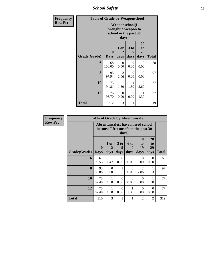*School Safety* **18**

| Frequency      | <b>Table of Grade by Weaponschool</b> |                         |                                                                                 |                   |                               |              |  |  |  |
|----------------|---------------------------------------|-------------------------|---------------------------------------------------------------------------------|-------------------|-------------------------------|--------------|--|--|--|
| <b>Row Pct</b> |                                       |                         | <b>Weaponschool</b> (I<br>brought a weapon to<br>school in the past 30<br>days) |                   |                               |              |  |  |  |
|                | Grade(Grade)                          | $\bf{0}$<br><b>Days</b> | 1 or<br>2<br>days                                                               | 3 to<br>5<br>days | <b>20</b><br>to<br>29<br>days | <b>Total</b> |  |  |  |
|                | 6                                     | 68<br>100.00            | $\Omega$<br>0.00                                                                | $\Omega$<br>0.00  | $\Omega$<br>0.00              | 68           |  |  |  |
|                | 8                                     | 95<br>97.94             | $\overline{2}$<br>2.06                                                          | $\Omega$<br>0.00  | $\Omega$<br>0.00              | 97           |  |  |  |
|                | 10                                    | 73<br>94.81             | 1.30                                                                            | 1<br>1.30         | 2<br>2.60                     | 77           |  |  |  |
|                | 12                                    | 76<br>98.70             | $\Omega$<br>0.00                                                                | $\Omega$<br>0.00  | 1<br>1.30                     | 77           |  |  |  |
|                | <b>Total</b>                          | 312                     | 3                                                                               | 1                 | 3                             | 319          |  |  |  |

| <b>Frequency</b> | <b>Table of Grade by Absentunsafe</b> |                             |                                                                                    |                   |                          |                        |                        |              |  |  |  |
|------------------|---------------------------------------|-----------------------------|------------------------------------------------------------------------------------|-------------------|--------------------------|------------------------|------------------------|--------------|--|--|--|
| <b>Row Pct</b>   |                                       |                             | Absentunsafe(I have missed school<br>because I felt unsafe in the past 30<br>days) |                   |                          |                        |                        |              |  |  |  |
|                  | Grade(Grade)                          | $\mathbf{0}$<br><b>Days</b> | 1 or<br>$\mathbf 2$<br>days                                                        | 3 to<br>5<br>days | <b>6 to</b><br>9<br>days | 10<br>to<br>19<br>days | 20<br>to<br>29<br>days | <b>Total</b> |  |  |  |
|                  | 6                                     | 67<br>98.53                 | 1<br>1.47                                                                          | $\Omega$<br>0.00  | $\Omega$<br>0.00         | $\Omega$<br>0.00       | $\Omega$<br>0.00       | 68           |  |  |  |
|                  | 8                                     | 93<br>95.88                 | $\Omega$<br>0.00                                                                   | 1.03              | $\Omega$<br>0.00         | $\overline{2}$<br>2.06 | 1<br>1.03              | 97           |  |  |  |
|                  | 10                                    | 75<br>97.40                 | 1<br>1.30                                                                          | $\theta$<br>0.00  | $\Omega$<br>0.00         | $\Omega$<br>0.00       | 1.30                   | 77           |  |  |  |
|                  | 12                                    | 75<br>97.40                 | 1<br>1.30                                                                          | $\Omega$<br>0.00  | 1<br>1.30                | $\Omega$<br>0.00       | $\Omega$<br>0.00       | 77           |  |  |  |
|                  | <b>Total</b>                          | 310                         | 3                                                                                  | 1                 | 1                        | $\overline{2}$         | 2                      | 319          |  |  |  |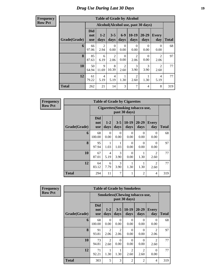### *Drug Use During Last 30 Days* **19**

**Frequency Row Pct**

| <b>Table of Grade by Alcohol</b> |                                 |                                    |                        |                        |                        |                       |                        |              |  |
|----------------------------------|---------------------------------|------------------------------------|------------------------|------------------------|------------------------|-----------------------|------------------------|--------------|--|
|                                  |                                 | Alcohol(Alcohol use, past 30 days) |                        |                        |                        |                       |                        |              |  |
| Grade(Grade)                     | <b>Did</b><br>not<br><b>use</b> | $1 - 2$<br>days                    | $3 - 5$<br>days        | $6-9$<br>days          | $10-19$<br>days        | $20 - 29$<br>days     | Every<br>day           | <b>Total</b> |  |
| 6                                | 66<br>97.06                     | $\overline{2}$<br>2.94             | 0<br>0.00              | 0<br>0.00              | 0<br>0.00              | $\Omega$<br>0.00      | 0<br>0.00              | 68           |  |
| 8                                | 85<br>87.63                     | 6<br>6.19                          | $\overline{2}$<br>2.06 | $\Omega$<br>0.00       | $\overline{2}$<br>2.06 | 0<br>0.00             | $\overline{2}$<br>2.06 | 97           |  |
| 10                               | 50<br>64.94                     | 9<br>11.69                         | 8<br>10.39             | $\overline{2}$<br>2.60 | 3<br>3.90              | $\mathcal{R}$<br>3.90 | $\overline{2}$<br>2.60 | 77           |  |
| 12                               | 61<br>79.22                     | $\overline{4}$<br>5.19             | 4<br>5.19              | 1.30                   | $\overline{2}$<br>2.60 | 1.30                  | 4<br>5.19              | 77           |  |
| <b>Total</b>                     | 262                             | 21                                 | 14                     | 3                      | 7                      | 4                     | 8                      | 319          |  |

**Frequency Row Pct**

г

| <b>Table of Grade by Cigarettes</b> |                                 |                                                   |                       |                  |                  |                        |              |  |  |  |
|-------------------------------------|---------------------------------|---------------------------------------------------|-----------------------|------------------|------------------|------------------------|--------------|--|--|--|
|                                     |                                 | Cigarettes (Smoking tobacco use,<br>past 30 days) |                       |                  |                  |                        |              |  |  |  |
| Grade(Grade)                        | <b>Did</b><br>not<br><b>use</b> | $1 - 2$<br>days                                   | $3 - 5$<br>days       | $10-19$<br>days  | 20-29<br>days    | <b>Every</b><br>day    | <b>Total</b> |  |  |  |
| 6                                   | 68<br>100.00                    | $\Omega$<br>0.00                                  | $\Omega$<br>0.00      | $\Omega$<br>0.00 | 0<br>0.00        | $\Omega$<br>0.00       | 68           |  |  |  |
| 8                                   | 95<br>97.94                     | 1<br>1.03                                         | 1.03                  | $\Omega$<br>0.00 | $\theta$<br>0.00 | $\Omega$<br>0.00       | 97           |  |  |  |
| 10                                  | 67<br>87.01                     | 4<br>5.19                                         | $\mathcal{F}$<br>3.90 | $\Omega$<br>0.00 | 1.30             | $\mathfrak{D}$<br>2.60 | 77           |  |  |  |
| 12                                  | 64<br>83.12                     | 6<br>7.79                                         | 3<br>3.90             | 1<br>1.30        | 1.30             | $\mathfrak{D}$<br>2.60 | 77           |  |  |  |
| <b>Total</b>                        | 294                             | 11                                                | 7                     | 1                | $\overline{2}$   | 4                      | 319          |  |  |  |

| Frequency      | <b>Table of Grade by Smokeless</b> |                        |                  |                                                        |                        |                        |              |  |  |  |
|----------------|------------------------------------|------------------------|------------------|--------------------------------------------------------|------------------------|------------------------|--------------|--|--|--|
| <b>Row Pct</b> |                                    |                        |                  | <b>Smokeless</b> (Chewing tobaccouse,<br>past 30 days) |                        |                        |              |  |  |  |
| Grade(Grade)   | <b>Did</b><br>not<br><b>use</b>    | $1-2$<br>days          | $3 - 5$<br>days  | $10-19$<br>days                                        | $20 - 29$<br>days      | <b>Every</b><br>day    | <b>Total</b> |  |  |  |
|                | 6<br>68<br>100.00                  | $\Omega$<br>0.00       | $\Omega$<br>0.00 | $\Omega$<br>0.00                                       | $\Omega$<br>0.00       | $\Omega$<br>0.00       | 68           |  |  |  |
|                | 8<br>91<br>93.81                   | $\overline{2}$<br>2.06 | 2<br>2.06        | $\Omega$<br>0.00                                       | 0<br>0.00              | $\overline{c}$<br>2.06 | 97           |  |  |  |
|                | 10<br>73<br>94.81                  | $\overline{2}$<br>2.60 | $\Omega$<br>0.00 | $\Omega$<br>0.00                                       | $\Omega$<br>0.00       | $\mathfrak{D}$<br>2.60 | 77           |  |  |  |
|                | 12<br>71<br>92.21                  | 1<br>1.30              | 1<br>1.30        | $\overline{2}$<br>2.60                                 | $\mathfrak{D}$<br>2.60 | $\Omega$<br>0.00       | 77           |  |  |  |
| <b>Total</b>   | 303                                | 5                      | 3                | $\overline{2}$                                         | $\overline{2}$         | 4                      | 319          |  |  |  |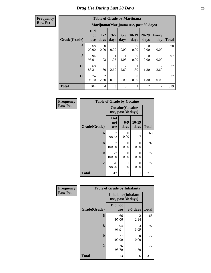| <b>Frequency</b> |
|------------------|
| <b>Row Pct</b>   |

| <b>Table of Grade by Marijuana</b> |                                 |                                         |                  |                        |                  |                  |                        |       |  |
|------------------------------------|---------------------------------|-----------------------------------------|------------------|------------------------|------------------|------------------|------------------------|-------|--|
|                                    |                                 | Marijuana (Marijuana use, past 30 days) |                  |                        |                  |                  |                        |       |  |
| Grade(Grade)                       | <b>Did</b><br>not<br><b>use</b> | $1-2$<br>days                           | $3 - 5$<br>days  | $6-9$<br>days          | $10-19$<br>days  | 20-29<br>days    | Every<br>day           | Total |  |
| 6                                  | 68<br>100.00                    | 0<br>0.00                               | $\Omega$<br>0.00 | $\Omega$<br>0.00       | 0<br>0.00        | 0<br>0.00        | $\Omega$<br>0.00       | 68    |  |
| 8                                  | 94<br>96.91                     | 1.03                                    | 1<br>1.03        | 1<br>1.03              | $\Omega$<br>0.00 | $\Omega$<br>0.00 | $\Omega$<br>0.00       | 97    |  |
| 10                                 | 68<br>88.31                     | 1.30                                    | 2<br>2.60        | $\overline{2}$<br>2.60 | 1<br>1.30        | 1.30             | $\mathfrak{D}$<br>2.60 | 77    |  |
| 12                                 | 74<br>96.10                     | $\mathfrak{D}$<br>2.60                  | $\Omega$<br>0.00 | $\Omega$<br>0.00       | $\Omega$<br>0.00 | 1.30             | $\Omega$<br>0.00       | 77    |  |
| <b>Total</b>                       | 304                             | 4                                       | 3                | 3                      | 1                | $\overline{2}$   | 2                      | 319   |  |

| Frequency<br><b>Row Pct</b> |              | <b>Table of Grade by Cocaine</b>              |                  |               |              |  |  |  |  |  |
|-----------------------------|--------------|-----------------------------------------------|------------------|---------------|--------------|--|--|--|--|--|
|                             |              | <b>Cocaine</b> (Cocaine<br>use, past 30 days) |                  |               |              |  |  |  |  |  |
|                             | Grade(Grade) | <b>Did</b><br>not<br><b>use</b>               | $6-9$<br>days    | 10-19<br>days | <b>Total</b> |  |  |  |  |  |
|                             | 6            | 67<br>98.53                                   | 0<br>0.00        | 1.47          | 68           |  |  |  |  |  |
|                             | 8            | 97<br>100.00                                  | $\Omega$<br>0.00 | 0<br>0.00     | 97           |  |  |  |  |  |
|                             | 10           | 77<br>100.00                                  | $\Omega$<br>0.00 | 0<br>0.00     | 77           |  |  |  |  |  |
|                             | 12           | 76<br>98.70                                   | 1<br>1.30        | 0<br>0.00     | 77           |  |  |  |  |  |
|                             | <b>Total</b> | 317                                           | 1                | 1             | 319          |  |  |  |  |  |

| Frequency      |              | <b>Table of Grade by Inhalants</b>               |            |              |
|----------------|--------------|--------------------------------------------------|------------|--------------|
| <b>Row Pct</b> |              | <b>Inhalants</b> (Inhalant<br>use, past 30 days) |            |              |
|                | Grade(Grade) | Did not<br><b>use</b>                            | $3-5$ days | <b>Total</b> |
|                | 6            | 66<br>97.06                                      | 2<br>2.94  | 68           |
|                | 8            | 94<br>96.91                                      | 3<br>3.09  | 97           |
|                | 10           | 77<br>100.00                                     | 0<br>0.00  | 77           |
|                | 12           | 76<br>98.70                                      | 1.30       | 77           |
|                | <b>Total</b> | 313                                              | 6          | 319          |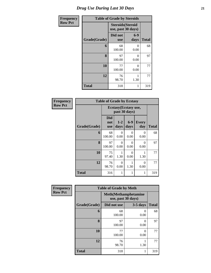| <b>Frequency</b> |              | <b>Table of Grade by Steroids</b>              |                  |              |
|------------------|--------------|------------------------------------------------|------------------|--------------|
| <b>Row Pct</b>   |              | <b>Steroids</b> (Steroid<br>use, past 30 days) |                  |              |
|                  | Grade(Grade) | Did not<br><b>use</b>                          | $6-9$<br>days    | <b>Total</b> |
|                  | 6            | 68<br>100.00                                   | 0<br>0.00        | 68           |
|                  | 8            | 97<br>100.00                                   | $\theta$<br>0.00 | 97           |
|                  | 10           | 77<br>100.00                                   | $\theta$<br>0.00 | 77           |
|                  | 12           | 76<br>98.70                                    | 1<br>1.30        | 77           |
|                  | <b>Total</b> | 318                                            | 1                | 319          |

| Frequency      |              | <b>Table of Grade by Ecstasy</b> |                  |                                       |                     |              |  |  |
|----------------|--------------|----------------------------------|------------------|---------------------------------------|---------------------|--------------|--|--|
| <b>Row Pct</b> |              |                                  |                  | Ecstasy(Ecstasy use,<br>past 30 days) |                     |              |  |  |
|                | Grade(Grade) | <b>Did</b><br>not<br><b>use</b>  | $1-2$<br>days    | $6-9$<br>days                         | <b>Every</b><br>day | <b>Total</b> |  |  |
|                | 6            | 68<br>100.00                     | 0<br>0.00        | 0<br>0.00                             | $\Omega$<br>0.00    | 68           |  |  |
|                | 8            | 97<br>100.00                     | $\Omega$<br>0.00 | 0<br>0.00                             | $\Omega$<br>0.00    | 97           |  |  |
|                | 10           | 75<br>97.40                      | 1<br>1.30        | $\Omega$<br>0.00                      | 1<br>1.30           | 77           |  |  |
|                | 12           | 76<br>98.70                      | $\Omega$<br>0.00 | 1.30                                  | $\Omega$<br>0.00    | 77           |  |  |
|                | <b>Total</b> | 316                              | 1                | 1                                     | 1                   | 319          |  |  |

| Frequency      |              | <b>Table of Grade by Meth</b>                      |            |              |
|----------------|--------------|----------------------------------------------------|------------|--------------|
| <b>Row Pct</b> |              | <b>Meth</b> (Methamphetamine<br>use, past 30 days) |            |              |
|                | Grade(Grade) | Did not use                                        | $3-5$ days | <b>Total</b> |
|                | 6            | 68<br>100.00                                       | 0<br>0.00  | 68           |
|                | 8            | 97<br>100.00                                       | 0<br>0.00  | 97           |
|                | 10           | 77<br>100.00                                       | 0<br>0.00  | 77           |
|                | 12           | 76<br>98.70                                        | 1.30       | 77           |
|                | <b>Total</b> | 318                                                | 1          | 319          |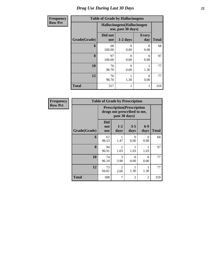| <b>Frequency</b> | <b>Table of Grade by Hallucinogens</b> |                       |                                                   |                     |              |  |  |
|------------------|----------------------------------------|-----------------------|---------------------------------------------------|---------------------|--------------|--|--|
| <b>Row Pct</b>   |                                        |                       | Hallucinogens (Hallucinogen<br>use, past 30 days) |                     |              |  |  |
|                  | Grade(Grade)                           | Did not<br><b>use</b> | $1-2$ days                                        | <b>Every</b><br>day | <b>Total</b> |  |  |
|                  | 6                                      | 68<br>100.00          | 0<br>0.00                                         | 0<br>0.00           | 68           |  |  |
|                  | 8                                      | 97<br>100.00          | $\Omega$<br>0.00                                  | $\Omega$<br>0.00    | 97           |  |  |
|                  | 10                                     | 76<br>98.70           | 0<br>0.00                                         | 1.30                | 77           |  |  |
|                  | 12                                     | 76<br>98.70           | 1.30                                              | $\Omega$<br>0.00    | 77           |  |  |
|                  | <b>Total</b>                           | 317                   | 1                                                 |                     | 319          |  |  |

| Frequency      |              | <b>Table of Grade by Prescription</b> |                        |                                                                  |                  |              |
|----------------|--------------|---------------------------------------|------------------------|------------------------------------------------------------------|------------------|--------------|
| <b>Row Pct</b> |              |                                       | past 30 days)          | <b>Prescription</b> (Prescription<br>drugs not prescribed to me, |                  |              |
|                | Grade(Grade) | <b>Did</b><br>not<br><b>use</b>       | $1-2$<br>days          | $3 - 5$<br>days                                                  | $6-9$<br>days    | <b>Total</b> |
|                | 6            | 67<br>98.53                           | 1.47                   | 0<br>0.00                                                        | $\Omega$<br>0.00 | 68           |
|                | 8            | 94<br>96.91                           | 1.03                   | 1.03                                                             | 1.03             | 97           |
|                | 10           | 74<br>96.10                           | 3<br>3.90              | 0<br>0.00                                                        | 0<br>0.00        | 77           |
|                | 12           | 73<br>94.81                           | $\mathfrak{D}$<br>2.60 | 1.30                                                             | 1.30             | 77           |
|                | <b>Total</b> | 308                                   | 7                      | $\overline{2}$                                                   | 2                | 319          |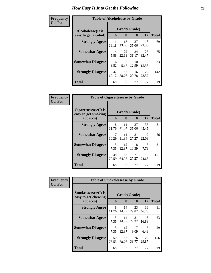#### **Frequen Col Pct**

| icy | <b>Table of Alcoholease by Grade</b>      |             |             |                    |             |              |
|-----|-------------------------------------------|-------------|-------------|--------------------|-------------|--------------|
|     | Alcoholease(It is<br>easy to get alcohol) | 6           | 8           | Grade(Grade)<br>10 | 12          | <b>Total</b> |
|     | <b>Strongly Agree</b>                     | 11<br>16.18 | 13<br>13.40 | 27<br>35.06        | 18<br>23.38 | 69           |
|     | <b>Somewhat Agree</b>                     | 4<br>5.88   | 22<br>22.68 | 24<br>31.17        | 25<br>32.47 | 75           |
|     | <b>Somewhat Disagree</b>                  | 6<br>8.82   | 5<br>5.15   | 10<br>12.99        | 12<br>15.58 | 33           |
|     | <b>Strongly Disagree</b>                  | 47<br>69.12 | 57<br>58.76 | 16<br>20.78        | 22<br>28.57 | 142          |
|     | <b>Total</b>                              | 68          | 97          | 77                 | 77          | 319          |

| Frequency      | <b>Table of Cigarettesease by Grade</b>                 |             |                   |             |             |              |
|----------------|---------------------------------------------------------|-------------|-------------------|-------------|-------------|--------------|
| <b>Col Pct</b> | Cigarettesease(It is<br>easy to get smoking<br>tobacco) | 6           | Grade(Grade)<br>8 | 10          | 12          | <b>Total</b> |
|                | <b>Strongly Agree</b>                                   | 8<br>11.76  | 11<br>11.34       | 27<br>35.06 | 35<br>45.45 | 81           |
|                | <b>Somewhat Agree</b>                                   | 7<br>10.29  | 11<br>11.34       | 21<br>27.27 | 17<br>22.08 | 56           |
|                | <b>Somewhat Disagree</b>                                | 5<br>7.35   | 12<br>12.37       | 8<br>10.39  | 6<br>7.79   | 31           |
|                | <b>Strongly Disagree</b>                                | 48<br>70.59 | 63<br>64.95       | 21<br>27.27 | 19<br>24.68 | 151          |
|                | Total                                                   | 68          | 97                | 77          | 77          | 319          |

| <b>Frequency</b> | <b>Table of Smokelessease by Grade</b>                         |             |             |                    |             |              |
|------------------|----------------------------------------------------------------|-------------|-------------|--------------------|-------------|--------------|
| <b>Col Pct</b>   | <b>Smokelessease</b> (It is<br>easy to get chewing<br>tobacco) | 6           | 8           | Grade(Grade)<br>10 | 12          | <b>Total</b> |
|                  | <b>Strongly Agree</b>                                          | 8<br>11.76  | 14<br>14.43 | 23<br>29.87        | 36<br>46.75 | 81           |
|                  | <b>Somewhat Agree</b>                                          | 5<br>7.35   | 14<br>14.43 | 21<br>27.27        | 13<br>16.88 | 53           |
|                  | <b>Somewhat Disagree</b>                                       | 5<br>7.35   | 12<br>12.37 | 7<br>9.09          | 5<br>6.49   | 29           |
|                  | <b>Strongly Disagree</b>                                       | 50<br>73.53 | 57<br>58.76 | 26<br>33.77        | 23<br>29.87 | 156          |
|                  | <b>Total</b>                                                   | 68          | 97          | 77                 | 77          | 319          |

ń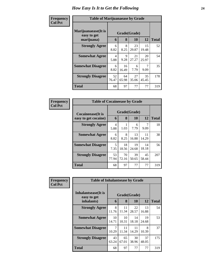| Frequency<br><b>Col Pct</b> | <b>Table of Marijuanaease by Grade</b>           |             |                   |             |             |              |
|-----------------------------|--------------------------------------------------|-------------|-------------------|-------------|-------------|--------------|
|                             | Marijuanaease(It is<br>easy to get<br>marijuana) | 6           | Grade(Grade)<br>8 | <b>10</b>   | 12          | <b>Total</b> |
|                             | <b>Strongly Agree</b>                            | 6<br>8.82   | 8<br>8.25         | 23<br>29.87 | 15<br>19.48 | 52           |
|                             | <b>Somewhat Agree</b>                            | 4<br>5.88   | 9<br>9.28         | 21<br>27.27 | 20<br>25.97 | 54           |
|                             | <b>Somewhat Disagree</b>                         | 6<br>8.82   | 16<br>16.49       | 6<br>7.79   | 7<br>9.09   | 35           |
|                             | <b>Strongly Disagree</b>                         | 52<br>76.47 | 64<br>65.98       | 27<br>35.06 | 35<br>45.45 | 178          |
|                             | Total                                            | 68          | 97                | 77          | 77          | 319          |

| Frequency      | <b>Table of Cocaineease by Grade</b>              |             |                   |             |             |              |
|----------------|---------------------------------------------------|-------------|-------------------|-------------|-------------|--------------|
| <b>Col Pct</b> | <b>Cocaineease</b> (It is<br>easy to get cocaine) | 6           | Grade(Grade)<br>8 | 10          | 12          | <b>Total</b> |
|                | <b>Strongly Agree</b>                             | 4<br>5.88   | 1.03              | 6<br>7.79   | 9.09        | 18           |
|                | <b>Somewhat Agree</b>                             | 6<br>8.82   | 8<br>8.25         | 13<br>16.88 | 11<br>14.29 | 38           |
|                | <b>Somewhat Disagree</b>                          | 5<br>7.35   | 18<br>18.56       | 19<br>24.68 | 14<br>18.18 | 56           |
|                | <b>Strongly Disagree</b>                          | 53<br>77.94 | 70<br>72.16       | 39<br>50.65 | 45<br>58.44 | 207          |
|                | <b>Total</b>                                      | 68          | 97                | 77          | 77          | 319          |

| <b>Frequency</b> | <b>Table of Inhalantsease by Grade</b>           |             |                   |             |             |              |
|------------------|--------------------------------------------------|-------------|-------------------|-------------|-------------|--------------|
| <b>Col Pct</b>   | Inhalantsease(It is<br>easy to get<br>inhalants) | 6           | Grade(Grade)<br>8 | 10          | 12          | <b>Total</b> |
|                  | <b>Strongly Agree</b>                            | 8<br>11.76  | 11<br>11.34       | 22<br>28.57 | 13<br>16.88 | 54           |
|                  | <b>Somewhat Agree</b>                            | 10<br>14.71 | 10<br>10.31       | 14<br>18.18 | 19<br>24.68 | 53           |
|                  | <b>Somewhat Disagree</b>                         | 7<br>10.29  | 11<br>11.34       | 11<br>14.29 | 8<br>10.39  | 37           |
|                  | <b>Strongly Disagree</b>                         | 43<br>63.24 | 65<br>67.01       | 30<br>38.96 | 37<br>48.05 | 175          |
|                  | <b>Total</b>                                     | 68          | 97                | 77          | 77          | 319          |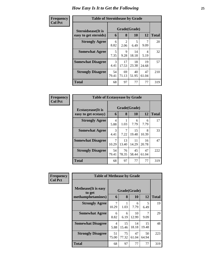| Frequency      | <b>Table of Steroidsease by Grade</b> |             |                        |              |                        |              |
|----------------|---------------------------------------|-------------|------------------------|--------------|------------------------|--------------|
| <b>Col Pct</b> | <b>Steroidsease</b> (It is            |             |                        | Grade(Grade) |                        |              |
|                | easy to get steroids)                 | 6           | 8                      | 10           | 12                     | <b>Total</b> |
|                | <b>Strongly Agree</b>                 | 6<br>8.82   | $\overline{2}$<br>2.06 | 5<br>6.49    | 9.09                   | 20           |
|                | <b>Somewhat Agree</b>                 | 5<br>7.35   | 9<br>9.28              | 14<br>18.18  | $\overline{4}$<br>5.19 | 32           |
|                | <b>Somewhat Disagree</b>              | 3<br>4.41   | 17<br>17.53            | 18<br>23.38  | 19<br>24.68            | 57           |
|                | <b>Strongly Disagree</b>              | 54<br>79.41 | 69<br>71.13            | 40<br>51.95  | 47<br>61.04            | 210          |
|                | <b>Total</b>                          | 68          | 97                     | 77           | 77                     | 319          |

| Frequency      | <b>Table of Ecstasyease by Grade</b>              |                        |                   |             |             |              |  |  |  |  |  |  |
|----------------|---------------------------------------------------|------------------------|-------------------|-------------|-------------|--------------|--|--|--|--|--|--|
| <b>Col Pct</b> | <b>Ecstasyease</b> (It is<br>easy to get ecstasy) | 6                      | Grade(Grade)<br>8 | 10          | 12          | <b>Total</b> |  |  |  |  |  |  |
|                | <b>Strongly Agree</b>                             | $\overline{4}$<br>5.88 | 1.03              | 6<br>7.79   | 6<br>7.79   | 17           |  |  |  |  |  |  |
|                | <b>Somewhat Agree</b>                             | 3<br>4.41              | 7<br>7.22         | 15<br>19.48 | 8<br>10.39  | 33           |  |  |  |  |  |  |
|                | <b>Somewhat Disagree</b>                          | 7<br>10.29             | 13<br>13.40       | 11<br>14.29 | 16<br>20.78 | 47           |  |  |  |  |  |  |
|                | <b>Strongly Disagree</b>                          | 54<br>79.41            | 76<br>78.35       | 45<br>58.44 | 47<br>61.04 | 222          |  |  |  |  |  |  |
|                | Total                                             | 68                     | 97                | 77          | 77          | 319          |  |  |  |  |  |  |

| Frequency      | <b>Table of Methease by Grade</b>                          |                   |              |             |             |     |  |  |  |  |  |
|----------------|------------------------------------------------------------|-------------------|--------------|-------------|-------------|-----|--|--|--|--|--|
| <b>Col Pct</b> | <b>Methease</b> (It is easy<br>to get<br>methamphetamines) | Grade(Grade)<br>6 | <b>Total</b> |             |             |     |  |  |  |  |  |
|                | <b>Strongly Agree</b>                                      | 7<br>10.29        | 1.03         | 6<br>7.79   | 5<br>6.49   | 19  |  |  |  |  |  |
|                | <b>Somewhat Agree</b>                                      | 6<br>8.82         | 6<br>6.19    | 10<br>12.99 | 9.09        | 29  |  |  |  |  |  |
|                | <b>Somewhat Disagree</b>                                   | 4<br>5.88         | 15<br>15.46  | 14<br>18.18 | 15<br>19.48 | 48  |  |  |  |  |  |
|                | <b>Strongly Disagree</b>                                   | 51<br>75.00       | 75<br>77.32  | 47<br>61.04 | 50<br>64.94 | 223 |  |  |  |  |  |
|                | Total                                                      | 68                | 97           | 77          | 77          | 319 |  |  |  |  |  |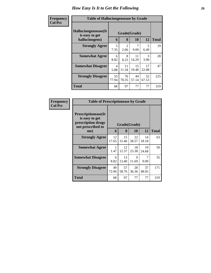| <b>Frequency</b> | <b>Table of Hallucinogensease by Grade</b>               |             |                                     |             |                       |              |  |  |  |  |  |
|------------------|----------------------------------------------------------|-------------|-------------------------------------|-------------|-----------------------|--------------|--|--|--|--|--|
| <b>Col Pct</b>   | Hallucinogensease(It<br>is easy to get<br>hallucinogens) | 6           | Grade(Grade)<br>8                   | 10          | 12                    | <b>Total</b> |  |  |  |  |  |
|                  | <b>Strongly Agree</b>                                    | 5<br>7.35   | $\mathcal{D}_{\mathcal{L}}$<br>2.06 | 9.09        | 5<br>6.49             | 19           |  |  |  |  |  |
|                  | <b>Somewhat Agree</b>                                    | 6<br>8.82   | 8<br>8.25                           | 11<br>14.29 | $\mathcal{R}$<br>3.90 | 28           |  |  |  |  |  |
|                  | <b>Somewhat Disagree</b>                                 | 4<br>5.88   | 11<br>11.34                         | 15<br>19.48 | 17<br>22.08           | 47           |  |  |  |  |  |
|                  | <b>Strongly Disagree</b>                                 | 53<br>77.94 | 76<br>78.35                         | 44<br>57.14 | 52<br>67.53           | 225          |  |  |  |  |  |
|                  | <b>Total</b>                                             | 68          | 97                                  | 77          | 77                    | 319          |  |  |  |  |  |

| Frequency      | <b>Table of Prescriptionease by Grade</b>                                                |              |             |             |             |              |
|----------------|------------------------------------------------------------------------------------------|--------------|-------------|-------------|-------------|--------------|
| <b>Col Pct</b> | <b>Prescriptionease</b> (It<br>is easy to get<br>prescription drugs<br>not prescribed to | Grade(Grade) |             |             |             |              |
|                | me)                                                                                      | 6            | 8           | <b>10</b>   | 12          | <b>Total</b> |
|                | <b>Strongly Agree</b>                                                                    | 12<br>17.65  | 15<br>15.46 | 22<br>28.57 | 14<br>18.18 | 63           |
|                | <b>Somewhat Agree</b>                                                                    | 1<br>1.47    | 12<br>12.37 | 18<br>23.38 | 19<br>24.68 | 50           |
|                | <b>Somewhat Disagree</b>                                                                 | 6<br>8.82    | 13<br>13.40 | 9<br>11.69  | 7<br>9.09   | 35           |
|                | <b>Strongly Disagree</b>                                                                 | 49<br>72.06  | 57<br>58.76 | 28<br>36.36 | 37<br>48.05 | 171          |
|                | Total                                                                                    | 68           | 97          | 77          | 77          | 319          |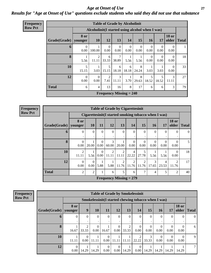#### *Age at Onset of Use* **27** *Results for "Age at Onset of Use" questions exclude students who said they did not use that substance*

| <b>Frequency</b> |              |                  |                                                  |                                     | <b>Table of Grade by Alcoholinit</b> |                  |                  |                  |                  |                       |              |  |  |
|------------------|--------------|------------------|--------------------------------------------------|-------------------------------------|--------------------------------------|------------------|------------------|------------------|------------------|-----------------------|--------------|--|--|
| <b>Row Pct</b>   |              |                  | Alcoholinit (I started using alcohol when I was) |                                     |                                      |                  |                  |                  |                  |                       |              |  |  |
|                  | Grade(Grade) | 8 or<br>younger  | <b>10</b>                                        | 12                                  | 13                                   | 14               | 15               | <b>16</b>        | 17               | <b>18 or</b><br>older | <b>Total</b> |  |  |
|                  | 6            | $\theta$<br>0.00 | 100.00                                           | $\Omega$<br>0.00                    | $\Omega$<br>0.00                     | $\Omega$<br>0.00 | $\theta$<br>0.00 | $\Omega$<br>0.00 | $\Omega$<br>0.00 | $\Omega$<br>0.00      |              |  |  |
|                  | 8            | 5.56             | 2<br>11.11                                       | 6<br>33.33                          | 7<br>38.89                           | 5.56             | 5.56             | $\Omega$<br>0.00 | $\Omega$<br>0.00 | $\Omega$<br>0.00      | 18           |  |  |
|                  | 10           | 5<br>15.15       | 3.03                                             | 5<br>15.15                          | 6<br>18.18                           | 6<br>18.18       | 8<br>24.24       | 3.03             | 3.03             | $\Omega$<br>0.00      | 33           |  |  |
|                  | 12           | $\theta$<br>0.00 | $\theta$<br>0.00                                 | $\mathcal{D}_{\mathcal{L}}$<br>7.41 | 3<br>11.11                           | 3.70             | 8<br>29.63       | 5<br>18.52       | 18.52            | 3<br>11.11            | 27           |  |  |
|                  | <b>Total</b> | 6                | $\overline{4}$                                   | 13                                  | 16                                   | 8                | 17               | 6                | 6                | 3                     | 79           |  |  |
|                  |              |                  |                                                  |                                     | <b>Frequency Missing = 240</b>       |                  |                  |                  |                  |                       |              |  |  |

**Frequency Row Pct**

| <b>Table of Grade by Cigarettesinit</b> |                         |                      |                      |               |                         |                                                       |                         |                  |                         |                         |              |  |  |
|-----------------------------------------|-------------------------|----------------------|----------------------|---------------|-------------------------|-------------------------------------------------------|-------------------------|------------------|-------------------------|-------------------------|--------------|--|--|
|                                         |                         |                      |                      |               |                         | Cigarettesinit (I started smoking tobacco when I was) |                         |                  |                         |                         |              |  |  |
| Grade(Grade)                            | 8 or<br>younger         | <b>10</b>            | 11                   | 12            | 13                      | 14                                                    | 15                      | <b>16</b>        | 17                      | <b>18 or</b><br>older   | <b>Total</b> |  |  |
| 6                                       | $\Omega$                | $\Omega$             | $\Omega$             | $\theta$<br>٠ | $\Omega$                | $\Omega$                                              | $\Omega$                | $\theta$         | $\Omega$<br>٠           | $\Omega$                | $\Omega$     |  |  |
| 8                                       | $\Omega$<br>0.00        | 20.00                | $\Omega$<br>0.00     | 3<br>60.00    | 20.00                   | $\Omega$<br>0.00                                      | $\Omega$<br>0.00        | $\theta$<br>0.00 | $\Omega$<br>0.00        | $\theta$<br>0.00        | 5            |  |  |
| 10                                      | $\overline{2}$<br>11.11 | 1<br>5.56            | $\Omega$<br>$0.00\,$ | 2<br>11.11    | $\mathfrak{D}$<br>11.11 | $\overline{4}$<br>22.22                               | 5<br>27.78              | 5.56             | 5.56                    | $\Omega$<br>0.00        | 18           |  |  |
| 12                                      | $\Omega$<br>0.00        | $\mathbf{0}$<br>0.00 | 5.88                 | 5.88          | $\overline{2}$<br>11.76 | $\overline{2}$<br>11.76                               | $\overline{2}$<br>11.76 | 3<br>17.65       | $\overline{4}$<br>23.53 | $\mathfrak{D}$<br>11.76 | 17           |  |  |
| <b>Total</b>                            | 2                       | 2                    |                      | 6             | 5                       | 6                                                     | 7                       | 4                | 5                       | 2                       | 40           |  |  |
|                                         |                         |                      |                      |               |                         | Frequency Missing $= 279$                             |                         |                  |                         |                         |              |  |  |

| <b>Frequency</b> | <b>Table of Grade by Smokelessinit</b> |                        |          |                                                     |                      |                  |            |          |          |                   |                  |                       |                 |
|------------------|----------------------------------------|------------------------|----------|-----------------------------------------------------|----------------------|------------------|------------|----------|----------|-------------------|------------------|-----------------------|-----------------|
| <b>Row Pct</b>   |                                        |                        |          | Smokelessinit(I started chewing tobacco when I was) |                      |                  |            |          |          |                   |                  |                       |                 |
|                  | Grade(Grade)                           | <b>8 or</b><br>younger | 9        | <b>10</b>                                           | 11                   | 12               | 13         | 14       | 15       | 16                | 17               | <b>18 or</b><br>older | <b>Total</b>    |
|                  | $\mathbf 0$                            | 0                      | $\Omega$ | $\overline{0}$<br>٠                                 | $\overline{0}$       | $\theta$         | $\theta$   | $\Omega$ | $\Omega$ | $\mathbf{0}$<br>٠ | $\Omega$         | $\Omega$              | $\overline{0}$  |
|                  | 8                                      | 16.67                  | 33.33    | $\Omega$<br>0.00                                    | 16.67                | $\Omega$<br>0.00 | ↑<br>33.33 | 0.00     | 0.00     | $\theta$<br>0.00  | $\Omega$<br>0.00 | 0<br>0.00             | 6               |
|                  | 10                                     | 11.11                  | 0.00     | 11.11                                               | $\Omega$<br>$0.00\,$ | 11.11            | 11.11      | 22.22    | 33.33    | $\theta$<br>0.00  | $\Omega$<br>0.00 | 0<br>0.00             | 9               |
|                  | 12                                     | $\Omega$<br>0.00       | 14.29    | 14.29                                               | $\Omega$<br>$0.00\,$ | $\Omega$<br>0.00 | 14.29      | 0.00     | 14.29    | 14.29             | 14.29            | 14.29                 | $7\phantom{.0}$ |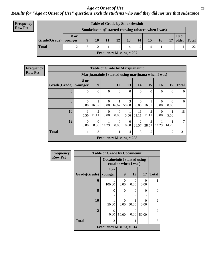*Results for "Age at Onset of Use" questions exclude students who said they did not use that substance*

| <b>Frequency</b> |
|------------------|
| Row Pct          |

| <b>Table of Grade by Smokelessinit</b> |                        |      |   |    |    |    |    |                                                     |    |    |                       |              |
|----------------------------------------|------------------------|------|---|----|----|----|----|-----------------------------------------------------|----|----|-----------------------|--------------|
|                                        |                        |      |   |    |    |    |    | Smokelessinit(I started chewing tobacco when I was) |    |    |                       |              |
|                                        | $Grade(Grade)$ younger | 8 or | 9 | 10 | 11 | 12 | 13 | 14                                                  | 15 | 16 | <b>18 or</b><br>older | <b>Total</b> |
|                                        | <b>Total</b>           |      | 3 |    |    |    | 4  |                                                     |    |    |                       | 22           |
| <b>Frequency Missing = 297</b>         |                        |      |   |    |    |    |    |                                                     |    |    |                       |              |

**Frequency Row Pct**

|              | <b>Table of Grade by Marijuanainit</b> |                                                      |                  |                  |                  |                         |                         |                  |                  |              |  |  |
|--------------|----------------------------------------|------------------------------------------------------|------------------|------------------|------------------|-------------------------|-------------------------|------------------|------------------|--------------|--|--|
|              |                                        | Marijuanainit (I started using marijuana when I was) |                  |                  |                  |                         |                         |                  |                  |              |  |  |
| Grade(Grade) | 8 or<br>younger                        | 9                                                    | 11               | 12               | 13               | 14                      | 15                      | <b>16</b>        | 17               | <b>Total</b> |  |  |
| 6            | $\theta$                               | $\theta$<br>٠                                        | $\Omega$<br>٠    | $\Omega$<br>٠    | $\Omega$<br>٠    | $\Omega$                | $\overline{0}$<br>٠     | $\Omega$         | $\Omega$         | $\Omega$     |  |  |
| 8            | $\Omega$<br>0.00                       | 16.67                                                | 0<br>0.00        | 16.67            | 3<br>50.00       | $\Omega$<br>0.00        | 1<br>16.67              | $\Omega$<br>0.00 | $\theta$<br>0.00 | 6            |  |  |
| 10           | 1<br>5.56                              | 2<br>11.11                                           | $\Omega$<br>0.00 | $\Omega$<br>0.00 | 5.56             | 11<br>61.11             | $\overline{2}$<br>11.11 | $\Omega$<br>0.00 | 5.56             | 18           |  |  |
| 12           | $\Omega$<br>0.00                       | $\Omega$<br>0.00                                     | 14.29            | $\Omega$<br>0.00 | $\Omega$<br>0.00 | $\overline{2}$<br>28.57 | $\mathfrak{D}$<br>28.57 | 14.29            | 14.29            | 7            |  |  |
| <b>Total</b> | 1                                      | 3                                                    |                  | 1                | $\overline{4}$   | 13                      | 5                       | 1                | $\overline{2}$   | 31           |  |  |
|              | Frequency Missing $= 288$              |                                                      |                  |                  |                  |                         |                         |                  |                  |              |  |  |

| <b>Frequency</b> |              | <b>Table of Grade by Cocaineinit</b> |                               |                           |                  |                |  |  |
|------------------|--------------|--------------------------------------|-------------------------------|---------------------------|------------------|----------------|--|--|
| <b>Row Pct</b>   |              | <b>Cocaineinit(I started using</b>   | cocaine when I was)           |                           |                  |                |  |  |
|                  | Grade(Grade) | 8 or<br>younger                      | 15<br>17<br>9<br><b>Total</b> |                           |                  |                |  |  |
|                  | 6            | 1<br>100.00                          | $\Omega$<br>0.00              | $\mathbf{\Omega}$<br>0.00 | $\theta$<br>0.00 |                |  |  |
|                  | 8            | $\theta$                             | $\Omega$                      | 0                         | $\theta$         | $\Omega$       |  |  |
|                  | 10           | 1<br>50.00                           | 0<br>0.00                     | 50.00                     | 0<br>0.00        | $\overline{2}$ |  |  |
|                  | 12           | $\Omega$<br>0.00                     | 50.00                         | 0<br>0.00                 | 50.00            | $\mathfrak{D}$ |  |  |
|                  | <b>Total</b> | $\overline{2}$                       | 1                             | 1                         | 1                | 5              |  |  |
|                  |              | <b>Frequency Missing = 314</b>       |                               |                           |                  |                |  |  |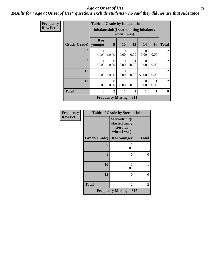### *Results for "Age at Onset of Use" questions exclude students who said they did not use that substance*

| <b>Frequency</b> |              | <b>Table of Grade by Inhalantsinit</b>   |                  |                                |                  |                  |                  |                |
|------------------|--------------|------------------------------------------|------------------|--------------------------------|------------------|------------------|------------------|----------------|
| <b>Row Pct</b>   |              | Inhalantsinit (I started using inhalants |                  | when I was)                    |                  |                  |                  |                |
|                  | Grade(Grade) | 8 or<br>younger                          | 9                | <b>10</b>                      | 13               | <b>14</b>        | <b>16</b>        | <b>Total</b>   |
|                  | 6            | 1<br>50.00                               | 50.00            | $\Omega$<br>0.00               | $\Omega$<br>0.00 | $\Omega$<br>0.00 | $\Omega$<br>0.00 | 2              |
|                  | $\mathbf{8}$ | 50.00                                    | $\Omega$<br>0.00 | $\Omega$<br>0.00               | 50.00            | $\Omega$<br>0.00 | $\Omega$<br>0.00 | $\overline{2}$ |
|                  | 10           | $\Omega$<br>0.00                         | 50.00            | $\Omega$<br>0.00               | $\Omega$<br>0.00 | 50.00            | 0<br>0.00        | $\overline{2}$ |
|                  | 12           | $\Omega$<br>0.00                         | $\Omega$<br>0.00 | 50.00                          | $\Omega$<br>0.00 | $\Omega$<br>0.00 | 50.00            | $\overline{2}$ |
|                  | <b>Total</b> | $\overline{2}$                           | $\overline{2}$   |                                |                  |                  |                  | 8              |
|                  |              |                                          |                  | <b>Frequency Missing = 311</b> |                  |                  |                  |                |

| <b>Frequency</b> |              | <b>Table of Grade by Steroidsinit</b>                      |              |
|------------------|--------------|------------------------------------------------------------|--------------|
| <b>Row Pct</b>   |              | Steroidsinit(I<br>started using<br>steroids<br>when I was) |              |
|                  | Grade(Grade) | 8 or younger                                               | <b>Total</b> |
|                  | 6            | 100.00                                                     |              |
|                  | 8            | 0                                                          | 0            |
|                  | 10           | 100.00                                                     |              |
|                  | 12           | 0                                                          | $\Omega$     |
|                  | <b>Total</b> | $\overline{c}$                                             | 2            |
|                  |              | <b>Frequency Missing = 317</b>                             |              |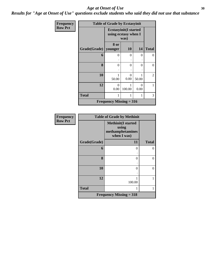*Results for "Age at Onset of Use" questions exclude students who said they did not use that substance*

| Frequency      |              | <b>Table of Grade by Ecstasyinit</b>                 |           |           |              |
|----------------|--------------|------------------------------------------------------|-----------|-----------|--------------|
| <b>Row Pct</b> |              | <b>Ecstasyinit(I started</b><br>using ecstasy when I | was)      |           |              |
|                | Grade(Grade) | 8 or<br>younger                                      | <b>10</b> | 14        | <b>Total</b> |
|                | 6            | 0                                                    | $\theta$  | 0         | $\theta$     |
|                | 8            | 0                                                    | $\theta$  | $\theta$  | $\theta$     |
|                | 10           | 1<br>50.00                                           | 0<br>0.00 | 50.00     | 2            |
|                | 12           | $\Omega$<br>0.00                                     | 100.00    | 0<br>0.00 | 1            |
|                | <b>Total</b> |                                                      | 1         | 1         | 3            |
|                |              | <b>Frequency Missing = 316</b>                       |           |           |              |

| <b>Frequency</b> |              | <b>Table of Grade by Methinit</b>                                     |              |
|------------------|--------------|-----------------------------------------------------------------------|--------------|
| <b>Row Pct</b>   |              | <b>Methinit(I started</b><br>using<br>methamphetamines<br>when I was) |              |
|                  | Grade(Grade) | 11                                                                    | <b>Total</b> |
|                  | 6            | 0                                                                     | 0            |
|                  | 8            | 0                                                                     | 0            |
|                  | 10           | 0                                                                     | 0            |
|                  | 12           | 100.00                                                                |              |
|                  | <b>Total</b> |                                                                       |              |
|                  |              | Frequency Missing $=$ 318                                             |              |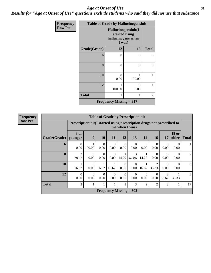*Results for "Age at Onset of Use" questions exclude students who said they did not use that substance*

| Frequency      |                        |                                                                      | <b>Table of Grade by Hallucinogensinit</b> |              |  |
|----------------|------------------------|----------------------------------------------------------------------|--------------------------------------------|--------------|--|
| <b>Row Pct</b> |                        | Hallucinogensinit(I<br>started using<br>hallucinogens when<br>I was) |                                            |              |  |
|                | Grade(Grade)           | 12                                                                   | 15                                         | <b>Total</b> |  |
|                | 6                      | $\overline{0}$                                                       | 0                                          | $\Omega$     |  |
|                | 8                      | $\Omega$                                                             | 0                                          | $\Omega$     |  |
|                | 10                     | $\Omega$<br>0.00                                                     | 1<br>100.00                                | 1            |  |
|                | 12                     | 1<br>100.00                                                          | 0<br>0.00                                  | 1            |  |
|                | <b>Total</b><br>1<br>1 |                                                                      |                                            |              |  |
|                |                        | Frequency Missing $= 317$                                            |                                            |              |  |

| <b>Frequency</b>                                                                                         |              |                         |                  |                        |                                |                  | <b>Table of Grade by Prescriptioninit</b> |                        |                         |                  |                       |              |
|----------------------------------------------------------------------------------------------------------|--------------|-------------------------|------------------|------------------------|--------------------------------|------------------|-------------------------------------------|------------------------|-------------------------|------------------|-----------------------|--------------|
| <b>Row Pct</b><br>Prescription in the Islands are prescription drugs not prescribed to<br>me when I was) |              |                         |                  |                        |                                |                  |                                           |                        |                         |                  |                       |              |
|                                                                                                          | Grade(Grade) | 8 or<br>younger         | 9                | <b>10</b>              | 11                             | 12               | 13                                        | 14                     | <b>16</b>               | 17               | <b>18 or</b><br>older | <b>Total</b> |
|                                                                                                          | 6            | $\Omega$<br>0.00        | 100.00           | $\theta$<br>0.00       | $\Omega$<br>0.00               | $\Omega$<br>0.00 | $\Omega$<br>0.00                          | $\Omega$<br>0.00       | $\Omega$<br>0.00        | $\Omega$<br>0.00 | $\Omega$<br>0.00      |              |
|                                                                                                          | 8            | $\overline{2}$<br>28.57 | $\theta$<br>0.00 | $\overline{0}$<br>0.00 | $\theta$<br>0.00               | 14.29            | 3<br>42.86                                | 14.29                  | $\Omega$<br>0.00        | $\theta$<br>0.00 | $\Omega$<br>0.00      | 7            |
|                                                                                                          | 10           | 16.67                   | $\Omega$<br>0.00 | 16.67                  | 16.67                          | $\theta$<br>0.00 | $\theta$<br>0.00                          | 16.67                  | $\overline{c}$<br>33.33 | $\Omega$<br>0.00 | $\Omega$<br>0.00      | 6            |
|                                                                                                          | 12           | $\theta$<br>0.00        | $\theta$<br>0.00 | $\overline{0}$<br>0.00 | $\theta$<br>0.00               | $\theta$<br>0.00 | $\theta$<br>0.00                          | $\overline{0}$<br>0.00 | $\Omega$<br>0.00        | 2<br>66.67       | 33.33                 | 3            |
|                                                                                                          | <b>Total</b> | 3                       |                  | 1                      |                                |                  | 3                                         | $\overline{2}$         | $\overline{c}$          | 2                |                       | 17           |
|                                                                                                          |              |                         |                  |                        | <b>Frequency Missing = 302</b> |                  |                                           |                        |                         |                  |                       |              |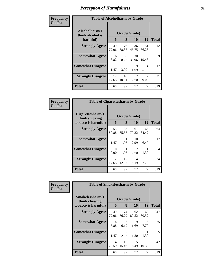| Frequency<br><b>Col Pct</b> | <b>Table of Alcoholharm by Grade</b>          |             |                   |                                     |             |              |
|-----------------------------|-----------------------------------------------|-------------|-------------------|-------------------------------------|-------------|--------------|
|                             | Alcoholharm(I<br>think alcohol is<br>harmful) | 6           | Grade(Grade)<br>8 | <b>10</b>                           | 12          | <b>Total</b> |
|                             | <b>Strongly Agree</b>                         | 49<br>72.06 | 76<br>78.35       | 36<br>46.75                         | 51<br>66.23 | 212          |
|                             | <b>Somewhat Agree</b>                         | 6<br>8.82   | 8<br>8.25         | 30<br>38.96                         | 15<br>19.48 | 59           |
|                             | <b>Somewhat Disagree</b>                      | 1.47        | 3<br>3.09         | 9<br>11.69                          | 4<br>5.19   | 17           |
|                             | <b>Strongly Disagree</b>                      | 12<br>17.65 | 10<br>10.31       | $\mathcal{D}_{\mathcal{L}}$<br>2.60 | 7<br>9.09   | 31           |
|                             | <b>Total</b>                                  | 68          | 97                | 77                                  | 77          | 319          |

| Frequency      | <b>Table of Cigarettesharm by Grade</b>                  |             |             |                                     |             |                |
|----------------|----------------------------------------------------------|-------------|-------------|-------------------------------------|-------------|----------------|
| <b>Col Pct</b> | Cigarettesharm(I<br>think smoking<br>tobacco is harmful) | 6           | 8           | Grade(Grade)<br>10                  | 12          | <b>Total</b>   |
|                | <b>Strongly Agree</b>                                    | 55<br>80.88 | 83<br>85.57 | 61<br>79.22                         | 65<br>84.42 | 264            |
|                | <b>Somewhat Agree</b>                                    | 1.47        | 1.03        | 10<br>12.99                         | 5<br>6.49   | 17             |
|                | <b>Somewhat Disagree</b>                                 | 0<br>0.00   | 1.03        | $\mathcal{D}_{\mathcal{L}}$<br>2.60 | 1.30        | $\overline{4}$ |
|                | <b>Strongly Disagree</b>                                 | 12<br>17.65 | 12<br>12.37 | 4<br>5.19                           | 6<br>7.79   | 34             |
|                | <b>Total</b>                                             | 68          | 97          | 77                                  | 77          | 319            |

| Frequency      | <b>Table of Smokelessharm by Grade</b> |             |                        |             |             |              |  |
|----------------|----------------------------------------|-------------|------------------------|-------------|-------------|--------------|--|
| <b>Col Pct</b> | Smokelessharm(I<br>think chewing       |             | Grade(Grade)           |             |             |              |  |
|                | tobacco is harmful)                    | 6           | 8                      | 10          | 12          | <b>Total</b> |  |
|                | <b>Strongly Agree</b>                  | 49<br>72.06 | 74<br>76.29            | 62<br>80.52 | 62<br>80.52 | 247          |  |
|                | <b>Somewhat Agree</b>                  | 4<br>5.88   | 6<br>6.19              | 9<br>11.69  | 6<br>7.79   | 25           |  |
|                | <b>Somewhat Disagree</b>               | 1.47        | $\mathfrak{D}$<br>2.06 | 1.30        | 1.30        | 5            |  |
|                | <b>Strongly Disagree</b>               | 14<br>20.59 | 15<br>15.46            | 5<br>6.49   | 8<br>10.39  | 42           |  |
|                | <b>Total</b>                           | 68          | 97                     | 77          | 77          | 319          |  |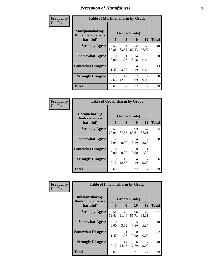| Frequency      |                                                   | <b>Table of Marijuanaharm by Grade</b> |                   |             |             |              |  |
|----------------|---------------------------------------------------|----------------------------------------|-------------------|-------------|-------------|--------------|--|
| <b>Col Pct</b> | Marijuanaharm(I<br>think marijuana is<br>harmful) | 6                                      | Grade(Grade)<br>8 | 10          | 12          | <b>Total</b> |  |
|                | <b>Strongly Agree</b>                             | 55<br>80.88                            | 81<br>83.51       | 52<br>67.53 | 60<br>77.92 | 248          |  |
|                | <b>Somewhat Agree</b>                             | 0<br>0.00                              | 1.03              | 14<br>18.18 | 5<br>6.49   | 20           |  |
|                | <b>Somewhat Disagree</b>                          | 1.47                                   | 3<br>3.09         | 4<br>5.19   | 5<br>6.49   | 13           |  |
|                | <b>Strongly Disagree</b>                          | 12<br>17.65                            | 12<br>12.37       | 9.09        | 7<br>9.09   | 38           |  |
|                | <b>Total</b>                                      | 68                                     | 97                | 77          | 77          | 319          |  |

| Frequency      | <b>Table of Cocaineharm by Grade</b>          |                        |                   |             |                        |              |
|----------------|-----------------------------------------------|------------------------|-------------------|-------------|------------------------|--------------|
| <b>Col Pct</b> | Cocaineharm(I<br>think cocaine is<br>harmful) | 6                      | Grade(Grade)<br>8 | 10          | 12                     | <b>Total</b> |
|                | <b>Strongly Agree</b>                         | 53<br>77.94            | 85<br>87.63       | 69<br>89.61 | 67<br>87.01            | 274          |
|                | <b>Somewhat Agree</b>                         | $\mathfrak{D}$<br>2.94 | 0<br>0.00         | 4<br>5.19   | $\mathfrak{D}$<br>2.60 | 8            |
|                | <b>Somewhat Disagree</b>                      | 0<br>0.00              | 0<br>0.00         | 0<br>0.00   | 1.30                   |              |
|                | <b>Strongly Disagree</b>                      | 13<br>19.12            | 12<br>12.37       | 4<br>5.19   | 7<br>9.09              | 36           |
|                | <b>Total</b>                                  | 68                     | 97                | 77          | 77                     | 319          |

| Frequency      | <b>Table of Inhalantsharm by Grade</b>  |             |             |              |                           |              |
|----------------|-----------------------------------------|-------------|-------------|--------------|---------------------------|--------------|
| <b>Col Pct</b> | Inhalantsharm(I)<br>think inhalants are |             |             | Grade(Grade) |                           |              |
|                | harmful)                                | 6           | 8           | 10           | 12                        | <b>Total</b> |
|                | <b>Strongly Agree</b>                   | 54<br>79.41 | 79<br>81.44 | 66<br>85.71  | 68<br>88.31               | 267          |
|                | <b>Somewhat Agree</b>                   | 0<br>0.00   | 3<br>3.09   | 5<br>6.49    | $\mathfrak{D}$<br>2.60    | 10           |
|                | <b>Somewhat Disagree</b>                | 1.47        | 1.03        | 0<br>0.00    | $\mathbf{\Omega}$<br>0.00 | 2            |
|                | <b>Strongly Disagree</b>                | 13<br>19.12 | 14<br>14.43 | 6<br>7.79    | 9.09                      | 40           |
|                | <b>Total</b>                            | 68          | 97          | 77           | 77                        | 319          |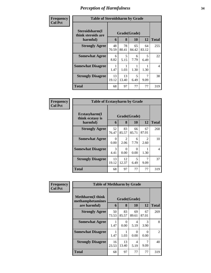| Frequency      | <b>Table of Steroidsharm by Grade</b>            |             |                   |             |             |                |
|----------------|--------------------------------------------------|-------------|-------------------|-------------|-------------|----------------|
| <b>Col Pct</b> | Steroidsharm(I<br>think steroids are<br>harmful) | 6           | Grade(Grade)<br>8 | 10          | 12          | <b>Total</b>   |
|                | <b>Strongly Agree</b>                            | 48<br>70.59 | 78<br>80.41       | 65<br>84.42 | 64<br>83.12 | 255            |
|                | <b>Somewhat Agree</b>                            | 6<br>8.82   | 5<br>5.15         | 6<br>7.79   | 5<br>6.49   | 22             |
|                | <b>Somewhat Disagree</b>                         | 1.47        | 1.03              | 1.30        | 1.30        | $\overline{4}$ |
|                | <b>Strongly Disagree</b>                         | 13<br>19.12 | 13<br>13.40       | 5<br>6.49   | 9.09        | 38             |
|                | <b>Total</b>                                     | 68          | 97                | 77          | 77          | 319            |

| Frequency      | <b>Table of Ecstasyharm by Grade</b>                |                   |                        |             |                        |                |  |
|----------------|-----------------------------------------------------|-------------------|------------------------|-------------|------------------------|----------------|--|
| <b>Col Pct</b> | $E$ cstasyharm $(I$<br>think ecstasy is<br>harmful) | Grade(Grade)<br>6 | <b>Total</b>           |             |                        |                |  |
|                | <b>Strongly Agree</b>                               | 52<br>76.47       | 83<br>85.57            | 66<br>85.71 | 67<br>87.01            | 268            |  |
|                | <b>Somewhat Agree</b>                               | 0<br>0.00         | $\mathfrak{D}$<br>2.06 | 6<br>7.79   | $\mathfrak{D}$<br>2.60 | 10             |  |
|                | <b>Somewhat Disagree</b>                            | 3<br>4.41         | 0<br>0.00              | 0<br>0.00   | 1.30                   | $\overline{4}$ |  |
|                | <b>Strongly Disagree</b>                            | 13<br>19.12       | 12<br>12.37            | 5<br>6.49   | 7<br>9.09              | 37             |  |
|                | <b>Total</b>                                        | 68                | 97                     | 77          | 77                     | 319            |  |

| Frequency      | <b>Table of Methharm by Grade</b>            |              |             |             |                       |              |  |
|----------------|----------------------------------------------|--------------|-------------|-------------|-----------------------|--------------|--|
| <b>Col Pct</b> | <b>Methharm</b> (I think<br>methamphetamines | Grade(Grade) |             |             |                       |              |  |
|                | are harmful)                                 | 6            | 8           | 10          | 12                    | <b>Total</b> |  |
|                | <b>Strongly Agree</b>                        | 50<br>73.53  | 83<br>85.57 | 69<br>89.61 | 67<br>87.01           | 269          |  |
|                | <b>Somewhat Agree</b>                        | 1.47         | 0<br>0.00   | 4<br>5.19   | $\mathcal{R}$<br>3.90 | 8            |  |
|                | <b>Somewhat Disagree</b>                     | 1.47         | 1.03        | 0<br>0.00   | 0.00                  | 2            |  |
|                | <b>Strongly Disagree</b>                     | 16<br>23.53  | 13<br>13.40 | 4<br>5.19   | 7<br>9.09             | 40           |  |
|                | <b>Total</b>                                 | 68           | 97          | 77          | 77                    | 319          |  |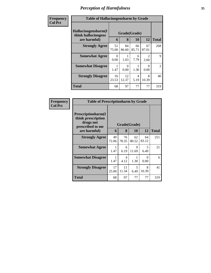| Frequency      | <b>Table of Hallucinogensharm by Grade</b>                                                 |                  |                  |             |                                     |                |  |
|----------------|--------------------------------------------------------------------------------------------|------------------|------------------|-------------|-------------------------------------|----------------|--|
| <b>Col Pct</b> | Hallucinogensharm(I<br>Grade(Grade)<br>think hallucinogens<br>are harmful)<br>8<br>10<br>6 |                  |                  |             | 12                                  | <b>Total</b>   |  |
|                | <b>Strongly Agree</b>                                                                      | 51<br>75.00      | 84<br>86.60      | 66<br>85.71 | 67<br>87.01                         | 268            |  |
|                | <b>Somewhat Agree</b>                                                                      | $\Omega$<br>0.00 | 1.03             | 6<br>7.79   | $\mathcal{D}_{\mathcal{A}}$<br>2.60 | 9              |  |
|                | <b>Somewhat Disagree</b>                                                                   | 1.47             | $\theta$<br>0.00 | 1.30        | $\Omega$<br>0.00                    | $\overline{2}$ |  |
|                | <b>Strongly Disagree</b>                                                                   | 16<br>23.53      | 12<br>12.37      | 4<br>5.19   | 8<br>10.39                          | 40             |  |
|                | <b>Total</b>                                                                               | 68               | 97               | 77          | 77                                  | 319            |  |

| Frequency      | <b>Table of Prescriptionharm by Grade</b>                                         |              |             |             |                           |              |  |  |
|----------------|-----------------------------------------------------------------------------------|--------------|-------------|-------------|---------------------------|--------------|--|--|
| <b>Col Pct</b> | <b>Prescriptionharm(I)</b><br>think prescription<br>drugs not<br>prescribed to me | Grade(Grade) |             |             |                           |              |  |  |
|                | are harmful)                                                                      | 6            | 8           | <b>10</b>   | 12                        | <b>Total</b> |  |  |
|                | <b>Strongly Agree</b>                                                             | 49<br>72.06  | 76<br>78.35 | 62<br>80.52 | 64<br>83.12               | 251          |  |  |
|                | <b>Somewhat Agree</b>                                                             | 1<br>1.47    | 6<br>6.19   | 9<br>11.69  | 5<br>6.49                 | 21           |  |  |
|                | <b>Somewhat Disagree</b>                                                          | 1.47         | 4<br>4.12   | 1.30        | $\mathbf{\Omega}$<br>0.00 | 6            |  |  |
|                | <b>Strongly Disagree</b>                                                          | 17<br>25.00  | 11<br>11.34 | 5<br>6.49   | 8<br>10.39                | 41           |  |  |
|                | Total                                                                             | 68           | 97          | 77          | 77                        | 319          |  |  |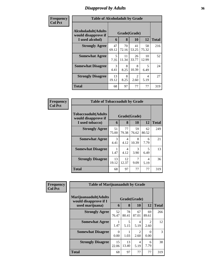### *Disapproval by Adults* **36**

| Frequency      | <b>Table of Alcoholadult by Grade</b>                                 |             |                   |                                     |             |              |  |
|----------------|-----------------------------------------------------------------------|-------------|-------------------|-------------------------------------|-------------|--------------|--|
| <b>Col Pct</b> | <b>Alcoholadult</b> (Adults<br>would disapprove if<br>I used alcohol) | 6           | Grade(Grade)<br>8 | 10                                  | 12          | <b>Total</b> |  |
|                | <b>Strongly Agree</b>                                                 | 47<br>69.12 | 70<br>72.16       | 41<br>53.25                         | 58<br>75.32 | 216          |  |
|                | <b>Somewhat Agree</b>                                                 | 5<br>7.35   | 11<br>11.34       | 26<br>33.77                         | 10<br>12.99 | 52           |  |
|                | <b>Somewhat Disagree</b>                                              | 3<br>4.41   | 8<br>8.25         | 8<br>10.39                          | 5<br>6.49   | 24           |  |
|                | <b>Strongly Disagree</b>                                              | 13<br>19.12 | 8<br>8.25         | $\mathcal{D}_{\mathcal{L}}$<br>2.60 | 4<br>5.19   | 27           |  |
|                | <b>Total</b>                                                          | 68          | 97                | 77                                  | 77          | 319          |  |

| Frequency      | <b>Table of Tobaccoadult by Grade</b>                         |                                           |             |             |             |     |  |
|----------------|---------------------------------------------------------------|-------------------------------------------|-------------|-------------|-------------|-----|--|
| <b>Col Pct</b> | Tobaccoadult(Adults<br>would disapprove if<br>I used tobacco) | Grade(Grade)<br>8<br>12<br><b>10</b><br>6 |             |             |             |     |  |
|                | <b>Strongly Agree</b>                                         | 51<br>75.00                               | 77<br>79.38 | 59<br>76.62 | 62<br>80.52 | 249 |  |
|                | <b>Somewhat Agree</b>                                         | 3<br>4.41                                 | 4<br>4.12   | 8<br>10.39  | 6<br>7.79   | 21  |  |
|                | <b>Somewhat Disagree</b>                                      | 1.47                                      | 4<br>4.12   | 3<br>3.90   | 5<br>6.49   | 13  |  |
|                | <b>Strongly Disagree</b>                                      | 13<br>19.12                               | 12<br>12.37 | 7<br>9.09   | 4<br>5.19   | 36  |  |
|                | <b>Total</b>                                                  | 68                                        | 97          | 77          | 77          | 319 |  |

| Frequency      | <b>Table of Marijuanaadult by Grade</b>        |              |             |             |                                     |              |
|----------------|------------------------------------------------|--------------|-------------|-------------|-------------------------------------|--------------|
| <b>Col Pct</b> | Marijuanaadult(Adults<br>would disapprove if I | Grade(Grade) |             |             |                                     |              |
|                | used marijuana)                                | 6            | 8           | 10          | 12                                  | <b>Total</b> |
|                | <b>Strongly Agree</b>                          | 52<br>76.47  | 78<br>80.41 | 67<br>87.01 | 69<br>89.61                         | 266          |
|                | <b>Somewhat Agree</b>                          | 1.47         | 5<br>5.15   | 4<br>5.19   | $\mathcal{D}_{\mathcal{L}}$<br>2.60 | 12           |
|                | <b>Somewhat Disagree</b>                       | 0<br>0.00    | 1.03        | 2<br>2.60   | $\Omega$<br>0.00                    | 3            |
|                | <b>Strongly Disagree</b>                       | 15<br>22.06  | 13<br>13.40 | 4<br>5.19   | 6<br>7.79                           | 38           |
|                | <b>Total</b>                                   | 68           | 97          | 77          | 77                                  | 319          |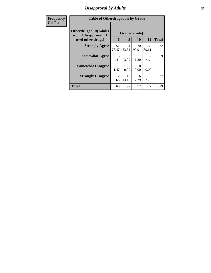## *Disapproval by Adults* **37**

| <b>Frequency</b> | <b>Table of Otherdrugadult by Grade</b>                                     |             |                   |             |                  |              |
|------------------|-----------------------------------------------------------------------------|-------------|-------------------|-------------|------------------|--------------|
| <b>Col Pct</b>   | <b>Otherdrugadult</b> (Adults<br>would disapprove if I<br>used other drugs) | 6           | Grade(Grade)<br>8 | 10          | 12               | <b>Total</b> |
|                  | <b>Strongly Agree</b>                                                       | 52<br>76.47 | 81<br>83.51       | 70<br>90.91 | 69<br>89.61      | 272          |
|                  | <b>Somewhat Agree</b>                                                       | 3<br>4.41   | 3<br>3.09         | 1.30        | 2<br>2.60        | 9            |
|                  | <b>Somewhat Disagree</b>                                                    | 1.47        | 0<br>0.00         | 0<br>0.00   | $\Omega$<br>0.00 |              |
|                  | <b>Strongly Disagree</b>                                                    | 12<br>17.65 | 13<br>13.40       | 6<br>7.79   | 6<br>7.79        | 37           |
|                  | <b>Total</b>                                                                | 68          | 97                | 77          | 77               | 319          |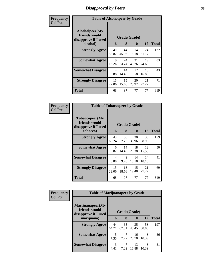## *Disapproval by Peers* **38**

| Frequency      | <b>Table of Alcoholpeer by Grade</b>                    |             |              |             |             |              |
|----------------|---------------------------------------------------------|-------------|--------------|-------------|-------------|--------------|
| <b>Col Pct</b> | Alcoholpeer(My<br>friends would<br>disapprove if I used |             | Grade(Grade) |             |             |              |
|                | alcohol)                                                | 6           | 8            | 10          | 12          | <b>Total</b> |
|                | <b>Strongly Agree</b>                                   | 40<br>58.82 | 44<br>45.36  | 14<br>18.18 | 24<br>31.17 | 122          |
|                | <b>Somewhat Agree</b>                                   | 9<br>13.24  | 24<br>24.74  | 31<br>40.26 | 19<br>24.68 | 83           |
|                | <b>Somewhat Disagree</b>                                | 4<br>5.88   | 14<br>14.43  | 12<br>15.58 | 13<br>16.88 | 43           |
|                | <b>Strongly Disagree</b>                                | 15<br>22.06 | 15<br>15.46  | 20<br>25.97 | 21<br>27.27 | 71           |
|                | Total                                                   | 68          | 97           | 77          | 77          | 319          |

| Frequency      | <b>Table of Tobaccopeer by Grade</b>                            |             |              |             |             |              |
|----------------|-----------------------------------------------------------------|-------------|--------------|-------------|-------------|--------------|
| <b>Col Pct</b> | <b>Tobaccopeer</b> (My<br>friends would<br>disapprove if I used |             | Grade(Grade) |             |             |              |
|                | tobacco)                                                        | 6           | 8            | 10          | 12          | <b>Total</b> |
|                | <b>Strongly Agree</b>                                           | 43<br>63.24 | 56<br>57.73  | 30<br>38.96 | 30<br>38.96 | 159          |
|                | <b>Somewhat Agree</b>                                           | 6<br>8.82   | 14<br>14.43  | 18<br>23.38 | 12<br>15.58 | 50           |
|                | <b>Somewhat Disagree</b>                                        | 4<br>5.88   | 9<br>9.28    | 14<br>18.18 | 14<br>18.18 | 41           |
|                | <b>Strongly Disagree</b>                                        | 15<br>22.06 | 18<br>18.56  | 15<br>19.48 | 21<br>27.27 | 69           |
|                | Total                                                           | 68          | 97           | 77          | 77          | 319          |

| Frequency      |                                                           | <b>Table of Marijuanapeer by Grade</b> |                                    |             |             |              |  |  |  |
|----------------|-----------------------------------------------------------|----------------------------------------|------------------------------------|-------------|-------------|--------------|--|--|--|
| <b>Col Pct</b> | Marijuanapeer(My<br>friends would<br>disapprove if I used |                                        | Grade(Grade)<br>12<br>8<br>10<br>6 |             |             |              |  |  |  |
|                | marijuana)                                                |                                        |                                    |             |             | <b>Total</b> |  |  |  |
|                | <b>Strongly Agree</b>                                     | 44<br>64.71                            | 65<br>67.01                        | 35<br>45.45 | 53<br>68.83 | 197          |  |  |  |
|                | <b>Somewhat Agree</b>                                     | 5<br>7.35                              | 7.22                               | 16<br>20.78 | 8<br>10.39  | 36           |  |  |  |
|                | <b>Somewhat Disagree</b>                                  | $\mathcal{R}$<br>4.41                  | 7.22                               | 13<br>16.88 | 8<br>10.39  | 31           |  |  |  |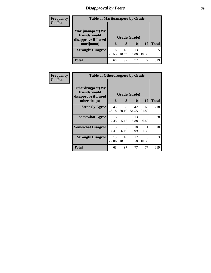# *Disapproval by Peers* **39**

| <b>Frequency</b> | <b>Table of Marijuanapeer by Grade</b>                    |              |             |             |            |              |  |  |  |
|------------------|-----------------------------------------------------------|--------------|-------------|-------------|------------|--------------|--|--|--|
| <b>Col Pct</b>   | Marijuanapeer(My<br>friends would<br>disapprove if I used | Grade(Grade) |             |             |            |              |  |  |  |
|                  | marijuana)                                                | 6            | 8           | 10          | 12         | <b>Total</b> |  |  |  |
|                  | <b>Strongly Disagree</b>                                  | 16<br>23.53  | 18<br>18.56 | 13<br>16.88 | 8<br>10.39 | 55           |  |  |  |
|                  | <b>Total</b>                                              | 68           | 97          | 77          | 77         | 319          |  |  |  |

| Frequency      | <b>Table of Otherdrugpeer by Grade</b>                                    |             |                   |             |             |              |
|----------------|---------------------------------------------------------------------------|-------------|-------------------|-------------|-------------|--------------|
| <b>Col Pct</b> | Otherdrugpeer(My<br>friends would<br>disapprove if I used<br>other drugs) | 6           | Grade(Grade)<br>8 | 10          | 12          | <b>Total</b> |
|                | <b>Strongly Agree</b>                                                     | 45<br>66.18 | 68<br>70.10       | 42<br>54.55 | 63<br>81.82 | 218          |
|                | <b>Somewhat Agree</b>                                                     | 5<br>7.35   | 5<br>5.15         | 13<br>16.88 | 5<br>6.49   | 28           |
|                | <b>Somewhat Disagree</b>                                                  | 3<br>4.41   | 6<br>6.19         | 10<br>12.99 | 1.30        | 20           |
|                | <b>Strongly Disagree</b>                                                  | 15<br>22.06 | 18<br>18.56       | 12<br>15.58 | 8<br>10.39  | 53           |
|                | Total                                                                     | 68          | 97                | 77          | 77          | 319          |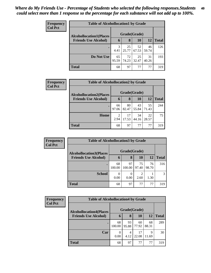| Frequency<br><b>Col Pct</b> | <b>Table of Alcohollocation1 by Grade</b> |              |             |             |             |              |  |  |
|-----------------------------|-------------------------------------------|--------------|-------------|-------------|-------------|--------------|--|--|
|                             | <b>Alcohollocation1(Places</b>            | Grade(Grade) |             |             |             |              |  |  |
|                             | <b>Friends Use Alcohol)</b>               | 6            | 8           | 10          | 12          | <b>Total</b> |  |  |
|                             |                                           | 3<br>4.41    | 25<br>25.77 | 52<br>67.53 | 46<br>59.74 | 126          |  |  |
|                             | Do Not Use                                | 65<br>95.59  | 72<br>74.23 | 25<br>32.47 | 31<br>40.26 | 193          |  |  |
|                             | <b>Total</b>                              | 68           | 97          | 77          | 77          | 319          |  |  |

| Frequency      | <b>Table of Alcohollocation2 by Grade</b> |                                     |             |              |             |              |  |
|----------------|-------------------------------------------|-------------------------------------|-------------|--------------|-------------|--------------|--|
| <b>Col Pct</b> | <b>Alcohollocation2(Places</b>            |                                     |             | Grade(Grade) |             |              |  |
|                | <b>Friends Use Alcohol)</b>               | 6                                   | 8           | 10           | <b>12</b>   | <b>Total</b> |  |
|                |                                           | 66<br>97.06                         | 80<br>82.47 | 43<br>55.84  | 55<br>71.43 | 244          |  |
|                | Home                                      | $\mathcal{D}_{\mathcal{L}}$<br>2.94 | 17<br>17.53 | 34<br>44.16  | 22<br>28.57 | 75           |  |
|                | <b>Total</b>                              | 68                                  | 97          | 77           | 77          | 319          |  |

| Frequency      | <b>Table of Alcohollocation3 by Grade</b> |              |              |             |             |              |  |
|----------------|-------------------------------------------|--------------|--------------|-------------|-------------|--------------|--|
| <b>Col Pct</b> | <b>Alcohollocation3</b> (Places           | Grade(Grade) |              |             |             |              |  |
|                | <b>Friends Use Alcohol)</b>               | 6            | 8            | 10          | 12          | <b>Total</b> |  |
|                |                                           | 68<br>100.00 | 97<br>100.00 | 75<br>97.40 | 76<br>98.70 | 316          |  |
|                | <b>School</b>                             | 0.00         | 0.00         | 2.60        | 1.30        | 3            |  |
|                | <b>Total</b>                              | 68           | 97           | 77          | 77          | 319          |  |

| Frequency      | <b>Table of Alcohollocation4 by Grade</b> |              |             |             |             |              |  |
|----------------|-------------------------------------------|--------------|-------------|-------------|-------------|--------------|--|
| <b>Col Pct</b> | <b>Alcohollocation4(Places</b>            | Grade(Grade) |             |             |             |              |  |
|                | <b>Friends Use Alcohol)</b>               | 6            | 8           | 10          | 12          | <b>Total</b> |  |
|                |                                           | 68<br>100.00 | 93<br>95.88 | 60<br>77.92 | 68<br>88.31 | 289          |  |
|                | Car                                       | 0.00         | 4<br>4.12   | 17<br>22.08 | 9<br>11.69  | 30           |  |
|                | <b>Total</b>                              | 68           | 97          | 77          | 77          | 319          |  |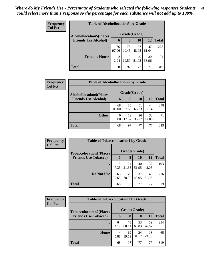| <b>Frequency</b><br><b>Col Pct</b> | <b>Table of Alcohollocation5 by Grade</b> |              |             |             |             |              |  |
|------------------------------------|-------------------------------------------|--------------|-------------|-------------|-------------|--------------|--|
|                                    | <b>Alcohollocation5</b> (Places           | Grade(Grade) |             |             |             |              |  |
|                                    | <b>Friends Use Alcohol)</b>               | 6            | 8           | 10          | 12          | <b>Total</b> |  |
|                                    |                                           | 66<br>97.06  | 78<br>80.41 | 37<br>48.05 | 47<br>61.04 | 228          |  |
|                                    | <b>Friend's House</b>                     | 2<br>2.94    | 19<br>19.59 | 40<br>51.95 | 30<br>38.96 | 91           |  |
|                                    | Total                                     | 68           | 97          | 77          | 77          | 319          |  |

| <b>Frequency</b> |                                                               | <b>Table of Alcohollocation6 by Grade</b> |       |                    |           |              |  |  |
|------------------|---------------------------------------------------------------|-------------------------------------------|-------|--------------------|-----------|--------------|--|--|
| <b>Col Pct</b>   | <b>Alcohollocation6(Places</b><br><b>Friends Use Alcohol)</b> | 6                                         | 8     | Grade(Grade)<br>10 | <b>12</b> | <b>Total</b> |  |  |
|                  |                                                               |                                           |       |                    |           |              |  |  |
|                  |                                                               | 68                                        | 85    | 51                 | 44        | 248          |  |  |
|                  |                                                               | 100.00                                    | 87.63 | 66.23              | 57.14     |              |  |  |
|                  | <b>Other</b>                                                  | 0                                         | 12    | 26                 | 33        | 71           |  |  |
|                  |                                                               | 0.00                                      | 12.37 | 33.77              | 42.86     |              |  |  |
|                  | <b>Total</b>                                                  | 68                                        | 97    | 77                 | 77        | 319          |  |  |

| Frequency      |                                | <b>Table of Tobaccolocation1 by Grade</b> |             |             |             |              |  |  |  |
|----------------|--------------------------------|-------------------------------------------|-------------|-------------|-------------|--------------|--|--|--|
| <b>Col Pct</b> | <b>Tobaccolocation1(Places</b> | Grade(Grade)                              |             |             |             |              |  |  |  |
|                | <b>Friends Use Tobacco)</b>    | 6                                         | 8           | 10          | 12          | <b>Total</b> |  |  |  |
|                |                                | 7.35                                      | 21<br>21.65 | 40<br>51.95 | 37<br>48.05 | 103          |  |  |  |
|                | Do Not Use                     | 63<br>92.65                               | 76<br>78.35 | 37<br>48.05 | 40<br>51.95 | 216          |  |  |  |
|                | <b>Total</b>                   | 68                                        | 97          | 77          | 77          | 319          |  |  |  |

| Frequency      |                                | <b>Table of Tobaccolocation2 by Grade</b> |             |             |             |              |  |  |  |
|----------------|--------------------------------|-------------------------------------------|-------------|-------------|-------------|--------------|--|--|--|
| <b>Col Pct</b> | <b>Tobaccolocation2(Places</b> | Grade(Grade)                              |             |             |             |              |  |  |  |
|                | <b>Friends Use Tobacco)</b>    | 6                                         | 8           | 10          | <b>12</b>   | <b>Total</b> |  |  |  |
|                |                                | 64<br>94.12                               | 78<br>80.41 | 53<br>68.83 | 59<br>76.62 | 254          |  |  |  |
|                | Home                           | 4<br>5.88                                 | 19<br>19.59 | 24<br>31.17 | 18<br>23.38 | 65           |  |  |  |
|                | <b>Total</b>                   | 68                                        | 97          | 77          | 77          | 319          |  |  |  |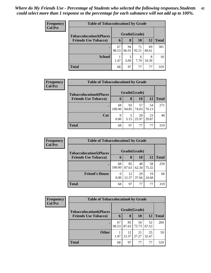| <b>Frequency</b><br><b>Col Pct</b> | <b>Table of Tobaccolocation 3 by Grade</b> |              |             |             |             |              |  |  |
|------------------------------------|--------------------------------------------|--------------|-------------|-------------|-------------|--------------|--|--|
|                                    | <b>Tobaccolocation3(Places</b>             | Grade(Grade) |             |             |             |              |  |  |
|                                    | <b>Friends Use Tobacco)</b>                | 6            | 8           | 10          | <b>12</b>   | <b>Total</b> |  |  |
|                                    |                                            | 67<br>98.53  | 94<br>96.91 | 71<br>92.21 | 69<br>89.61 | 301          |  |  |
|                                    | <b>School</b>                              | 1.47         | 3<br>3.09   | 6<br>7.79   | 8<br>10.39  | 18           |  |  |
|                                    | <b>Total</b>                               | 68           | 97          | 77          | 77          | 319          |  |  |

| <b>Frequency</b> |                                | <b>Table of Tobaccolocation4 by Grade</b> |       |           |       |              |  |  |
|------------------|--------------------------------|-------------------------------------------|-------|-----------|-------|--------------|--|--|
| <b>Col Pct</b>   | <b>Tobaccolocation4(Places</b> | Grade(Grade)                              |       |           |       |              |  |  |
|                  | <b>Friends Use Tobacco)</b>    | 6                                         | 8     | <b>10</b> | 12    | <b>Total</b> |  |  |
|                  |                                | 68                                        | 92    | 57        | 54    | 271          |  |  |
|                  |                                | 100.00                                    | 94.85 | 74.03     | 70.13 |              |  |  |
|                  | Car                            | 0                                         | 5     | 20        | 23    | 48           |  |  |
|                  |                                | 0.00                                      | 5.15  | 25.97     | 29.87 |              |  |  |
|                  | <b>Total</b>                   | 68                                        | 97    | 77        | 77    | 319          |  |  |

| Frequency      |                                | <b>Table of Tobaccolocation5 by Grade</b> |             |             |             |              |  |  |  |
|----------------|--------------------------------|-------------------------------------------|-------------|-------------|-------------|--------------|--|--|--|
| <b>Col Pct</b> | <b>Tobaccolocation5(Places</b> | Grade(Grade)                              |             |             |             |              |  |  |  |
|                | <b>Friends Use Tobacco)</b>    | 6                                         | 8           | 10          | 12          | <b>Total</b> |  |  |  |
|                |                                | 68<br>100.00                              | 85<br>87.63 | 48<br>62.34 | 58<br>75.32 | 259          |  |  |  |
|                | <b>Friend's House</b>          | 0<br>0.00                                 | 12<br>12.37 | 29<br>37.66 | 19<br>24.68 | 60           |  |  |  |
|                | <b>Total</b>                   | 68                                        | 97          | 77          | 77          | 319          |  |  |  |

| Frequency<br><b>Col Pct</b> |                                | <b>Table of Tobaccolocation6 by Grade</b> |             |             |             |              |  |  |  |
|-----------------------------|--------------------------------|-------------------------------------------|-------------|-------------|-------------|--------------|--|--|--|
|                             | <b>Tobaccolocation6(Places</b> | Grade(Grade)                              |             |             |             |              |  |  |  |
|                             | <b>Friends Use Tobacco)</b>    | 6                                         | 8           | 10          | <b>12</b>   | <b>Total</b> |  |  |  |
|                             |                                | 67<br>98.53                               | 85<br>87.63 | 56<br>72.73 | 52<br>67.53 | 260          |  |  |  |
|                             | <b>Other</b>                   | 1.47                                      | 12<br>12.37 | 21<br>27.27 | 25<br>32.47 | 59           |  |  |  |
|                             | <b>Total</b>                   | 68                                        | 97          | 77          | 77          | 319          |  |  |  |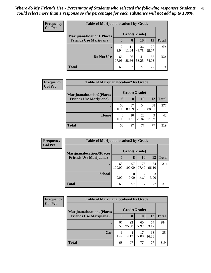| <b>Frequency</b> |                                  | <b>Table of Marijuanalocation1 by Grade</b> |             |             |             |              |  |  |  |
|------------------|----------------------------------|---------------------------------------------|-------------|-------------|-------------|--------------|--|--|--|
| <b>Col Pct</b>   | <b>Marijuanalocation1(Places</b> | Grade(Grade)                                |             |             |             |              |  |  |  |
|                  | <b>Friends Use Marijuana</b> )   | 6                                           | 8           | 10          | 12          | <b>Total</b> |  |  |  |
|                  |                                  | 2.94                                        | 11<br>11.34 | 36<br>46.75 | 20<br>25.97 | 69           |  |  |  |
|                  | Do Not Use                       | 66<br>97.06                                 | 86<br>88.66 | 41<br>53.25 | 57<br>74.03 | 250          |  |  |  |
|                  | Total                            | 68                                          | 97          | 77          | 77          | 319          |  |  |  |

| Frequency      |                                   | <b>Table of Marijuanalocation2 by Grade</b> |              |             |             |              |  |  |
|----------------|-----------------------------------|---------------------------------------------|--------------|-------------|-------------|--------------|--|--|
| <b>Col Pct</b> | <b>Marijuanalocation2(Places)</b> |                                             | Grade(Grade) |             |             |              |  |  |
|                | <b>Friends Use Marijuana</b> )    | 6                                           | 8            | 10          | 12          | <b>Total</b> |  |  |
|                |                                   | 68<br>100.00                                | 87<br>89.69  | 54<br>70.13 | 68<br>88.31 | 277          |  |  |
|                | Home                              | 0<br>0.00                                   | 10<br>10.31  | 23<br>29.87 | 9<br>11.69  | 42           |  |  |
|                | <b>Total</b>                      | 68                                          | 97           | 77          | 77          | 319          |  |  |

| <b>Frequency</b> | <b>Table of Marijuanalocation 3 by Grade</b> |              |              |             |             |              |  |  |
|------------------|----------------------------------------------|--------------|--------------|-------------|-------------|--------------|--|--|
| <b>Col Pct</b>   | <b>Marijuanalocation3(Places)</b>            | Grade(Grade) |              |             |             |              |  |  |
|                  | <b>Friends Use Marijuana</b> )               | 6            | 8            | 10          | 12          | <b>Total</b> |  |  |
|                  |                                              | 68<br>100.00 | 97<br>100.00 | 75<br>97.40 | 74<br>96.10 | 314          |  |  |
|                  | <b>School</b>                                | 0<br>0.00    | 0<br>0.00    | 2.60        | 3<br>3.90   | 5            |  |  |
|                  | <b>Total</b>                                 | 68           | 97           | 77          | 77          | 319          |  |  |

| Frequency      | <b>Table of Marijuanalocation4 by Grade</b> |              |             |             |             |              |
|----------------|---------------------------------------------|--------------|-------------|-------------|-------------|--------------|
| <b>Col Pct</b> | <b>Marijuanalocation4(Places)</b>           | Grade(Grade) |             |             |             |              |
|                | <b>Friends Use Marijuana</b> )              | 6            | 8           | 10          | 12          | <b>Total</b> |
|                |                                             | 67<br>98.53  | 93<br>95.88 | 60<br>77.92 | 64<br>83.12 | 284          |
|                | Car                                         | 1.47         | 4<br>4.12   | 17<br>22.08 | 13<br>16.88 | 35           |
|                | <b>Total</b>                                | 68           | 97          | 77          | 77          | 319          |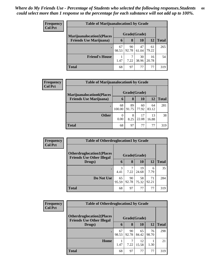| <b>Frequency</b> | <b>Table of Marijuanalocation5 by Grade</b> |              |             |             |             |              |  |  |
|------------------|---------------------------------------------|--------------|-------------|-------------|-------------|--------------|--|--|
| <b>Col Pct</b>   | <b>Marijuanalocation5</b> (Places           | Grade(Grade) |             |             |             |              |  |  |
|                  | <b>Friends Use Marijuana</b> )              | $\mathbf b$  | 8           | 10          | 12          | <b>Total</b> |  |  |
|                  |                                             | 67<br>98.53  | 90<br>92.78 | 47<br>61.04 | 61<br>79.22 | 265          |  |  |
|                  | <b>Friend's House</b>                       | 1.47         | ⇁<br>7.22   | 30<br>38.96 | 16<br>20.78 | .54          |  |  |
|                  | <b>Total</b>                                | 68           | 97          | 77          | 77          | 319          |  |  |

| Frequency      |                                  | <b>Table of Marijuanalocation6 by Grade</b> |             |             |             |              |  |  |
|----------------|----------------------------------|---------------------------------------------|-------------|-------------|-------------|--------------|--|--|
| <b>Col Pct</b> | <b>Marijuanalocation6(Places</b> | Grade(Grade)                                |             |             |             |              |  |  |
|                | <b>Friends Use Marijuana</b> )   | 6                                           | 8           | 10          | <b>12</b>   | <b>Total</b> |  |  |
|                |                                  | 68<br>100.00                                | 89<br>91.75 | 60<br>77.92 | 64<br>83.12 | 281          |  |  |
|                | <b>Other</b>                     | $\Omega$<br>0.00                            | 8<br>8.25   | 17<br>22.08 | 13<br>16.88 | 38           |  |  |
|                | <b>Total</b>                     | 68                                          | 97          | 77          | 77          | 319          |  |  |

| Frequency      | <b>Table of Otherdruglocation1 by Grade</b>                          |              |             |             |             |              |
|----------------|----------------------------------------------------------------------|--------------|-------------|-------------|-------------|--------------|
| <b>Col Pct</b> | <b>Otherdruglocation1(Places</b><br><b>Friends Use Other Illegal</b> | Grade(Grade) |             |             |             |              |
|                | Drugs)                                                               | 6            | 8           | <b>10</b>   | 12          | <b>Total</b> |
|                |                                                                      | 3<br>4.41    | 7.22        | 19<br>24.68 | 6<br>7.79   | 35           |
|                | Do Not Use                                                           | 65<br>95.59  | 90<br>92.78 | 58<br>75.32 | 71<br>92.21 | 284          |
|                | <b>Total</b>                                                         | 68           | 97          | 77          | 77          | 319          |

| <b>Frequency</b> |                                                                       | <b>Table of Otherdruglocation2 by Grade</b> |              |             |             |              |  |
|------------------|-----------------------------------------------------------------------|---------------------------------------------|--------------|-------------|-------------|--------------|--|
| <b>Col Pct</b>   | <b>Otherdruglocation2(Places)</b><br><b>Friends Use Other Illegal</b> |                                             | Grade(Grade) |             |             |              |  |
|                  | Drugs)                                                                | 6                                           | 8            | <b>10</b>   | <b>12</b>   | <b>Total</b> |  |
|                  | $\bullet$                                                             | 67<br>98.53                                 | 90<br>92.78  | 65<br>84.42 | 76<br>98.70 | 298          |  |
|                  | Home                                                                  | 1.47                                        | 7.22         | 12<br>15.58 | 1.30        | 21           |  |
|                  | <b>Total</b>                                                          | 68                                          | 97           | 77          | 77          | 319          |  |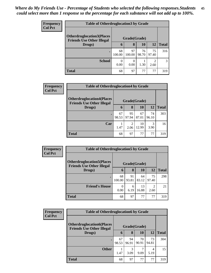| <b>Frequency</b> | <b>Table of Otherdruglocation 3 by Grade</b>                          |                  |              |             |                        |              |  |
|------------------|-----------------------------------------------------------------------|------------------|--------------|-------------|------------------------|--------------|--|
| <b>Col Pct</b>   | <b>Otherdruglocation3(Places)</b><br><b>Friends Use Other Illegal</b> | Grade(Grade)     |              |             |                        |              |  |
|                  | Drugs)                                                                | $\mathbf b$      | 8            | 10          | 12                     | <b>Total</b> |  |
|                  |                                                                       | 68<br>100.00     | 97<br>100.00 | 76<br>98.70 | 75<br>97.40            | 316          |  |
|                  | <b>School</b>                                                         | $\Omega$<br>0.00 | 0<br>0.00    | 1.30        | $\mathfrak{D}$<br>2.60 | 3            |  |
|                  | <b>Total</b>                                                          | 68               | 97           | 77          | 77                     | 319          |  |

| <b>Frequency</b> | <b>Table of Otherdruglocation4 by Grade</b>                          |             |              |             |             |              |  |
|------------------|----------------------------------------------------------------------|-------------|--------------|-------------|-------------|--------------|--|
| <b>Col Pct</b>   | <b>Otherdruglocation4(Places</b><br><b>Friends Use Other Illegal</b> |             | Grade(Grade) |             |             |              |  |
|                  | Drugs)                                                               | 6           | 8            | 10          | 12          | <b>Total</b> |  |
|                  |                                                                      | 67<br>98.53 | 95<br>97.94  | 67<br>87.01 | 74<br>96.10 | 303          |  |
|                  | Car                                                                  | 1.47        | ◠<br>2.06    | 10<br>12.99 | 3<br>3.90   | 16           |  |
|                  | <b>Total</b>                                                         | 68          | 97           | 77          | 77          | 319          |  |

| Frequency      | <b>Table of Otherdruglocation5 by Grade</b>                           |                  |             |             |             |              |  |
|----------------|-----------------------------------------------------------------------|------------------|-------------|-------------|-------------|--------------|--|
| <b>Col Pct</b> | <b>Otherdruglocation5</b> (Places<br><b>Friends Use Other Illegal</b> | Grade(Grade)     |             |             |             |              |  |
|                | Drugs)                                                                | $\mathbf 6$      | 8           | 10          | 12          | <b>Total</b> |  |
|                |                                                                       | 68<br>100.00     | 91<br>93.81 | 64<br>83.12 | 75<br>97.40 | 298          |  |
|                | <b>Friend's House</b>                                                 | $\Omega$<br>0.00 | 6<br>6.19   | 13<br>16.88 | 2<br>2.60   | 21           |  |
|                | <b>Total</b>                                                          | 68               | 97          | 77          | 77          | 319          |  |

| Frequency      | <b>Table of Otherdruglocation6 by Grade</b>                          |              |             |             |             |              |
|----------------|----------------------------------------------------------------------|--------------|-------------|-------------|-------------|--------------|
| <b>Col Pct</b> | <b>Otherdruglocation6(Places</b><br><b>Friends Use Other Illegal</b> | Grade(Grade) |             |             |             |              |
|                | Drugs)                                                               | 6            | 8           | <b>10</b>   | 12          | <b>Total</b> |
|                | $\bullet$                                                            | 67<br>98.53  | 94<br>96.91 | 70<br>90.91 | 73<br>94.81 | 304          |
|                | <b>Other</b>                                                         | 1.47         | 3<br>3.09   | 9.09        | 4<br>5.19   | 15           |
|                | <b>Total</b>                                                         | 68           | 97          | 77          | 77          | 319          |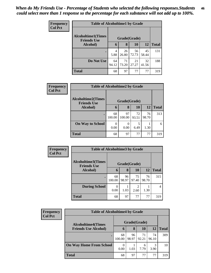| <b>Frequency</b> | <b>Table of Alcoholtime1 by Grade</b>           |              |             |             |             |              |  |  |
|------------------|-------------------------------------------------|--------------|-------------|-------------|-------------|--------------|--|--|
| <b>Col Pct</b>   | <b>Alcoholtime1(Times</b><br><b>Friends Use</b> | Grade(Grade) |             |             |             |              |  |  |
|                  | Alcohol)                                        | 6            | 8           | 10          | 12          | <b>Total</b> |  |  |
|                  |                                                 | 4<br>5.88    | 26<br>26.80 | 56<br>72.73 | 45<br>58.44 | 131          |  |  |
|                  | Do Not Use                                      | 64<br>94.12  | 71<br>73.20 | 21<br>27.27 | 32<br>41.56 | 188          |  |  |
|                  | <b>Total</b>                                    | 68           | 97          | 77          | 77          | 319          |  |  |

| Frequency      |                                                 | <b>Table of Alcoholtime2 by Grade</b> |              |             |             |              |  |  |  |
|----------------|-------------------------------------------------|---------------------------------------|--------------|-------------|-------------|--------------|--|--|--|
| <b>Col Pct</b> | <b>Alcoholtime2(Times</b><br><b>Friends Use</b> | Grade(Grade)                          |              |             |             |              |  |  |  |
|                | <b>Alcohol</b> )                                | 6                                     | 8            | <b>10</b>   | 12          | <b>Total</b> |  |  |  |
|                | $\bullet$                                       | 68<br>100.00                          | 97<br>100.00 | 72<br>93.51 | 76<br>98.70 | 313          |  |  |  |
|                | <b>On Way to School</b>                         | 0<br>0.00                             | 0<br>0.00    | 5<br>6.49   | 1.30        | 6            |  |  |  |
|                | <b>Total</b>                                    | 68                                    | 97           | 77          | 77          | 319          |  |  |  |

| Frequency<br><b>Col Pct</b> | <b>Table of Alcoholtime3 by Grade</b>           |              |             |             |             |              |
|-----------------------------|-------------------------------------------------|--------------|-------------|-------------|-------------|--------------|
|                             | <b>Alcoholtime3(Times</b><br><b>Friends Use</b> | Grade(Grade) |             |             |             |              |
|                             | <b>Alcohol</b> )                                | 6            | 8           | 10          | 12          | <b>Total</b> |
|                             | $\bullet$                                       | 68<br>100.00 | 96<br>98.97 | 75<br>97.40 | 76<br>98.70 | 315          |
|                             | <b>During School</b>                            | 0<br>0.00    | 1.03        | 2<br>2.60   | 1.30        | 4            |
|                             | <b>Total</b>                                    | 68           | 97          | 77          | 77          | 319          |

| <b>Frequency</b><br><b>Col Pct</b> | <b>Table of Alcoholtime4 by Grade</b> |              |             |             |             |              |  |
|------------------------------------|---------------------------------------|--------------|-------------|-------------|-------------|--------------|--|
|                                    | <b>Alcoholtime4(Times</b>             | Grade(Grade) |             |             |             |              |  |
|                                    | <b>Friends Use Alcohol)</b>           | 6            | 8           | 10          | 12          | <b>Total</b> |  |
|                                    |                                       | 68<br>100.00 | 96<br>98.97 | 71<br>92.21 | 74<br>96.10 | 309          |  |
|                                    | <b>On Way Home From School</b>        | 0.00         | 1.03        | 6<br>7.79   | 3<br>3.90   | 10           |  |
|                                    | <b>Total</b>                          | 68           | 97          | 77          | 77          | 319          |  |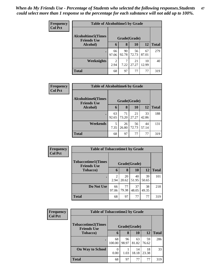| Frequency      | <b>Table of Alcoholtime5 by Grade</b>           |                        |             |             |             |              |  |  |  |
|----------------|-------------------------------------------------|------------------------|-------------|-------------|-------------|--------------|--|--|--|
| <b>Col Pct</b> | <b>Alcoholtime5(Times</b><br><b>Friends Use</b> | Grade(Grade)           |             |             |             |              |  |  |  |
|                | Alcohol)                                        | 6                      | 8           | 10          | 12          | <b>Total</b> |  |  |  |
|                |                                                 | 66<br>97.06            | 90<br>92.78 | 56<br>72.73 | 67<br>87.01 | 279          |  |  |  |
|                | Weeknights                                      | $\mathfrak{D}$<br>2.94 | 7.22        | 21<br>27.27 | 10<br>12.99 | 40           |  |  |  |
|                | <b>Total</b>                                    | 68                     | 97          | 77          | 77          | 319          |  |  |  |

| <b>Frequency</b> | <b>Table of Alcoholtime6 by Grade</b>           |              |             |             |             |              |  |  |  |
|------------------|-------------------------------------------------|--------------|-------------|-------------|-------------|--------------|--|--|--|
| <b>Col Pct</b>   | <b>Alcoholtime6(Times</b><br><b>Friends Use</b> | Grade(Grade) |             |             |             |              |  |  |  |
|                  | Alcohol)                                        | 6            | 8           | 10          | 12          | <b>Total</b> |  |  |  |
|                  |                                                 | 63<br>92.65  | 71<br>73.20 | 21<br>27.27 | 33<br>42.86 | 188          |  |  |  |
|                  | Weekends                                        | 5<br>7.35    | 26<br>26.80 | 56<br>72.73 | 44<br>57.14 | 131          |  |  |  |
|                  | <b>Total</b>                                    | 68           | 97          | 77          | 77          | 319          |  |  |  |

| Frequency      | <b>Table of Tobaccotime1 by Grade</b>           |              |             |             |             |              |  |  |
|----------------|-------------------------------------------------|--------------|-------------|-------------|-------------|--------------|--|--|
| <b>Col Pct</b> | <b>Tobaccotime1(Times</b><br><b>Friends Use</b> | Grade(Grade) |             |             |             |              |  |  |
|                | <b>Tobacco</b> )                                | 6            | 8           | 10          | 12          | <b>Total</b> |  |  |
|                |                                                 | 2<br>2.94    | 20<br>20.62 | 40<br>51.95 | 39<br>50.65 | 101          |  |  |
|                | Do Not Use                                      | 66<br>97.06  | 77<br>79.38 | 37<br>48.05 | 38<br>49.35 | 218          |  |  |
|                | <b>Total</b>                                    | 68           | 97          | 77          | 77          | 319          |  |  |

| Frequency      | <b>Table of Tobaccotime2 by Grade</b>           |                  |             |             |             |              |  |  |
|----------------|-------------------------------------------------|------------------|-------------|-------------|-------------|--------------|--|--|
| <b>Col Pct</b> | <b>Tobaccotime2(Times</b><br><b>Friends Use</b> | Grade(Grade)     |             |             |             |              |  |  |
|                | <b>Tobacco</b> )                                | 6                | 8           | 10          | <b>12</b>   | <b>Total</b> |  |  |
|                |                                                 | 68<br>100.00     | 96<br>98.97 | 63<br>81.82 | 59<br>76.62 | 286          |  |  |
|                | <b>On Way to School</b>                         | $\Omega$<br>0.00 | 1.03        | 14<br>18.18 | 18<br>23.38 | 33           |  |  |
|                | <b>Total</b>                                    | 68               | 97          | 77          | 77          | 319          |  |  |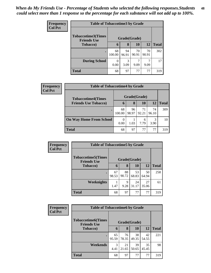| <b>Frequency</b> | <b>Table of Tobaccotime3 by Grade</b>           |              |             |             |             |              |  |  |
|------------------|-------------------------------------------------|--------------|-------------|-------------|-------------|--------------|--|--|
| <b>Col Pct</b>   | <b>Tobaccotime3(Times</b><br><b>Friends Use</b> | Grade(Grade) |             |             |             |              |  |  |
|                  | <b>Tobacco</b> )                                | $\mathbf b$  | 8           | 10          | <b>12</b>   | <b>Total</b> |  |  |
|                  |                                                 | 68<br>100.00 | 94<br>96.91 | 70<br>90.91 | 70<br>90.91 | 302          |  |  |
|                  | <b>During School</b>                            | 0.00         | 3<br>3.09   | 9.09        | 9.09        | 17           |  |  |
|                  | <b>Total</b>                                    | 68           | 97          | 77          | 77          | 319          |  |  |

| Frequency      | <b>Table of Tobaccotime4 by Grade</b> |              |             |             |             |              |  |
|----------------|---------------------------------------|--------------|-------------|-------------|-------------|--------------|--|
| <b>Col Pct</b> | <b>Tobaccotime4(Times</b>             | Grade(Grade) |             |             |             |              |  |
|                | <b>Friends Use Tobacco)</b>           | 6            | 8           | 10          | 12          | <b>Total</b> |  |
|                | $\bullet$                             | 68<br>100.00 | 96<br>98.97 | 71<br>92.21 | 74<br>96.10 | 309          |  |
|                | <b>On Way Home From School</b>        | 0.00         | 1.03        | 6<br>7.79   | 3<br>3.90   | 10           |  |
|                | <b>Total</b>                          | 68           | 97          | 77          | 77          | 319          |  |

| Frequency      | <b>Table of Tobaccotime5 by Grade</b>            |              |             |             |             |              |  |
|----------------|--------------------------------------------------|--------------|-------------|-------------|-------------|--------------|--|
| <b>Col Pct</b> | <b>Tobaccotime5</b> (Times<br><b>Friends Use</b> | Grade(Grade) |             |             |             |              |  |
|                | Tobacco)                                         | 6            | 8           | 10          | 12          | <b>Total</b> |  |
|                |                                                  | 67<br>98.53  | 88<br>90.72 | 53<br>68.83 | 50<br>64.94 | 258          |  |
|                | <b>Weeknights</b>                                | 1.47         | 9<br>9.28   | 24<br>31.17 | 27<br>35.06 | 61           |  |
|                | <b>Total</b>                                     | 68           | 97          | 77          | 77          | 319          |  |

| Frequency      | <b>Table of Tobaccotime6 by Grade</b>           |              |             |             |             |              |  |  |
|----------------|-------------------------------------------------|--------------|-------------|-------------|-------------|--------------|--|--|
| <b>Col Pct</b> | <b>Tobaccotime6(Times</b><br><b>Friends Use</b> | Grade(Grade) |             |             |             |              |  |  |
|                | <b>Tobacco</b> )                                | 6            | 8           | 10          | 12          | <b>Total</b> |  |  |
|                |                                                 | 65<br>95.59  | 76<br>78.35 | 38<br>49.35 | 42<br>54.55 | 221          |  |  |
|                | Weekends                                        | 3<br>4.41    | 21<br>21.65 | 39<br>50.65 | 35<br>45.45 | 98           |  |  |
|                | <b>Total</b>                                    | 68           | 97          | 77          | 77          | 319          |  |  |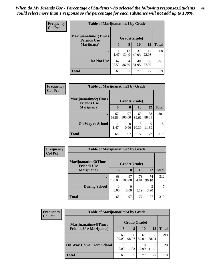| <b>Frequency</b> | <b>Table of Marijuanatime1 by Grade</b>           |              |             |             |             |              |  |
|------------------|---------------------------------------------------|--------------|-------------|-------------|-------------|--------------|--|
| <b>Col Pct</b>   | <b>Marijuanatime1(Times</b><br><b>Friends Use</b> | Grade(Grade) |             |             |             |              |  |
|                  | Marijuana)                                        | 6            | 8           | <b>10</b>   | 12          | <b>Total</b> |  |
|                  |                                                   | 1.47         | 13<br>13.40 | 37<br>48.05 | 17<br>22.08 | 68           |  |
|                  | Do Not Use                                        | 67<br>98.53  | 84<br>86.60 | 40<br>51.95 | 60<br>77.92 | 251          |  |
|                  | <b>Total</b>                                      | 68           | 97          | 77          | 77          | 319          |  |

| Frequency      | <b>Table of Marijuanatime2 by Grade</b>           |              |              |             |             |              |  |  |
|----------------|---------------------------------------------------|--------------|--------------|-------------|-------------|--------------|--|--|
| <b>Col Pct</b> | <b>Marijuanatime2(Times</b><br><b>Friends Use</b> | Grade(Grade) |              |             |             |              |  |  |
|                | Marijuana)                                        | 6            | 8            | <b>10</b>   | 12          | <b>Total</b> |  |  |
|                | $\bullet$                                         | 67<br>98.53  | 97<br>100.00 | 69<br>89.61 | 68<br>88.31 | 301          |  |  |
|                | <b>On Way to School</b>                           | 1.47         | 0<br>0.00    | 8<br>10.39  | 9<br>11.69  | 18           |  |  |
|                | <b>Total</b>                                      | 68           | 97           | 77          | 77          | 319          |  |  |

| <b>Frequency</b> | <b>Table of Marijuanatime3 by Grade</b>            |              |              |             |             |              |  |
|------------------|----------------------------------------------------|--------------|--------------|-------------|-------------|--------------|--|
| <b>Col Pct</b>   | <b>Marijuanatime3</b> (Times<br><b>Friends Use</b> |              | Grade(Grade) |             |             |              |  |
|                  | Marijuana)                                         | 6            | 8            | <b>10</b>   | 12          | <b>Total</b> |  |
|                  | $\bullet$                                          | 68<br>100.00 | 97<br>100.00 | 73<br>94.81 | 74<br>96.10 | 312          |  |
|                  | <b>During School</b>                               | 0.00         | 0.00         | 4<br>5.19   | 3<br>3.90   |              |  |
|                  | <b>Total</b>                                       | 68           | 97           | 77          | 77          | 319          |  |

| <b>Frequency</b> | <b>Table of Marijuanatime4 by Grade</b> |                  |             |             |             |              |  |  |
|------------------|-----------------------------------------|------------------|-------------|-------------|-------------|--------------|--|--|
| <b>Col Pct</b>   | <b>Marijuanatime4(Times</b>             | Grade(Grade)     |             |             |             |              |  |  |
|                  | <b>Friends Use Marijuana</b> )          | 6                | 8           | <b>10</b>   | <b>12</b>   | <b>Total</b> |  |  |
|                  |                                         | 68<br>100.00     | 96<br>98.97 | 67<br>87.01 | 68<br>88.31 | 299          |  |  |
|                  | <b>On Way Home From School</b>          | $\theta$<br>0.00 | 1.03        | 10<br>12.99 | 9<br>11.69  | 20           |  |  |
|                  | <b>Total</b>                            | 68               | 97          | 77          | 77          | 319          |  |  |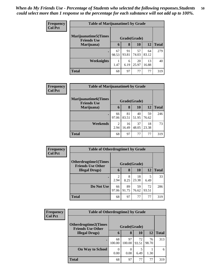| <b>Frequency</b> | <b>Table of Marijuanatime5 by Grade</b>            |              |             |             |             |              |  |
|------------------|----------------------------------------------------|--------------|-------------|-------------|-------------|--------------|--|
| <b>Col Pct</b>   | <b>Marijuanatime5</b> (Times<br><b>Friends Use</b> | Grade(Grade) |             |             |             |              |  |
|                  | Marijuana)                                         | 6            | 8           | <b>10</b>   | 12          | <b>Total</b> |  |
|                  |                                                    | 67<br>98.53  | 91<br>93.81 | 57<br>74.03 | 64<br>83.12 | 279          |  |
|                  | Weeknights                                         | 1.47         | 6<br>6.19   | 20<br>25.97 | 13<br>16.88 | 40           |  |
|                  | <b>Total</b>                                       | 68           | 97          | 77          | 77          | 319          |  |

| Frequency | <b>Table of Marijuanatime6 by Grade</b>           |                        |             |             |             |              |  |  |
|-----------|---------------------------------------------------|------------------------|-------------|-------------|-------------|--------------|--|--|
| Col Pct   | <b>Marijuanatime6(Times</b><br><b>Friends Use</b> | Grade(Grade)           |             |             |             |              |  |  |
|           | Marijuana)                                        | 6                      | 8           | 10          | 12          | <b>Total</b> |  |  |
|           |                                                   | 66<br>97.06            | 81<br>83.51 | 40<br>51.95 | 59<br>76.62 | 246          |  |  |
|           | Weekends                                          | $\overline{c}$<br>2.94 | 16<br>16.49 | 37<br>48.05 | 18<br>23.38 | 73           |  |  |
|           | <b>Total</b>                                      | 68                     | 97          | 77          | 77          | 319          |  |  |

| Frequency      | <b>Table of Otherdrugtime1 by Grade</b>                 |                        |             |             |             |              |  |
|----------------|---------------------------------------------------------|------------------------|-------------|-------------|-------------|--------------|--|
| <b>Col Pct</b> | <b>Otherdrugtime1(Times</b><br><b>Friends Use Other</b> | Grade(Grade)           |             |             |             |              |  |
|                | <b>Illegal Drugs</b> )                                  | 6                      | 8           | 10          | 12          | <b>Total</b> |  |
|                |                                                         | $\overline{2}$<br>2.94 | 8<br>8.25   | 18<br>23.38 | 5<br>6.49   | 33           |  |
|                | Do Not Use                                              | 66<br>97.06            | 89<br>91.75 | 59<br>76.62 | 72<br>93.51 | 286          |  |
|                | <b>Total</b>                                            | 68                     | 97          | 77          | 77          | 319          |  |

| <b>Frequency</b> |                                                         | <b>Table of Otherdrugtime2 by Grade</b> |              |             |             |              |  |  |
|------------------|---------------------------------------------------------|-----------------------------------------|--------------|-------------|-------------|--------------|--|--|
| <b>Col Pct</b>   | <b>Otherdrugtime2(Times</b><br><b>Friends Use Other</b> | Grade(Grade)                            |              |             |             |              |  |  |
|                  | <b>Illegal Drugs</b> )                                  | 6                                       | 8            | <b>10</b>   | <b>12</b>   | <b>Total</b> |  |  |
|                  |                                                         | 68<br>100.00                            | 97<br>100.00 | 72<br>93.51 | 76<br>98.70 | 313          |  |  |
|                  | <b>On Way to School</b>                                 | $\Omega$<br>0.00                        | 0<br>0.00    | 6.49        | 1.30        | 6            |  |  |
|                  | <b>Total</b>                                            | 68                                      | 97           | 77          | 77          | 319          |  |  |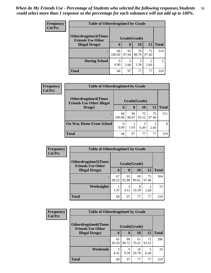| <b>Frequency</b> | <b>Table of Otherdrugtime3 by Grade</b>          |              |             |             |                        |              |  |
|------------------|--------------------------------------------------|--------------|-------------|-------------|------------------------|--------------|--|
| <b>Col Pct</b>   | Otherdrugtime3(Times<br><b>Friends Use Other</b> | Grade(Grade) |             |             |                        |              |  |
|                  | <b>Illegal Drugs</b> )                           | 6            | 8           | 10          | <b>12</b>              | <b>Total</b> |  |
|                  |                                                  | 68<br>100.00 | 95<br>97.94 | 76<br>98.70 | 75<br>97.40            | 314          |  |
|                  | <b>During School</b>                             | 0<br>0.00    | 2<br>2.06   | 1.30        | $\mathfrak{D}$<br>2.60 | 5            |  |
|                  | <b>Total</b>                                     | 68           | 97          | 77          | 77                     | 319          |  |

| Frequency      | <b>Table of Otherdrugtime4 by Grade</b>                         |              |             |             |             |              |  |
|----------------|-----------------------------------------------------------------|--------------|-------------|-------------|-------------|--------------|--|
| <b>Col Pct</b> | <b>Otherdrugtime4(Times</b><br><b>Friends Use Other Illegal</b> | Grade(Grade) |             |             |             |              |  |
|                | Drugs)                                                          | 6            | 8           | <b>10</b>   | 12          | <b>Total</b> |  |
|                |                                                                 | 68<br>100.00 | 96<br>98.97 | 72<br>93.51 | 75<br>97.40 | 311          |  |
|                | <b>On Way Home From School</b>                                  | 0.00         | 1.03        | 6.49        | 2<br>2.60   | 8            |  |
|                | <b>Total</b>                                                    | 68           | 97          | 77          | 77          | 319          |  |

| <b>Frequency</b> |                                                          | <b>Table of Otherdrugtime5 by Grade</b> |             |             |             |              |  |  |
|------------------|----------------------------------------------------------|-----------------------------------------|-------------|-------------|-------------|--------------|--|--|
| <b>Col Pct</b>   | <b>Otherdrugtime5</b> (Times<br><b>Friends Use Other</b> | Grade(Grade)                            |             |             |             |              |  |  |
|                  | <b>Illegal Drugs</b> )                                   | 6                                       | 8           | 10          | 12          | <b>Total</b> |  |  |
|                  |                                                          | 67<br>98.53                             | 93<br>95.88 | 69<br>89.61 | 75<br>97.40 | 304          |  |  |
|                  | Weeknights                                               | 1.47                                    | 4<br>4.12   | 8<br>10.39  | っ<br>2.60   | 15           |  |  |
|                  | <b>Total</b>                                             | 68                                      | 97          | 77          | 77          | 319          |  |  |

| Frequency      | <b>Table of Otherdrugtime6 by Grade</b>                  |              |             |             |             |              |  |
|----------------|----------------------------------------------------------|--------------|-------------|-------------|-------------|--------------|--|
| <b>Col Pct</b> | <b>Otherdrugtime6</b> (Times<br><b>Friends Use Other</b> | Grade(Grade) |             |             |             |              |  |
|                | <b>Illegal Drugs</b> )                                   | $\mathbf b$  | 8           | 10          | 12          | <b>Total</b> |  |
|                | $\bullet$                                                | 65<br>95.59  | 88<br>90.72 | 61<br>79.22 | 72<br>93.51 | 286          |  |
|                | Weekends                                                 | 3<br>4.41    | 9<br>9.28   | 16<br>20.78 | 6.49        | 33           |  |
|                | <b>Total</b>                                             | 68           | 97          | 77          | 77          | 319          |  |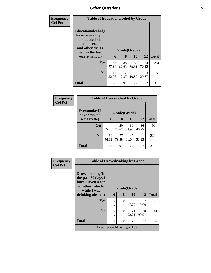| <b>Frequency</b> |                                                                                                                               | <b>Table of Educationalcohol by Grade</b> |                   |             |             |              |  |  |
|------------------|-------------------------------------------------------------------------------------------------------------------------------|-------------------------------------------|-------------------|-------------|-------------|--------------|--|--|
| <b>Col Pct</b>   | Educationalcohol(I<br>have been taught<br>about alcohol,<br>tobacco,<br>and other drugs<br>within the last<br>year at school) | 6                                         | Grade(Grade)<br>8 | <b>10</b>   | 12          | <b>Total</b> |  |  |
|                  | <b>Yes</b>                                                                                                                    | 53<br>77.94                               | 85<br>87.63       | 69<br>89.61 | 54<br>70.13 | 261          |  |  |
|                  | N <sub>0</sub>                                                                                                                | 15<br>22.06                               | 12<br>12.37       | 8<br>10.39  | 23<br>29.87 | 58           |  |  |
|                  | <b>Total</b>                                                                                                                  | 68                                        | 97                | 77          | 77          | 319          |  |  |

| Frequency      |                                             | <b>Table of Eversmoked by Grade</b> |             |             |             |              |  |  |  |
|----------------|---------------------------------------------|-------------------------------------|-------------|-------------|-------------|--------------|--|--|--|
| <b>Col Pct</b> | Eversmoked(I<br>Grade(Grade)<br>have smoked |                                     |             |             |             |              |  |  |  |
|                | a cigarette)                                | 6                                   | 8           | 10          | 12          | <b>Total</b> |  |  |  |
|                | Yes                                         | 4<br>5.88                           | 20<br>20.62 | 30<br>38.96 | 36<br>46.75 | 90           |  |  |  |
|                | N <sub>0</sub>                              | 64<br>94.12                         | 77<br>79.38 | 47<br>61.04 | 41<br>53.25 | 229          |  |  |  |
|                | <b>Total</b>                                | 68                                  | 97          | 77          | 77          | 319          |  |  |  |

| Frequency      |                                                                                                | <b>Table of Drovedrinking by Grade</b> |          |              |             |              |  |  |
|----------------|------------------------------------------------------------------------------------------------|----------------------------------------|----------|--------------|-------------|--------------|--|--|
| <b>Col Pct</b> | Drovedrinking(In<br>the past 30 days I<br>have driven a car<br>or other vehicle<br>while I was |                                        |          | Grade(Grade) |             |              |  |  |
|                | drinking alcohol)                                                                              | 6                                      | 8        | 10           | 12          | <b>Total</b> |  |  |
|                | Yes                                                                                            | 0                                      | $\Omega$ | 6<br>7.79    | 9.09        | 13           |  |  |
|                | No                                                                                             | $\Omega$                               | $\Omega$ | 71<br>92.21  | 70<br>90.91 | 141          |  |  |
|                | <b>Total</b>                                                                                   | $\Omega$                               | $\Omega$ | 77           | 77          | 154          |  |  |
|                | Frequency Missing $= 165$                                                                      |                                        |          |              |             |              |  |  |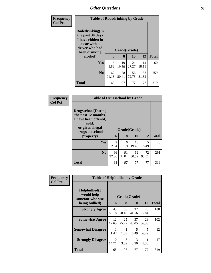| <b>Frequency</b> | <b>Table of Rodedrinking by Grade</b>                                                                                  |             |             |                    |             |              |  |  |
|------------------|------------------------------------------------------------------------------------------------------------------------|-------------|-------------|--------------------|-------------|--------------|--|--|
| <b>Col Pct</b>   | Rodedrinking(In<br>the past 30 days<br>I have ridden in<br>a car with a<br>driver who had<br>been drinking<br>alcohol) | 6           | 8           | Grade(Grade)<br>10 | 12          | <b>Total</b> |  |  |
|                  | <b>Yes</b>                                                                                                             | 6<br>8.82   | 19<br>19.59 | 21<br>27.27        | 14<br>18.18 | 60           |  |  |
|                  | N <sub>0</sub>                                                                                                         | 62<br>91.18 | 78<br>80.41 | 56<br>72.73        | 63<br>81.82 | 259          |  |  |
|                  | <b>Total</b>                                                                                                           | 68          | 97          | 77                 | 77          | 319          |  |  |

| <b>Frequency</b> | <b>Table of Drugsschool by Grade</b>                                                                                                   |                        |             |                    |             |              |
|------------------|----------------------------------------------------------------------------------------------------------------------------------------|------------------------|-------------|--------------------|-------------|--------------|
| <b>Col Pct</b>   | <b>Drugsschool</b> (During<br>the past 12 months,<br>I have been offered,<br>sold,<br>or given illegal<br>drugs on school<br>property) | 6                      | 8           | Grade(Grade)<br>10 | <b>12</b>   | <b>Total</b> |
|                  | <b>Yes</b>                                                                                                                             | $\overline{2}$<br>2.94 | 6<br>6.19   | 15<br>19.48        | 5<br>6.49   | 28           |
|                  | N <sub>0</sub>                                                                                                                         | 66<br>97.06            | 91<br>93.81 | 62<br>80.52        | 72<br>93.51 | 291          |
|                  | <b>Total</b>                                                                                                                           | 68                     | 97          | 77                 | 77          | 319          |

| <b>Frequency</b> |                                                                        | <b>Table of Helpbullied by Grade</b> |                   |             |             |              |  |  |  |
|------------------|------------------------------------------------------------------------|--------------------------------------|-------------------|-------------|-------------|--------------|--|--|--|
| <b>Col Pct</b>   | $Helpb$ ullied $(I$<br>would help<br>someone who was<br>being bullied) | 6                                    | Grade(Grade)<br>8 | 10          | 12          | <b>Total</b> |  |  |  |
|                  | <b>Strongly Agree</b>                                                  | 45<br>66.18                          | 68<br>70.10       | 32<br>41.56 | 43<br>55.84 | 188          |  |  |  |
|                  | <b>Somewhat Agree</b>                                                  | 12<br>17.65                          | 25<br>25.77       | 37<br>48.05 | 28<br>36.36 | 102          |  |  |  |
|                  | <b>Somewhat Disagree</b>                                               | 1<br>1.47                            | 1.03              | 5<br>6.49   | 5<br>6.49   | 12           |  |  |  |
|                  | <b>Strongly Disagree</b>                                               | 10<br>14.71                          | 3<br>3.09         | 3<br>3.90   | 1.30        | 17           |  |  |  |
|                  | Total                                                                  | 68                                   | 97                | 77          | 77          | 319          |  |  |  |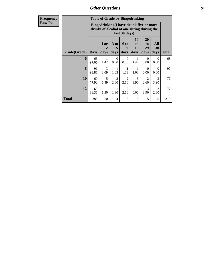| <b>Frequency</b> |                            |          |        |              | <b>Table of Grade by Bingedrinking</b> |                               |                                                                                        |                              |
|------------------|----------------------------|----------|--------|--------------|----------------------------------------|-------------------------------|----------------------------------------------------------------------------------------|------------------------------|
| <b>Row Pct</b>   |                            |          |        |              | last 30 days)                          |                               | Bingedrinking(I have drunk five or more<br>drinks of alcohol at one sitting during the |                              |
|                  | Grade(Grade)   Days   days | $\bf{0}$ | $1$ or | 3 to<br>days | 6 <sub>to</sub><br>days                | 10<br>to<br><b>19</b><br>days | <b>20</b><br>to<br>29<br>days                                                          | Al<br>3 <sub>0</sub><br>day: |
|                  |                            |          |        |              |                                        |                               |                                                                                        |                              |

|                      |                         | drinks of alcohol at one sitting during the<br>last 30 days) |                              |                        |                        |                               |                        |              |  |
|----------------------|-------------------------|--------------------------------------------------------------|------------------------------|------------------------|------------------------|-------------------------------|------------------------|--------------|--|
| <b>Grade</b> (Grade) | $\bf{0}$<br><b>Days</b> | 1 or<br>$\mathbf{2}$<br>days                                 | 3 <sub>to</sub><br>5<br>days | 6 to<br>9<br>days      | 10<br>to<br>19<br>days | <b>20</b><br>to<br>29<br>days | All<br>30<br>days      | <b>Total</b> |  |
| 6                    | 66<br>97.06             | 1<br>1.47                                                    | $\Omega$<br>0.00             | $\Omega$<br>0.00       | 1.47                   | 0<br>0.00                     | $\Omega$<br>0.00       | 68           |  |
| 8                    | 91<br>93.81             | 3<br>3.09                                                    | 1<br>1.03                    | 1.03                   | 1.03                   | $\Omega$<br>0.00              | $\Omega$<br>0.00       | 97           |  |
| 10                   | 60<br>77.92             | 5<br>6.49                                                    | $\overline{2}$<br>2.60       | $\overline{2}$<br>2.60 | 3<br>3.90              | $\overline{2}$<br>2.60        | 3<br>3.90              | 77           |  |
| 12                   | 68<br>88.31             | 1.30                                                         | 1<br>1.30                    | $\overline{2}$<br>2.60 | $\Omega$<br>0.00       | 3<br>3.90                     | $\overline{2}$<br>2.60 | 77           |  |
| <b>Total</b>         | 285                     | 10                                                           | 4                            | 5                      | 5                      | 5                             | 5                      | 319          |  |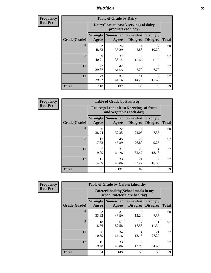**Frequency Row Pct**

| <b>Table of Grade by Dairy</b> |                          |                                                                 |                                    |                                    |              |  |  |  |  |
|--------------------------------|--------------------------|-----------------------------------------------------------------|------------------------------------|------------------------------------|--------------|--|--|--|--|
|                                |                          | Dairy (I eat at least 3 servings of dairy<br>products each day) |                                    |                                    |              |  |  |  |  |
| Grade(Grade)                   | <b>Strongly</b><br>Agree | <b>Somewhat</b><br>Agree                                        | <b>Somewhat</b><br><b>Disagree</b> | <b>Strongly</b><br><b>Disagree</b> | <b>Total</b> |  |  |  |  |
| 6                              | 33<br>48.53              | 24<br>35.29                                                     | 4<br>5.88                          | 10.29                              | 68           |  |  |  |  |
| 8                              | 39<br>40.21              | 37<br>38.14                                                     | 15<br>15.46                        | 6<br>6.19                          | 97           |  |  |  |  |
| 10                             | 23<br>29.87              | 42<br>54.55                                                     | 6<br>7.79                          | 6<br>7.79                          | 77           |  |  |  |  |
| 12                             | 23<br>29.87              | 34<br>44.16                                                     | 11<br>14.29                        | 9<br>11.69                         | 77           |  |  |  |  |
| <b>Total</b>                   | 118                      | 137                                                             | 36                                 | 28                                 | 319          |  |  |  |  |

**Frequency Row Pct**

| <b>Table of Grade by Fruitveg</b> |                          |                                                                          |                             |                                    |              |  |  |  |
|-----------------------------------|--------------------------|--------------------------------------------------------------------------|-----------------------------|------------------------------------|--------------|--|--|--|
|                                   |                          | Fruitveg(I eat at least 5 servings of fruits<br>and vegetables each day) |                             |                                    |              |  |  |  |
| Grade(Grade)                      | <b>Strongly</b><br>Agree | Somewhat  <br>Agree                                                      | Somewhat<br><b>Disagree</b> | <b>Strongly</b><br><b>Disagree</b> | <b>Total</b> |  |  |  |
| 6                                 | 26<br>38.24              | 22<br>32.35                                                              | 15<br>22.06                 | 5<br>7.35                          | 68           |  |  |  |
| 8                                 | 17<br>17.53              | 45<br>46.39                                                              | 26<br>26.80                 | $\mathbf Q$<br>9.28                | 97           |  |  |  |
| 10                                | 7<br>9.09                | 31<br>40.26                                                              | 25<br>32.47                 | 14<br>18.18                        | 77           |  |  |  |
| 12                                | 11<br>14.29              | 33<br>42.86                                                              | 21<br>27.27                 | 12<br>15.58                        | 77           |  |  |  |
| <b>Total</b>                      | 61                       | 131                                                                      | 87                          | 40                                 | 319          |  |  |  |

**Frequency Row Pct**

| <b>Table of Grade by Cafeteriahealthy</b> |                          |                                                                       |                                    |                                    |              |  |  |  |
|-------------------------------------------|--------------------------|-----------------------------------------------------------------------|------------------------------------|------------------------------------|--------------|--|--|--|
|                                           |                          | Cafeteriahealthy (School meals in my<br>school cafeteria are healthy) |                                    |                                    |              |  |  |  |
| Grade(Grade)                              | <b>Strongly</b><br>Agree | <b>Somewhat</b><br>Agree                                              | <b>Somewhat</b><br><b>Disagree</b> | <b>Strongly</b><br><b>Disagree</b> | <b>Total</b> |  |  |  |
| 6                                         | 23<br>33.82              | 31<br>45.59                                                           | 9<br>13.24                         | 5<br>7.35                          | 68           |  |  |  |
| 8                                         | 18<br>18.56              | 51<br>52.58                                                           | 17<br>17.53                        | 11<br>11.34                        | 97           |  |  |  |
| 10                                        | 8<br>10.39               | 34<br>44.16                                                           | 14<br>18.18                        | 21<br>27.27                        | 77           |  |  |  |
| 12                                        | 15<br>19.48              | 33<br>42.86                                                           | 10<br>12.99                        | 19<br>24.68                        | 77           |  |  |  |
| <b>Total</b>                              | 64                       | 149                                                                   | 50                                 | 56                                 | 319          |  |  |  |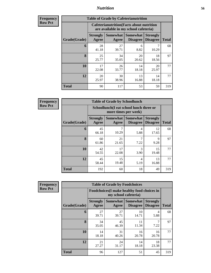| <b>Frequency</b><br>Row Pct |
|-----------------------------|
|                             |

| <b>Table of Grade by Cafeterianutrition</b> |                          |                                                                                           |                                    |                                    |              |  |  |  |  |
|---------------------------------------------|--------------------------|-------------------------------------------------------------------------------------------|------------------------------------|------------------------------------|--------------|--|--|--|--|
|                                             |                          | <b>Cafeterianutrition</b> (Facts about nutrition<br>are available in my school cafeteria) |                                    |                                    |              |  |  |  |  |
| Grade(Grade)                                | <b>Strongly</b><br>Agree | <b>Somewhat</b><br>Agree                                                                  | <b>Somewhat</b><br><b>Disagree</b> | <b>Strongly</b><br><b>Disagree</b> | <b>Total</b> |  |  |  |  |
| 6                                           | 28<br>41.18              | 27<br>39.71                                                                               | 6<br>8.82                          | 7<br>10.29                         | 68           |  |  |  |  |
| 8                                           | 25<br>25.77              | 34<br>35.05                                                                               | 20<br>20.62                        | 18<br>18.56                        | 97           |  |  |  |  |
| 10                                          | 17<br>22.08              | 26<br>33.77                                                                               | 14<br>18.18                        | 20<br>25.97                        | 77           |  |  |  |  |
| 12                                          | 20<br>25.97              | 30<br>38.96                                                                               | 13<br>16.88                        | 14<br>18.18                        | 77           |  |  |  |  |
| <b>Total</b>                                | 90                       | 117                                                                                       | 53                                 | 59                                 | 319          |  |  |  |  |

**Frequency Row Pct**

| <b>Table of Grade by Schoollunch</b> |                          |                                                                 |                                    |                                    |              |  |  |  |  |
|--------------------------------------|--------------------------|-----------------------------------------------------------------|------------------------------------|------------------------------------|--------------|--|--|--|--|
|                                      |                          | Schoollunch(I eat school lunch three or<br>more times per week) |                                    |                                    |              |  |  |  |  |
| Grade(Grade)                         | <b>Strongly</b><br>Agree | Somewhat  <br>Agree                                             | <b>Somewhat</b><br><b>Disagree</b> | <b>Strongly</b><br><b>Disagree</b> | <b>Total</b> |  |  |  |  |
| 6                                    | 45<br>66.18              | 10.29                                                           | 4<br>5.88                          | 12<br>17.65                        | 68           |  |  |  |  |
| 8                                    | 60<br>61.86              | 21<br>21.65                                                     | 7.22                               | 9<br>9.28                          | 97           |  |  |  |  |
| 10                                   | 42<br>54.55              | 17<br>22.08                                                     | 3<br>3.90                          | 15<br>19.48                        | 77           |  |  |  |  |
| 12                                   | 45<br>58.44              | 15<br>19.48                                                     | 4<br>5.19                          | 13<br>16.88                        | 77           |  |  |  |  |
| <b>Total</b>                         | 192                      | 60                                                              | 18                                 | 49                                 | 319          |  |  |  |  |

**Frequency Row Pct**

| <b>Table of Grade by Foodchoices</b> |                          |                                                                     |                                    |                                    |              |  |  |  |
|--------------------------------------|--------------------------|---------------------------------------------------------------------|------------------------------------|------------------------------------|--------------|--|--|--|
|                                      |                          | Foodchoices (I make healthy food choices in<br>my school cafeteria) |                                    |                                    |              |  |  |  |
| Grade(Grade)                         | <b>Strongly</b><br>Agree | <b>Somewhat</b><br>Agree                                            | <b>Somewhat</b><br><b>Disagree</b> | <b>Strongly</b><br><b>Disagree</b> | <b>Total</b> |  |  |  |
| 6                                    | 27<br>39.71              | 27<br>39.71                                                         | 10<br>14.71                        | 4<br>5.88                          | 68           |  |  |  |
| 8                                    | 34<br>35.05              | 45<br>46.39                                                         | 11<br>11.34                        | 7.22                               | 97           |  |  |  |
| 10                                   | 14<br>18.18              | 31<br>40.26                                                         | 16<br>20.78                        | 16<br>20.78                        | 77           |  |  |  |
| 12                                   | 21<br>27.27              | 24<br>31.17                                                         | 14<br>18.18                        | 18<br>23.38                        | 77           |  |  |  |
| <b>Total</b>                         | 96                       | 127                                                                 | 51                                 | 45                                 | 319          |  |  |  |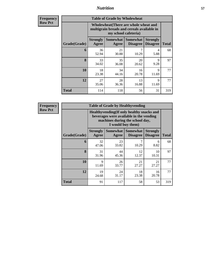**Frequency Row Pct**

| <b>Table of Grade by Wholewheat</b> |                                                                                                             |                   |                                    |                                    |              |  |  |  |
|-------------------------------------|-------------------------------------------------------------------------------------------------------------|-------------------|------------------------------------|------------------------------------|--------------|--|--|--|
|                                     | Wholewheat (There are whole wheat and<br>multigrain breads and cereals available in<br>my school cafeteria) |                   |                                    |                                    |              |  |  |  |
| Grade(Grade)                        | <b>Strongly</b><br>Agree                                                                                    | Somewhat<br>Agree | <b>Somewhat</b><br><b>Disagree</b> | <b>Strongly</b><br><b>Disagree</b> | <b>Total</b> |  |  |  |
| 6                                   | 36<br>52.94                                                                                                 | 21<br>30.88       | 7<br>10.29                         | 4<br>5.88                          | 68           |  |  |  |
| 8                                   | 33<br>34.02                                                                                                 | 35<br>36.08       | 20<br>20.62                        | 9<br>9.28                          | 97           |  |  |  |
| 10                                  | 18<br>23.38                                                                                                 | 34<br>44.16       | 16<br>20.78                        | 9<br>11.69                         | 77           |  |  |  |
| 12                                  | 27<br>35.06                                                                                                 | 28<br>36.36       | 13<br>16.88                        | 9<br>11.69                         | 77           |  |  |  |
| <b>Total</b>                        | 114                                                                                                         | 118               | 56                                 | 31                                 | 319          |  |  |  |

**Frequency Row Pct**

| <b>Table of Grade by Healthyvending</b> |                                                                                                                          |             |                                        |                                    |              |  |  |  |  |
|-----------------------------------------|--------------------------------------------------------------------------------------------------------------------------|-------------|----------------------------------------|------------------------------------|--------------|--|--|--|--|
|                                         | Healthyvending (If only healthy snacks and<br>beverages were available in the vending<br>machines during the school day, |             |                                        |                                    |              |  |  |  |  |
| Grade(Grade)                            | <b>Strongly</b><br>Agree                                                                                                 | Agree       | Somewhat   Somewhat<br><b>Disagree</b> | <b>Strongly</b><br><b>Disagree</b> | <b>Total</b> |  |  |  |  |
| 6                                       | 32<br>47.06                                                                                                              | 23<br>33.82 | 10.29                                  | 6<br>8.82                          | 68           |  |  |  |  |
| 8                                       | 31<br>31.96                                                                                                              | 44<br>45.36 | 12<br>12.37                            | 10<br>10.31                        | 97           |  |  |  |  |
| 10                                      | 9<br>11.69                                                                                                               | 26<br>33.77 | 21<br>27.27                            | 21<br>27.27                        | 77           |  |  |  |  |
| 12                                      | 19<br>24.68                                                                                                              | 24<br>31.17 | 18<br>23.38                            | 16<br>20.78                        | 77           |  |  |  |  |
| <b>Total</b>                            | 91                                                                                                                       | 117         | 58                                     | 53                                 | 319          |  |  |  |  |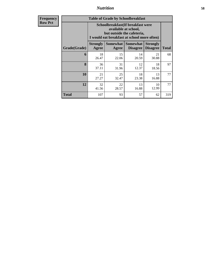**Frequency Row Pct**

|              | <b>Table of Grade by Schoolbreakfast</b>                                                                                               |                     |                             |                                    |              |  |  |  |  |
|--------------|----------------------------------------------------------------------------------------------------------------------------------------|---------------------|-----------------------------|------------------------------------|--------------|--|--|--|--|
|              | Schoolbreakfast(If breakfast were<br>available at school,<br>but outside the cafeteria,<br>I would eat breakfast at school more often) |                     |                             |                                    |              |  |  |  |  |
| Grade(Grade) | <b>Strongly</b><br>Agree                                                                                                               | Somewhat  <br>Agree | Somewhat<br><b>Disagree</b> | <b>Strongly</b><br><b>Disagree</b> | <b>Total</b> |  |  |  |  |
| 6            | 18<br>26.47                                                                                                                            | 15<br>22.06         | 14<br>20.59                 | 21<br>30.88                        | 68           |  |  |  |  |
| 8            | 36<br>37.11                                                                                                                            | 31<br>31.96         | 12<br>12.37                 | 18<br>18.56                        | 97           |  |  |  |  |
| 10           | 21<br>27.27                                                                                                                            | 25<br>32.47         | 18<br>23.38                 | 13<br>16.88                        | 77           |  |  |  |  |
| 12           | 32<br>41.56                                                                                                                            | 22<br>28.57         | 13<br>16.88                 | 10<br>12.99                        | 77           |  |  |  |  |
| Total        | 107                                                                                                                                    | 93                  | 57                          | 62                                 | 319          |  |  |  |  |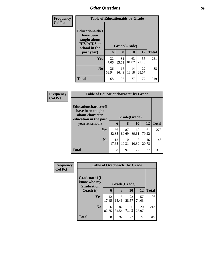| <b>Frequency</b> |                                                                                                           | <b>Table of Educationaids by Grade</b> |                   |             |             |              |  |  |  |
|------------------|-----------------------------------------------------------------------------------------------------------|----------------------------------------|-------------------|-------------|-------------|--------------|--|--|--|
| <b>Col Pct</b>   | <b>Educationaids</b> (I<br>have been<br>taught about<br><b>HIV/AIDS</b> at<br>school in the<br>past year) | 6                                      | Grade(Grade)<br>8 | 10          | 12          | <b>Total</b> |  |  |  |
|                  |                                                                                                           |                                        |                   |             |             |              |  |  |  |
|                  | <b>Yes</b>                                                                                                | 32<br>47.06                            | 81<br>83.51       | 63<br>81.82 | 55<br>71.43 | 231          |  |  |  |
|                  | N <sub>0</sub>                                                                                            | 36<br>52.94                            | 16<br>16.49       | 14<br>18.18 | 22<br>28.57 | 88           |  |  |  |
|                  | <b>Total</b>                                                                                              | 68                                     | 97                | 77          | 77          | 319          |  |  |  |

| Frequency      | <b>Table of Educationcharacter by Grade</b>                                                             |             |                                           |             |             |              |  |
|----------------|---------------------------------------------------------------------------------------------------------|-------------|-------------------------------------------|-------------|-------------|--------------|--|
| <b>Col Pct</b> | Educationcharacter(I<br>have been taught<br>about character<br>education in the past<br>year at school) |             | Grade(Grade)<br>8<br>10<br><b>12</b><br>6 |             |             |              |  |
|                |                                                                                                         |             |                                           |             |             | <b>Total</b> |  |
|                | <b>Yes</b>                                                                                              | 56<br>82.35 | 87<br>89.69                               | 69<br>89.61 | 61<br>79.22 | 273          |  |
|                | N <sub>o</sub>                                                                                          | 12<br>17.65 | 10<br>10.31                               | 8<br>10.39  | 16<br>20.78 | 46           |  |
|                | <b>Total</b>                                                                                            | 68          | 97                                        | 77          | 77          | 319          |  |

| Frequency      |                                                  | <b>Table of Gradcoach1 by Grade</b> |              |             |             |              |  |  |
|----------------|--------------------------------------------------|-------------------------------------|--------------|-------------|-------------|--------------|--|--|
| <b>Col Pct</b> | Gradcoach1(I<br>know who my<br><b>Graduation</b> |                                     | Grade(Grade) |             |             |              |  |  |
|                | Coach is)                                        | 6                                   | 8            | 10          | 12          | <b>Total</b> |  |  |
|                | Yes                                              | 12<br>17.65                         | 15<br>15.46  | 22<br>28.57 | 57<br>74.03 | 106          |  |  |
|                | N <sub>0</sub>                                   | 56<br>82.35                         | 82<br>84.54  | 55<br>71.43 | 20<br>25.97 | 213          |  |  |
|                | <b>Total</b>                                     | 68                                  | 97           | 77          | 77          | 319          |  |  |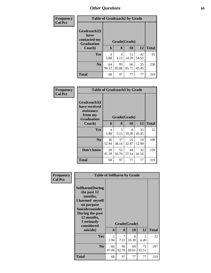| Frequency<br><b>Col Pct</b> |                                                           | <b>Table of Gradcoach2 by Grade</b> |             |             |             |              |  |  |  |
|-----------------------------|-----------------------------------------------------------|-------------------------------------|-------------|-------------|-------------|--------------|--|--|--|
|                             | Gradcoach2(I<br>have<br>contacted my<br><b>Graduation</b> | Grade(Grade)                        |             |             |             |              |  |  |  |
|                             | Coach)                                                    | 6                                   | 8           | 10          | 12          | <b>Total</b> |  |  |  |
|                             | <b>Yes</b>                                                | 4<br>5.88                           | 4<br>4.12   | 11<br>14.29 | 42<br>54.55 | 61           |  |  |  |
|                             | N <sub>o</sub>                                            | 64<br>94.12                         | 93<br>95.88 | 66<br>85.71 | 35<br>45.45 | 258          |  |  |  |
|                             | <b>Total</b>                                              | 68                                  | 97          | 77          | 77          | 319          |  |  |  |

| Frequency      |                                                                             | <b>Table of Gradcoach3 by Grade</b> |              |             |             |              |  |  |  |
|----------------|-----------------------------------------------------------------------------|-------------------------------------|--------------|-------------|-------------|--------------|--|--|--|
| <b>Col Pct</b> | Gradcoach3(I<br>have received<br>assistance<br>from my<br><b>Graduation</b> |                                     | Grade(Grade) |             |             |              |  |  |  |
|                | Coach)                                                                      | 6                                   | 8            | 10          | 12          | <b>Total</b> |  |  |  |
|                | Yes                                                                         | $\overline{4}$<br>5.88              | 5<br>5.15    | 8<br>10.39  | 35<br>45.45 | 52           |  |  |  |
|                | N <sub>0</sub>                                                              | 36<br>52.94                         | 37<br>38.14  | 25<br>32.47 | 10<br>12.99 | 108          |  |  |  |
|                | Don't know                                                                  | 28<br>41.18                         | 55<br>56.70  | 44<br>57.14 | 32<br>41.56 | 159          |  |  |  |
|                | <b>Total</b>                                                                | 68                                  | 97           | 77          | 77          | 319          |  |  |  |

| Frequency<br><b>Col Pct</b> | <b>Table of Selfharm by Grade</b>                                                                                                                                                      |                        |                        |                    |             |              |
|-----------------------------|----------------------------------------------------------------------------------------------------------------------------------------------------------------------------------------|------------------------|------------------------|--------------------|-------------|--------------|
|                             | <b>Selfharm</b> (During<br>the past 12<br>months,<br>I harmed myself<br>on purpose<br><b>Suicideconsider</b><br>During the past<br>12 months,<br>I seriously<br>considered<br>suicide) | 6                      | 8                      | Grade(Grade)<br>10 | 12          | <b>Total</b> |
|                             | Yes                                                                                                                                                                                    | $\mathfrak{D}$<br>2.94 | $\overline{7}$<br>7.22 | 8<br>10.39         | 5<br>6.49   | 22           |
|                             | N <sub>0</sub>                                                                                                                                                                         | 66<br>97.06            | 90<br>92.78            | 69<br>89.61        | 72<br>93.51 | 297          |
|                             | <b>Total</b>                                                                                                                                                                           | 68                     | 97                     | 77                 | 77          | 319          |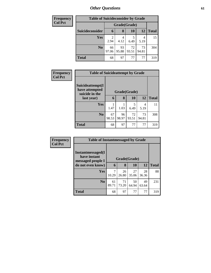| Frequency      | <b>Table of Suicideconsider by Grade</b> |                        |              |             |             |              |  |  |
|----------------|------------------------------------------|------------------------|--------------|-------------|-------------|--------------|--|--|
| <b>Col Pct</b> |                                          |                        | Grade(Grade) |             |             |              |  |  |
|                | Suicideconsider                          | 6                      | 8            | 10          | 12          | <b>Total</b> |  |  |
|                | Yes                                      | $\overline{2}$<br>2.94 | 4<br>4.12    | 6.49        | 4<br>5.19   | 15           |  |  |
|                | No.                                      | 66<br>97.06            | 93<br>95.88  | 72<br>93.51 | 73<br>94.81 | 304          |  |  |
|                | <b>Total</b>                             | 68                     | 97           | 77          | 77          | 319          |  |  |

| <b>Frequency</b> | <b>Table of Suicideattempt by Grade</b>              |              |             |             |             |              |
|------------------|------------------------------------------------------|--------------|-------------|-------------|-------------|--------------|
| <b>Col Pct</b>   | Suicideattempt(I<br>have attempted<br>suicide in the | Grade(Grade) |             |             |             |              |
|                  | last year)                                           | 6            | 8           | 10          | 12          | <b>Total</b> |
|                  | <b>Yes</b>                                           | 1.47         | 1.03        | 5<br>6.49   | 4<br>5.19   | 11           |
|                  | N <sub>o</sub>                                       | 67<br>98.53  | 96<br>98.97 | 72<br>93.51 | 73<br>94.81 | 308          |
|                  | <b>Total</b>                                         | 68           | 97          | 77          | 77          | 319          |

| Frequency      | <b>Table of Instantmessaged by Grade</b>               |              |             |             |             |              |  |
|----------------|--------------------------------------------------------|--------------|-------------|-------------|-------------|--------------|--|
| <b>Col Pct</b> | Instantmessaged(I<br>have instant<br>messaged people I | Grade(Grade) |             |             |             |              |  |
|                | do not even know)                                      | 6            | 8           | 10          | 12          | <b>Total</b> |  |
|                | <b>Yes</b>                                             | 10.29        | 26<br>26.80 | 27<br>35.06 | 28<br>36.36 | 88           |  |
|                | No.                                                    | 61<br>89.71  | 71<br>73.20 | 50<br>64.94 | 49<br>63.64 | 231          |  |
|                | <b>Total</b>                                           | 68           | 97          | 77          | 77          | 319          |  |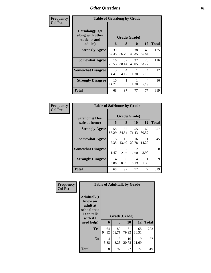| Frequency      | <b>Table of Getsalong by Grade</b>                  |                       |                                  |             |             |              |
|----------------|-----------------------------------------------------|-----------------------|----------------------------------|-------------|-------------|--------------|
| <b>Col Pct</b> | Getsalong(I get<br>along with other<br>students and | Grade(Grade)          |                                  |             |             |              |
|                | adults)                                             | 6                     | 8                                | 10          | 12          | <b>Total</b> |
|                | <b>Strongly Agree</b>                               | 39<br>57.35           | 55<br>56.70                      | 38<br>49.35 | 43<br>55.84 | 175          |
|                | <b>Somewhat Agree</b>                               | 16<br>23.53           | 37<br>38.14                      | 37<br>48.05 | 26<br>33.77 | 116          |
|                | <b>Somewhat Disagree</b>                            | $\mathcal{R}$<br>4.41 | $\overline{\mathcal{A}}$<br>4.12 | 1.30        | 4<br>5.19   | 12           |
|                | <b>Strongly Disagree</b>                            | 10<br>14.71           | 1.03                             | 1.30        | 4<br>5.19   | 16           |
|                | Total                                               | 68                    | 97                               | 77          | 77          | 319          |

| Frequency      | <b>Table of Safehome by Grade</b> |                                    |                        |                        |             |              |  |  |
|----------------|-----------------------------------|------------------------------------|------------------------|------------------------|-------------|--------------|--|--|
| <b>Col Pct</b> | Safehome(I feel<br>safe at home)  | Grade(Grade)<br>12<br>8<br>10<br>6 |                        |                        |             | <b>Total</b> |  |  |
|                | <b>Strongly Agree</b>             | 58<br>85.29                        | 82<br>84.54            | 55<br>71.43            | 62<br>80.52 | 257          |  |  |
|                | <b>Somewhat Agree</b>             | 5<br>7.35                          | 13<br>13.40            | 16<br>20.78            | 11<br>14.29 | 45           |  |  |
|                | <b>Somewhat Disagree</b>          | 1.47                               | $\mathfrak{D}$<br>2.06 | $\mathfrak{D}$<br>2.60 | 3<br>3.90   | 8            |  |  |
|                | <b>Strongly Disagree</b>          | 4<br>5.88                          | 0<br>0.00              | 4<br>5.19              | 1.30        | $\mathbf Q$  |  |  |
|                | <b>Total</b>                      | 68                                 | 97                     | 77                     | 77          | 319          |  |  |

| Frequency      |                                                                                                   |             |             | <b>Table of Adulttalk by Grade</b> |             |              |
|----------------|---------------------------------------------------------------------------------------------------|-------------|-------------|------------------------------------|-------------|--------------|
| <b>Col Pct</b> | <b>Adulttalk(I</b><br>know an<br>adult at<br>school that<br>I can talk<br>with if I<br>need help) | 6           | 8           | Grade(Grade)<br>10                 | 12          | <b>Total</b> |
|                | Yes                                                                                               | 64<br>94.12 | 89<br>91.75 | 61<br>79.22                        | 68<br>88.31 | 282          |
|                | N <sub>0</sub>                                                                                    | 4<br>5.88   | 8<br>8.25   | 16<br>20.78                        | 9<br>11.69  | 37           |
|                | <b>Total</b>                                                                                      | 68          | 97          | 77                                 | 77          | 319          |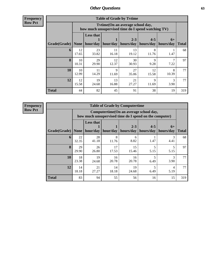**Frequency Row Pct**

| <b>Table of Grade by Tvtime</b> |             |                                                                                        |                      |                      |                      |                   |              |  |  |  |
|---------------------------------|-------------|----------------------------------------------------------------------------------------|----------------------|----------------------|----------------------|-------------------|--------------|--|--|--|
|                                 |             | Tvtime(On an average school day,<br>how much unsupervised time do I spend watching TV) |                      |                      |                      |                   |              |  |  |  |
| Grade(Grade)                    | None        | <b>Less that</b><br>hour/day                                                           | hour/day             | $2 - 3$<br>hours/day | $4 - 5$<br>hours/day | $6+$<br>hours/day | <b>Total</b> |  |  |  |
| 6                               | 12<br>17.65 | 23<br>33.82                                                                            | 11<br>16.18          | 13<br>19.12          | 8<br>11.76           | 1.47              | 68           |  |  |  |
| 8                               | 10<br>10.31 | 29<br>29.90                                                                            | 12<br>12.37          | 30<br>30.93          | 9<br>9.28            | 7.22              | 97           |  |  |  |
| 10                              | 10<br>12.99 | 11<br>14.29                                                                            | $\mathbf Q$<br>11.69 | 27<br>35.06          | 12<br>15.58          | 8<br>10.39        | 77           |  |  |  |
| 12                              | 12<br>15.58 | 19<br>24.68                                                                            | 13<br>16.88          | 21<br>27.27          | Q<br>11.69           | 3<br>3.90         | 77           |  |  |  |
| <b>Total</b>                    | 44          | 82                                                                                     | 45                   | 91                   | 38                   | 19                | 319          |  |  |  |

**Frequency Row Pct**

|              | <b>Table of Grade by Computertime</b> |                                                                                                  |             |                                                        |           |                   |              |  |  |  |  |
|--------------|---------------------------------------|--------------------------------------------------------------------------------------------------|-------------|--------------------------------------------------------|-----------|-------------------|--------------|--|--|--|--|
|              |                                       | Computertime(On an average school day,<br>how much unsupervised time do I spend on the computer) |             |                                                        |           |                   |              |  |  |  |  |
| Grade(Grade) | <b>None</b>                           | <b>Less that</b>                                                                                 |             | $2 - 3$<br>hour/day   hour/day   hours/day   hours/day | $4 - 5$   | $6+$<br>hours/day | <b>Total</b> |  |  |  |  |
| 6            | 22<br>32.35                           | 28<br>41.18                                                                                      | 8<br>11.76  | 6<br>8.82                                              | 1.47      | 3<br>4.41         | 68           |  |  |  |  |
| 8            | 29<br>29.90                           | 26<br>26.80                                                                                      | 17<br>17.53 | 15<br>15.46                                            | 5<br>5.15 | 5.15              | 97           |  |  |  |  |
| 10           | 18<br>23.38                           | 19<br>24.68                                                                                      | 16<br>20.78 | 16<br>20.78                                            | 5<br>6.49 | 3<br>3.90         | 77           |  |  |  |  |
| 12           | 14<br>18.18                           | 21<br>27.27                                                                                      | 14<br>18.18 | 19<br>24.68                                            | 5<br>6.49 | 4<br>5.19         | 77           |  |  |  |  |
| <b>Total</b> | 83                                    | 94                                                                                               | 55          | 56                                                     | 16        | 15                | 319          |  |  |  |  |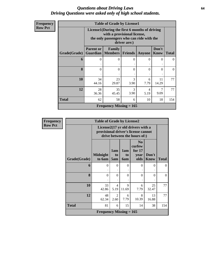### *Questions about Driving Laws* **64** *Driving Questions were asked only of high school students.*

| <b>Frequency</b> |  |
|------------------|--|
| Row Pct          |  |

|              | <b>Table of Grade by License1</b> |                                                                                                                                           |           |           |                      |              |  |  |  |  |
|--------------|-----------------------------------|-------------------------------------------------------------------------------------------------------------------------------------------|-----------|-----------|----------------------|--------------|--|--|--|--|
|              |                                   | License1(During the first 6 months of driving<br>with a provisional license,<br>the only passengers who can ride with the<br>driver are:) |           |           |                      |              |  |  |  |  |
| Grade(Grade) | <b>Parent or</b>                  | Family<br><b>Guardian   Members   Friends</b>                                                                                             |           | Anyone    | Don't<br><b>Know</b> | <b>Total</b> |  |  |  |  |
| 6            | 0                                 | $\Omega$                                                                                                                                  | 0         | 0         | 0                    | 0            |  |  |  |  |
| 8            | 0                                 | 0                                                                                                                                         | 0         | $\Omega$  | 0                    | 0            |  |  |  |  |
| 10           | 34<br>44.16                       | 23<br>29.87                                                                                                                               | 3<br>3.90 | 6<br>7.79 | 11<br>14.29          | 77           |  |  |  |  |
| 12           | 28<br>36.36                       | 35<br>45.45                                                                                                                               | 3<br>3.90 | 4<br>5.19 | 7<br>9.09            | 77           |  |  |  |  |
| <b>Total</b> | 62                                | 58                                                                                                                                        | 6         | 10        | 18                   | 154          |  |  |  |  |
|              |                                   | Frequency Missing $= 165$                                                                                                                 |           |           |                      |              |  |  |  |  |

| <b>Frequency</b> |              | <b>Table of Grade by License2</b>                                                                        |                        |                  |                                                      |                      |              |  |  |
|------------------|--------------|----------------------------------------------------------------------------------------------------------|------------------------|------------------|------------------------------------------------------|----------------------|--------------|--|--|
| <b>Row Pct</b>   |              | License2(17 yr old drivers with a<br>provisional driver's license cannot<br>drive between the hours of:) |                        |                  |                                                      |                      |              |  |  |
|                  | Grade(Grade) | <b>Midnight</b><br>to 6am                                                                                | 1am<br>to<br>5am       | 1am<br>to<br>6am | N <sub>0</sub><br>curfew<br>for $17$<br>year<br>olds | Don't<br><b>Know</b> | <b>Total</b> |  |  |
|                  | 6            | $\Omega$<br>٠                                                                                            | $\Omega$               | $\theta$         | $\Omega$                                             | $\Omega$             | $\Omega$     |  |  |
|                  | 8            | $\theta$                                                                                                 | $\Omega$               | $\theta$         | $\theta$                                             | $\Omega$             | $\theta$     |  |  |
|                  | 10           | 33<br>42.86                                                                                              | $\overline{4}$<br>5.19 | 9<br>11.69       | 6<br>7.79                                            | 25<br>32.47          | 77           |  |  |
|                  | 12           | 48<br>62.34                                                                                              | 2<br>2.60              | 6<br>7.79        | 8<br>10.39                                           | 13<br>16.88          | 77           |  |  |
|                  | <b>Total</b> | 81                                                                                                       | 6                      | 15               | 14                                                   | 38                   | 154          |  |  |
|                  |              | <b>Frequency Missing = 165</b>                                                                           |                        |                  |                                                      |                      |              |  |  |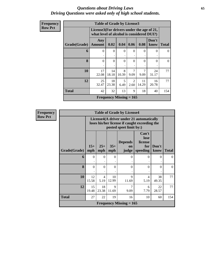#### *Questions about Driving Laws* **65** *Driving Questions were asked only of high school students.*

| <b>Frequency</b> |  |
|------------------|--|
| Row Pct          |  |

| <b>Table of Grade by License3</b> |                      |                                                                                        |            |                        |             |               |       |  |  |  |
|-----------------------------------|----------------------|----------------------------------------------------------------------------------------|------------|------------------------|-------------|---------------|-------|--|--|--|
|                                   |                      | License3(For drivers under the age of 21,<br>what level of alcohol is considered DUI?) |            |                        |             |               |       |  |  |  |
| Grade(Grade)                      | Any<br><b>Amount</b> | 0.02                                                                                   | 0.04       | 0.06                   | 0.08        | Don't<br>know | Total |  |  |  |
| 6                                 | $\theta$             | $\Omega$<br>٠                                                                          | $\theta$   | $\Omega$               | $\theta$    | 0             | 0     |  |  |  |
| 8                                 | $\theta$             | $\Omega$                                                                               | $\theta$   | $\Omega$               | $\theta$    | 0             | 0     |  |  |  |
| 10                                | 17<br>22.08          | 14<br>18.18                                                                            | 8<br>10.39 | 7<br>9.09              | 7<br>9.09   | 24<br>31.17   | 77    |  |  |  |
| 12                                | 25<br>32.47          | 18<br>23.38                                                                            | 5<br>6.49  | $\mathfrak{D}$<br>2.60 | 11<br>14.29 | 16<br>20.78   | 77    |  |  |  |
| <b>Total</b>                      | 42                   | 32                                                                                     | 13         | 9                      | 18          | 40            | 154   |  |  |  |
|                                   |                      | Frequency Missing $= 165$                                                              |            |                        |             |               |       |  |  |  |

**Frequency Row Pct**

|                     | <b>Table of Grade by License4</b> |                                                                                                                      |              |                               |                                             |               |              |  |  |  |
|---------------------|-----------------------------------|----------------------------------------------------------------------------------------------------------------------|--------------|-------------------------------|---------------------------------------------|---------------|--------------|--|--|--|
|                     |                                   | License4(A driver under 21 automatically<br>loses his/her license if caught exceeding the<br>posted speet limit by:) |              |                               |                                             |               |              |  |  |  |
| <b>Grade(Grade)</b> | $15+$<br>mph                      | $25+$<br>mph                                                                                                         | $35+$<br>mph | <b>Depends</b><br>on<br>judge | Can't<br>lose<br>license<br>for<br>speeding | Don't<br>know | <b>Total</b> |  |  |  |
| 6                   | $\Omega$                          | $\Omega$                                                                                                             | $\Omega$     | $\Omega$                      | 0                                           | $\Omega$      | 0            |  |  |  |
| 8                   | $\Omega$                          | $\Omega$                                                                                                             | $\Omega$     | $\Omega$                      | $\Omega$                                    | $\Omega$      | $\Omega$     |  |  |  |
| 10                  | 12<br>15.58                       | 4<br>5.19                                                                                                            | 10<br>12.99  | $\mathbf Q$<br>11.69          | 4<br>5.19                                   | 38<br>49.35   | 77           |  |  |  |
| 12                  | 15<br>19.48                       | 18<br>23.38                                                                                                          | 9<br>11.69   | 7<br>9.09                     | 6<br>7.79                                   | 22<br>28.57   | 77           |  |  |  |
| Total               | 27                                | 22                                                                                                                   | 19           | 16                            | 10                                          | 60            | 154          |  |  |  |
|                     | Frequency Missing $= 165$         |                                                                                                                      |              |                               |                                             |               |              |  |  |  |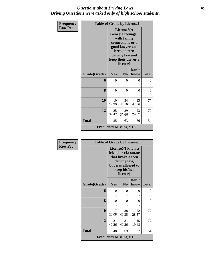### *Questions about Driving Laws* **66** *Driving Questions were asked only of high school students.*

| Frequency      | <b>Table of Grade by License5</b> |                                |                                                                                                                                                            |                |              |  |  |
|----------------|-----------------------------------|--------------------------------|------------------------------------------------------------------------------------------------------------------------------------------------------------|----------------|--------------|--|--|
| <b>Row Pct</b> |                                   |                                | License5(A<br>Georgia teenager<br>with family<br>connections or a<br>good lawyer can<br>break a teen<br>driving law and<br>keep their driver's<br>license) |                |              |  |  |
|                | Grade(Grade)                      | Yes                            | N <sub>0</sub>                                                                                                                                             | Don't<br>know  | <b>Total</b> |  |  |
|                | 6                                 | 0                              | $\Omega$                                                                                                                                                   | 0              | $\Omega$     |  |  |
|                | 8                                 | $\overline{0}$                 | $\theta$                                                                                                                                                   | $\overline{0}$ | $\theta$     |  |  |
|                | 10                                | 10<br>12.99                    | 34<br>44.16                                                                                                                                                | 33<br>42.86    | 77           |  |  |
|                | 12                                | 25<br>32.47                    | 29<br>37.66                                                                                                                                                | 23<br>29.87    | 77           |  |  |
|                | <b>Total</b>                      | 35                             | 63                                                                                                                                                         | 56             | 154          |  |  |
|                |                                   | <b>Frequency Missing = 165</b> |                                                                                                                                                            |                |              |  |  |

| <b>Frequency</b> | <b>Table of Grade by License6</b> |                                                                                                                                              |                |               |              |
|------------------|-----------------------------------|----------------------------------------------------------------------------------------------------------------------------------------------|----------------|---------------|--------------|
| <b>Row Pct</b>   |                                   | License <sub>6</sub> (I know a<br>friend or classmate<br>that broke a teen<br>driving law,<br>but was allowed to<br>keep his/her<br>license) |                |               |              |
|                  | Grade(Grade)                      | Yes                                                                                                                                          | N <sub>0</sub> | Don't<br>know | <b>Total</b> |
|                  | 6                                 | $\Omega$                                                                                                                                     | $\Omega$       | 0             | 0            |
|                  | 8                                 | $\Omega$                                                                                                                                     | $\theta$       | 0             | 0            |
|                  | 10                                | 17<br>22.08                                                                                                                                  | 38<br>49.35    | 22<br>28.57   | 77           |
|                  | 12                                | 31<br>40.26                                                                                                                                  | 31<br>40.26    | 15<br>19.48   | 77           |
|                  | <b>Total</b>                      | 48                                                                                                                                           | 69             | 37            | 154          |
|                  |                                   | <b>Frequency Missing = 165</b>                                                                                                               |                |               |              |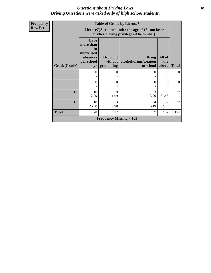### *Questions about Driving Laws* **67** *Driving Questions were asked only of high school students.*

| <b>Frequency</b> |              |                                                                                    |                                   | <b>Table of Grade by License7</b>                                                             |                        |                |
|------------------|--------------|------------------------------------------------------------------------------------|-----------------------------------|-----------------------------------------------------------------------------------------------|------------------------|----------------|
| <b>Row Pct</b>   |              |                                                                                    |                                   | License7(A student under the age of 18 cam loser<br>his/her driving privileges if he or she:) |                        |                |
|                  | Grade(Grade) | <b>Have</b><br>more than<br><b>10</b><br>unexcused<br>absences<br>per school<br>yr | Drop out<br>without<br>graduating | <b>Bring</b><br>alcohol/drugs/weapon<br>to school                                             | All of<br>the<br>above | <b>Total</b>   |
|                  | 6            | $\Omega$                                                                           | 0                                 | 0                                                                                             | $\Omega$               | $\overline{0}$ |
|                  |              |                                                                                    |                                   |                                                                                               |                        |                |
|                  | 8            | 0                                                                                  | $\Omega$                          | $\Omega$                                                                                      | $\Omega$               | $\overline{0}$ |
|                  | 10           | 10<br>12.99                                                                        | 9<br>11.69                        | 3<br>3.90                                                                                     | 55<br>71.43            | 77             |
|                  | 12           | 18<br>23.38                                                                        | 3<br>3.90                         | 4<br>5.19                                                                                     | 52<br>67.53            | 77             |
|                  | <b>Total</b> | 28                                                                                 | 12                                | 7                                                                                             | 107                    | 154            |
|                  |              |                                                                                    | <b>Frequency Missing = 165</b>    |                                                                                               |                        |                |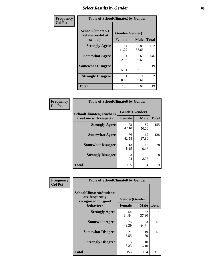## *Select Results by Gender* **68**

| Frequency      |                                                   | <b>Table of SchoolClimate2 by Gender</b> |             |                |  |  |  |  |
|----------------|---------------------------------------------------|------------------------------------------|-------------|----------------|--|--|--|--|
| <b>Col Pct</b> | SchoolClimate2(I<br>feel successful at<br>school) | Gender(Gender)<br><b>Female</b>          | <b>Male</b> | <b>Total</b>   |  |  |  |  |
|                | <b>Strongly Agree</b>                             | 64<br>41.29                              | 88<br>53.66 | 152            |  |  |  |  |
|                | <b>Somewhat Agree</b>                             | 81<br>52.26                              | 65<br>39.63 | 146            |  |  |  |  |
|                | <b>Somewhat Disagree</b>                          | 9<br>5.81                                | 10<br>6.10  | 19             |  |  |  |  |
|                | <b>Strongly Disagree</b>                          | 0.65                                     | 0.61        | $\overline{2}$ |  |  |  |  |
|                | <b>Total</b>                                      | 155                                      | 164         | 319            |  |  |  |  |

| Frequency      | <b>Table of SchoolClimate6 by Gender</b>                 |                                 |             |              |
|----------------|----------------------------------------------------------|---------------------------------|-------------|--------------|
| <b>Col Pct</b> | <b>SchoolClimate6(Teachers</b><br>treat me with respect) | Gender(Gender)<br><b>Female</b> | <b>Male</b> | <b>Total</b> |
|                | <b>Strongly Agree</b>                                    | 73<br>47.10                     | 82<br>50.00 | 155          |
|                | <b>Somewhat Agree</b>                                    | 66<br>42.58                     | 62<br>37.80 | 128          |
|                | <b>Somewhat Disagree</b>                                 | 13<br>8.39                      | 15<br>9.15  | 28           |
|                | <b>Strongly Disagree</b>                                 | 3<br>1.94                       | 5<br>3.05   | 8            |
|                | <b>Total</b>                                             | 155                             | 164         | 319          |

| <b>Frequency</b> | <b>Table of SchoolClimate8 by Gender</b>                                             |               |                               |              |  |
|------------------|--------------------------------------------------------------------------------------|---------------|-------------------------------|--------------|--|
| <b>Col Pct</b>   | <b>SchoolClimate8(Students</b><br>are frequently<br>recognized for good<br>behavior) | <b>Female</b> | Gender(Gender)<br><b>Male</b> | <b>Total</b> |  |
|                  | <b>Strongly Agree</b>                                                                | 54            | 62                            | 116          |  |
|                  |                                                                                      | 34.84         | 37.80                         |              |  |
|                  | <b>Somewhat Agree</b>                                                                | 75<br>48.39   | 73<br>44.51                   | 148          |  |
|                  | <b>Somewhat Disagree</b>                                                             | 21<br>13.55   | 19<br>11.59                   | 40           |  |
|                  | <b>Strongly Disagree</b>                                                             | 5<br>3.23     | 10<br>6.10                    | 15           |  |
|                  | Total                                                                                | 155           | 164                           | 319          |  |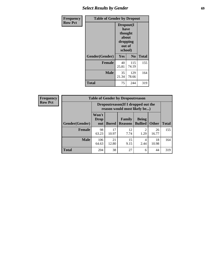# *Select Results by Gender* **69**

| Frequency      | <b>Table of Gender by Dropout</b> |                                                                        |                |              |
|----------------|-----------------------------------|------------------------------------------------------------------------|----------------|--------------|
| <b>Row Pct</b> |                                   | Dropout(I<br>have<br>thought<br>about<br>dropping<br>out of<br>school) |                |              |
|                | Gender(Gender)                    | Yes                                                                    | N <sub>0</sub> | <b>Total</b> |
|                | <b>Female</b>                     | 40<br>25.81                                                            | 115<br>74.19   | 155          |
|                | <b>Male</b>                       | 35<br>21.34                                                            | 129<br>78.66   | 164          |
|                | <b>Total</b>                      | 75                                                                     | 244            | 319          |

| <b>Total</b> |
|--------------|
| 155          |
| 164          |
|              |

**Total** 204 38 27 6 44 319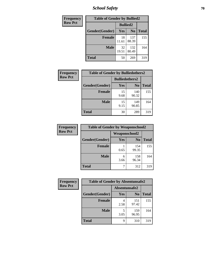*School Safety* **70**

| Frequency      | <b>Table of Gender by Bullied2</b> |                 |                |              |
|----------------|------------------------------------|-----------------|----------------|--------------|
| <b>Row Pct</b> |                                    | <b>Bullied2</b> |                |              |
|                | <b>Gender</b> (Gender)             | <b>Yes</b>      | N <sub>0</sub> | <b>Total</b> |
|                | <b>Female</b>                      | 18<br>11.61     | 137<br>88.39   | 155          |
|                | <b>Male</b>                        | 32<br>19.51     | 132<br>80.49   | 164          |
|                | <b>Total</b>                       | 50              | 269            | 319          |

| Frequency      | <b>Table of Gender by Bulliedothers2</b> |                       |                |              |
|----------------|------------------------------------------|-----------------------|----------------|--------------|
| <b>Row Pct</b> |                                          | <b>Bulliedothers2</b> |                |              |
|                | Gender(Gender)                           | Yes                   | N <sub>0</sub> | <b>Total</b> |
|                | <b>Female</b>                            | 15<br>9.68            | 140<br>90.32   | 155          |
|                | <b>Male</b>                              | 15<br>9.15            | 149<br>90.85   | 164          |
|                | <b>Total</b>                             | 30                    | 289            | 319          |

| Frequency      | <b>Table of Gender by Weaponschool2</b> |               |                |              |
|----------------|-----------------------------------------|---------------|----------------|--------------|
| <b>Row Pct</b> |                                         | Weaponschool2 |                |              |
|                | Gender(Gender)                          | Yes           | N <sub>0</sub> | <b>Total</b> |
|                | <b>Female</b>                           | 0.65          | 154<br>99.35   | 155          |
|                | <b>Male</b>                             | 6<br>3.66     | 158<br>96.34   | 164          |
|                | <b>Total</b>                            |               | 312            | 319          |

| Frequency      | <b>Table of Gender by Absentunsafe2</b> |               |                |              |
|----------------|-----------------------------------------|---------------|----------------|--------------|
| <b>Row Pct</b> |                                         | Absentunsafe2 |                |              |
|                | Gender(Gender)                          | Yes           | N <sub>0</sub> | <b>Total</b> |
|                | <b>Female</b>                           | 2.58          | 151<br>97.42   | 155          |
|                | <b>Male</b>                             | 3.05          | 159<br>96.95   | 164          |
|                | <b>Total</b>                            | q             | 310            | 319          |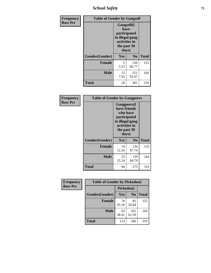*School Safety* **71**

| Frequency      | <b>Table of Gender by Gangself</b> |                                                                                                |              |              |
|----------------|------------------------------------|------------------------------------------------------------------------------------------------|--------------|--------------|
| <b>Row Pct</b> |                                    | Gangself(I<br>have<br>participated<br>in illegal gang<br>activities in<br>the past 30<br>days) |              |              |
|                | Gender(Gender)                     | Yes                                                                                            | No           | <b>Total</b> |
|                | <b>Female</b>                      | 5<br>3.23                                                                                      | 150<br>96.77 | 155          |
|                | <b>Male</b>                        | 13<br>7.93                                                                                     | 151<br>92.07 | 164          |
|                | <b>Total</b>                       | 18                                                                                             | 301          | 319          |

| <b>Frequency</b> | <b>Table of Gender by Gangpeers</b> |                                                                                                                             |                |              |
|------------------|-------------------------------------|-----------------------------------------------------------------------------------------------------------------------------|----------------|--------------|
| <b>Row Pct</b>   |                                     | <b>Gangpeers</b> (I<br>have friends<br>who have<br>participated<br>in illegal gang<br>activities in<br>the past 30<br>days) |                |              |
|                  | Gender(Gender)                      | Yes                                                                                                                         | N <sub>0</sub> | <b>Total</b> |
|                  | <b>Female</b>                       | 19<br>12.26                                                                                                                 | 136<br>87.74   | 155          |
|                  | <b>Male</b>                         | 25<br>15.24                                                                                                                 | 139<br>84.76   | 164          |
|                  | Total                               | 44                                                                                                                          | 275            | 319          |

| Frequency      | <b>Table of Gender by Pickedon2</b> |             |                |              |
|----------------|-------------------------------------|-------------|----------------|--------------|
| <b>Row Pct</b> |                                     | Pickedon2   |                |              |
|                | Gender(Gender)                      | <b>Yes</b>  | N <sub>0</sub> | <b>Total</b> |
|                | <b>Female</b>                       | 70<br>45.16 | 85<br>54.84    | 155          |
|                | <b>Male</b>                         | 63<br>38.41 | 101<br>61.59   | 164          |
|                | <b>Total</b>                        | 133         | 186            | 319          |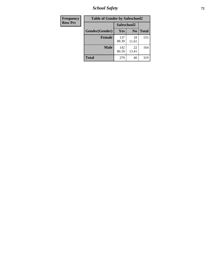*School Safety* **72**

| Frequency      | <b>Table of Gender by Safeschool2</b> |              |                |              |  |
|----------------|---------------------------------------|--------------|----------------|--------------|--|
| <b>Row Pct</b> |                                       | Safeschool2  |                |              |  |
|                | Gender(Gender)                        | <b>Yes</b>   | N <sub>0</sub> | <b>Total</b> |  |
|                | <b>Female</b>                         | 137<br>88.39 | 18<br>11.61    | 155          |  |
|                | <b>Male</b>                           | 142<br>86.59 | 22<br>13.41    | 164          |  |
|                | <b>Total</b>                          | 279          | 40             | 319          |  |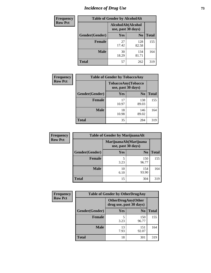# *Incidence of Drug Use* 73

| <b>Frequency</b> | <b>Table of Gender by AlcoholAlt</b> |                                          |                |              |
|------------------|--------------------------------------|------------------------------------------|----------------|--------------|
| <b>Row Pct</b>   |                                      | AlcoholAlt(Alcohol<br>use, past 30 days) |                |              |
|                  | Gender(Gender)                       | Yes                                      | N <sub>0</sub> | <b>Total</b> |
|                  | <b>Female</b>                        | 27<br>17.42                              | 128<br>82.58   | 155          |
|                  | <b>Male</b>                          | 30<br>18.29                              | 134<br>81.71   | 164          |
|                  | <b>Total</b>                         | 57                                       | 262            | 319          |

| <b>Frequency</b> | <b>Table of Gender by TobaccoAny</b> |                    |                    |              |
|------------------|--------------------------------------|--------------------|--------------------|--------------|
| <b>Row Pct</b>   |                                      | use, past 30 days) | TobaccoAny(Tobacco |              |
|                  | Gender(Gender)                       | Yes                | N <sub>0</sub>     | <b>Total</b> |
|                  | <b>Female</b>                        | 17<br>10.97        | 138<br>89.03       | 155          |
|                  | <b>Male</b>                          | 18<br>10.98        | 146<br>89.02       | 164          |
|                  | <b>Total</b>                         | 35                 | 284                | 319          |

| <b>Frequency</b> |                | <b>Table of Gender by MarijuanaAlt</b> |                        |              |
|------------------|----------------|----------------------------------------|------------------------|--------------|
| <b>Row Pct</b>   |                | use, past 30 days)                     | MarijuanaAlt(Marijuana |              |
|                  | Gender(Gender) | <b>Yes</b>                             | N <sub>0</sub>         | <b>Total</b> |
|                  | <b>Female</b>  | 5<br>3.23                              | 150<br>96.77           | 155          |
|                  | <b>Male</b>    | 10<br>6.10                             | 154<br>93.90           | 164          |
|                  | <b>Total</b>   | 15                                     | 304                    | 319          |

| <b>Frequency</b> | <b>Table of Gender by OtherDrugAny</b> |                                                      |                |              |
|------------------|----------------------------------------|------------------------------------------------------|----------------|--------------|
| <b>Row Pct</b>   |                                        | <b>OtherDrugAny(Other</b><br>drug use, past 30 days) |                |              |
|                  | Gender(Gender)                         | <b>Yes</b>                                           | N <sub>0</sub> | <b>Total</b> |
|                  | <b>Female</b>                          | 5<br>3.23                                            | 150<br>96.77   | 155          |
|                  | <b>Male</b>                            | 13<br>7.93                                           | 151<br>92.07   | 164          |
|                  | <b>Total</b>                           | 18                                                   | 301            | 319          |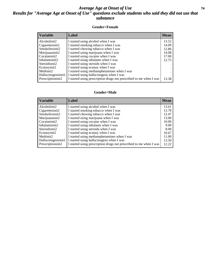### *Average Age at Onset of Use* **74** *Results for "Average Age at Onset of Use" questions exclude students who said they did not use that substance*

### **Gender=Female**

| <b>Variable</b>    | <b>Label</b>                                                       | <b>Mean</b> |
|--------------------|--------------------------------------------------------------------|-------------|
| Alcoholinit2       | I started using alcohol when I was                                 | 13.52       |
| Cigarettesinit2    | I started smoking tobacco when I was                               | 14.09       |
| Smokelessinit2     | I started chewing tobacco when I was                               | 12.86       |
| Marijuanainit2     | I started using marijuana when I was                               | 14.08       |
| Cocaineinit2       | I started using cocaine when I was                                 | 17.00       |
| Inhalantsinit2     | I started using inhalants when I was                               | 12.75       |
| Steroidsinit2      | I started using steroids when I was                                | $\bullet$   |
| Ecstasyinit2       | I started using ecstasy when I was                                 |             |
| Methinit2          | I started using methamphetamines when I was                        |             |
| Hallucinogensinit2 | I started using hallucinogens when I was                           |             |
| Prescription in t2 | I started using prescription drugs not prescribed to me when I was | 13.38       |

### **Gender=Male**

| <b>Variable</b>                 | Label                                                              | <b>Mean</b> |
|---------------------------------|--------------------------------------------------------------------|-------------|
| Alcoholinit2                    | I started using alcohol when I was                                 | 13.61       |
| Cigarettesinit2                 | I started smoking tobacco when I was                               | 13.78       |
| Smokelessinit2                  | I started chewing tobacco when I was                               | 12.47       |
| Marijuanainit2                  | I started using marijuana when I was                               | 13.00       |
| Cocaineinit2                    | I started using cocaine when I was                                 | 10.00       |
| Inhalantsinit2                  | I started using inhalants when I was                               | 9.00        |
| Steroidsinit2                   | I started using steroids when I was                                | 8.00        |
| Ecstasyinit2                    | I started using ecstasy when I was                                 | 10.67       |
| Methinit2                       | I started using methamphetamines when I was                        | 11.00       |
| Hallucinogensinit2              | I started using hallucinogens when I was                           | 13.50       |
| Prescription in it <sub>2</sub> | I started using prescription drugs not prescribed to me when I was | 12.22       |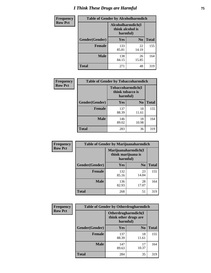# *I Think These Drugs are Harmful* **75**

| <b>Frequency</b> | <b>Table of Gender by Alcoholharmdich</b> |                                                   |                |              |  |
|------------------|-------------------------------------------|---------------------------------------------------|----------------|--------------|--|
| <b>Row Pct</b>   |                                           | Alcoholharmdich(I<br>think alcohol is<br>harmful) |                |              |  |
|                  | Gender(Gender)                            | Yes                                               | N <sub>0</sub> | <b>Total</b> |  |
|                  | <b>Female</b>                             | 133<br>85.81                                      | 22<br>14.19    | 155          |  |
|                  | <b>Male</b>                               | 138<br>84.15                                      | 26<br>15.85    | 164          |  |
|                  | Total                                     | 271                                               | 48             | 319          |  |

| Frequency      | <b>Table of Gender by Tobaccoharmdich</b> |                              |                   |              |
|----------------|-------------------------------------------|------------------------------|-------------------|--------------|
| <b>Row Pct</b> |                                           | think tobacco is<br>harmful) | Tobaccoharmdich(I |              |
|                | Gender(Gender)                            | Yes                          | N <sub>0</sub>    | <b>Total</b> |
|                | <b>Female</b>                             | 137<br>88.39                 | 18<br>11.61       | 155          |
|                | <b>Male</b>                               | 146<br>89.02                 | 18<br>10.98       | 164          |
|                | <b>Total</b>                              | 283                          | 36                | 319          |

| Frequency      | <b>Table of Gender by Marijuanaharmdich</b> |                                |                     |              |  |
|----------------|---------------------------------------------|--------------------------------|---------------------|--------------|--|
| <b>Row Pct</b> |                                             | think marijuana is<br>harmful) | Marijuanaharmdich(I |              |  |
|                | Gender(Gender)                              | <b>Yes</b>                     | N <sub>0</sub>      | <b>Total</b> |  |
|                | <b>Female</b>                               | 132<br>85.16                   | 23<br>14.84         | 155          |  |
|                | <b>Male</b>                                 | 136<br>82.93                   | 28<br>17.07         | 164          |  |
|                | <b>Total</b>                                | 268                            | 51                  | 319          |  |

| Frequency      | <b>Table of Gender by Otherdrugharmdich</b> |                                                          |                |              |
|----------------|---------------------------------------------|----------------------------------------------------------|----------------|--------------|
| <b>Row Pct</b> |                                             | Otherdrugharmdich(I<br>think other drugs are<br>harmful) |                |              |
|                | Gender(Gender)                              | <b>Yes</b>                                               | N <sub>0</sub> | <b>Total</b> |
|                | <b>Female</b>                               | 137<br>88.39                                             | 18<br>11.61    | 155          |
|                | <b>Male</b>                                 | 147<br>89.63                                             | 17<br>10.37    | 164          |
|                | <b>Total</b>                                | 284                                                      | 35             | 319          |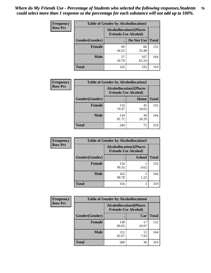| <b>Frequency</b> | <b>Table of Gender by Alcohollocation1</b> |                                                               |              |              |
|------------------|--------------------------------------------|---------------------------------------------------------------|--------------|--------------|
| <b>Row Pct</b>   |                                            | <b>Alcohollocation1(Places</b><br><b>Friends Use Alcohol)</b> |              |              |
|                  | Gender(Gender)                             |                                                               | Do Not Use   | <b>Total</b> |
|                  | <b>Female</b>                              | 69<br>44.52                                                   | 86<br>55.48  | 155          |
|                  | <b>Male</b>                                | 57<br>34.76                                                   | 107<br>65.24 | 164          |
|                  | <b>Total</b>                               | 126                                                           | 193          | 319          |

| <b>Frequency</b> | <b>Table of Gender by Alcohollocation2</b> |                                                               |             |              |
|------------------|--------------------------------------------|---------------------------------------------------------------|-------------|--------------|
| <b>Row Pct</b>   |                                            | <b>Alcohollocation2(Places</b><br><b>Friends Use Alcohol)</b> |             |              |
|                  | Gender(Gender)                             |                                                               | Home        | <b>Total</b> |
|                  | <b>Female</b>                              | 110<br>70.97                                                  | 45<br>29.03 | 155          |
|                  | <b>Male</b>                                | 134<br>81.71                                                  | 30<br>18.29 | 164          |
|                  | <b>Total</b>                               | 244                                                           | 75          | 319          |

| Frequency      | <b>Table of Gender by Alcohollocation3</b> |                                                                |               |              |
|----------------|--------------------------------------------|----------------------------------------------------------------|---------------|--------------|
| <b>Row Pct</b> |                                            | <b>Alcohollocation3</b> (Places<br><b>Friends Use Alcohol)</b> |               |              |
|                | Gender(Gender)                             |                                                                | <b>School</b> | <b>Total</b> |
|                | <b>Female</b>                              | 154<br>99.35                                                   | 0.65          | 155          |
|                | <b>Male</b>                                | 162<br>98.78                                                   | 2<br>1.22     | 164          |
|                | <b>Total</b>                               | 316                                                            | 3             | 319          |

| <b>Frequency</b> | <b>Table of Gender by Alcohollocation4</b> |                                                               |             |              |
|------------------|--------------------------------------------|---------------------------------------------------------------|-------------|--------------|
| <b>Row Pct</b>   |                                            | <b>Alcohollocation4(Places</b><br><b>Friends Use Alcohol)</b> |             |              |
|                  | Gender(Gender)                             |                                                               | Car         | <b>Total</b> |
|                  | <b>Female</b>                              | 138<br>89.03                                                  | 17<br>10.97 | 155          |
|                  | <b>Male</b>                                | 151<br>92.07                                                  | 13<br>7.93  | 164          |
|                  | <b>Total</b>                               | 289                                                           | 30          | 319          |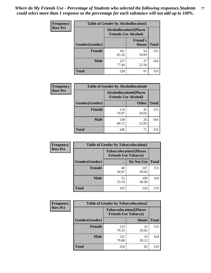| <b>Frequency</b> | <b>Table of Gender by Alcohollocation5</b> |                                                                |                                 |              |
|------------------|--------------------------------------------|----------------------------------------------------------------|---------------------------------|--------------|
| <b>Row Pct</b>   |                                            | <b>Alcohollocation5</b> (Places<br><b>Friends Use Alcohol)</b> |                                 |              |
|                  | Gender(Gender)                             |                                                                | <b>Friend's</b><br><b>House</b> | <b>Total</b> |
|                  | <b>Female</b>                              | 101<br>65.16                                                   | 54<br>34.84                     | 155          |
|                  | <b>Male</b>                                | 127<br>77.44                                                   | 37<br>22.56                     | 164          |
|                  | <b>Total</b>                               | 228                                                            | 91                              | 319          |

| Frequency      | <b>Table of Gender by Alcohollocation6</b> |                                                               |              |              |  |
|----------------|--------------------------------------------|---------------------------------------------------------------|--------------|--------------|--|
| <b>Row Pct</b> |                                            | <b>Alcohollocation6(Places</b><br><b>Friends Use Alcohol)</b> |              |              |  |
|                | Gender(Gender)                             |                                                               | <b>Other</b> | <b>Total</b> |  |
|                | <b>Female</b>                              | 110<br>70.97                                                  | 45<br>29.03  | 155          |  |
|                | <b>Male</b>                                | 138<br>84.15                                                  | 26<br>15.85  | 164          |  |
|                | <b>Total</b>                               | 248                                                           | 71           | 319          |  |

| Frequency      | <b>Table of Gender by Tobaccolocation1</b> |                                                               |              |              |  |
|----------------|--------------------------------------------|---------------------------------------------------------------|--------------|--------------|--|
| <b>Row Pct</b> |                                            | <b>Tobaccolocation1(Places</b><br><b>Friends Use Tobacco)</b> |              |              |  |
|                | Gender(Gender)                             |                                                               | Do Not Use   | <b>Total</b> |  |
|                | Female                                     | 48<br>30.97                                                   | 107<br>69.03 | 155          |  |
|                | <b>Male</b>                                | 55<br>33.54                                                   | 109<br>66.46 | 164          |  |
|                | <b>Total</b>                               | 103                                                           | 216          | 319          |  |

| <b>Frequency</b> | <b>Table of Gender by Tobaccolocation2</b> |                                                               |             |              |
|------------------|--------------------------------------------|---------------------------------------------------------------|-------------|--------------|
| <b>Row Pct</b>   |                                            | <b>Tobaccolocation2(Places</b><br><b>Friends Use Tobacco)</b> |             |              |
|                  | Gender(Gender)                             |                                                               | Home        | <b>Total</b> |
|                  | Female                                     | 123<br>79.35                                                  | 32<br>20.65 | 155          |
|                  | <b>Male</b>                                | 131<br>79.88                                                  | 33<br>20.12 | 164          |
|                  | <b>Total</b>                               | 254                                                           | 65          | 319          |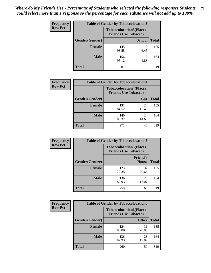| <b>Frequency</b> | <b>Table of Gender by Tobaccolocation3</b> |                             |                                |              |
|------------------|--------------------------------------------|-----------------------------|--------------------------------|--------------|
| <b>Row Pct</b>   |                                            | <b>Friends Use Tobacco)</b> | <b>Tobaccolocation3(Places</b> |              |
|                  | Gender(Gender)                             |                             | <b>School</b>                  | <b>Total</b> |
|                  | <b>Female</b>                              | 145<br>93.55                | 10<br>6.45                     | 155          |
|                  | <b>Male</b>                                | 156<br>95.12                | 8<br>4.88                      | 164          |
|                  | Total                                      | 301                         | 18                             | 319          |

| <b>Frequency</b> | <b>Table of Gender by Tobaccolocation4</b> |                             |                                |              |
|------------------|--------------------------------------------|-----------------------------|--------------------------------|--------------|
| <b>Row Pct</b>   |                                            | <b>Friends Use Tobacco)</b> | <b>Tobaccolocation4(Places</b> |              |
|                  | Gender(Gender)                             |                             | Car                            | <b>Total</b> |
|                  | Female                                     | 131<br>84.52                | 24<br>15.48                    | 155          |
|                  | <b>Male</b>                                | 140<br>85.37                | 24<br>14.63                    | 164          |
|                  | <b>Total</b>                               | 271                         | 48                             | 319          |

| <b>Frequency</b> | <b>Table of Gender by Tobaccolocation5</b> |                                                               |                                 |              |
|------------------|--------------------------------------------|---------------------------------------------------------------|---------------------------------|--------------|
| <b>Row Pct</b>   |                                            | <b>Tobaccolocation5(Places</b><br><b>Friends Use Tobacco)</b> |                                 |              |
|                  | Gender(Gender)                             |                                                               | <b>Friend's</b><br><b>House</b> | <b>Total</b> |
|                  | <b>Female</b>                              | 123<br>79.35                                                  | 32<br>20.65                     | 155          |
|                  | <b>Male</b>                                | 136<br>82.93                                                  | 28<br>17.07                     | 164          |
|                  | <b>Total</b>                               | 259                                                           | 60                              | 319          |

| <b>Frequency</b> | <b>Table of Gender by Tobaccolocation6</b> |                             |                                |              |
|------------------|--------------------------------------------|-----------------------------|--------------------------------|--------------|
| <b>Row Pct</b>   |                                            | <b>Friends Use Tobacco)</b> | <b>Tobaccolocation6(Places</b> |              |
|                  | Gender(Gender)                             |                             | <b>Other</b>                   | <b>Total</b> |
|                  | Female                                     | 124<br>80.00                | 31<br>20.00                    | 155          |
|                  | <b>Male</b>                                | 136<br>82.93                | 28<br>17.07                    | 164          |
|                  | <b>Total</b>                               | 260                         | 59                             | 319          |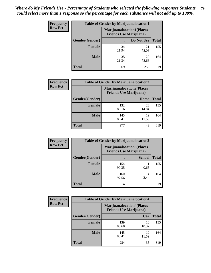| <b>Frequency</b> | <b>Table of Gender by Marijuanalocation1</b> |                                                                    |              |              |
|------------------|----------------------------------------------|--------------------------------------------------------------------|--------------|--------------|
| <b>Row Pct</b>   |                                              | <b>Marijuanalocation1(Places</b><br><b>Friends Use Marijuana</b> ) |              |              |
|                  | Gender(Gender)                               |                                                                    | Do Not Use   | <b>Total</b> |
|                  | <b>Female</b>                                | 34<br>21.94                                                        | 121<br>78.06 | 155          |
|                  | <b>Male</b>                                  | 35<br>21.34                                                        | 129<br>78.66 | 164          |
|                  | <b>Total</b>                                 | 69                                                                 | 250          | 319          |

| <b>Frequency</b> |                | <b>Table of Gender by Marijuanalocation2</b> |                                                                    |              |
|------------------|----------------|----------------------------------------------|--------------------------------------------------------------------|--------------|
| <b>Row Pct</b>   |                |                                              | <b>Marijuanalocation2(Places</b><br><b>Friends Use Marijuana</b> ) |              |
|                  | Gender(Gender) |                                              | Home                                                               | <b>Total</b> |
|                  | <b>Female</b>  | 132<br>85.16                                 | 23<br>14.84                                                        | 155          |
|                  | <b>Male</b>    | 145<br>88.41                                 | 19<br>11.59                                                        | 164          |
|                  | <b>Total</b>   | 277                                          | 42                                                                 | 319          |

| Frequency      | <b>Table of Gender by Marijuanalocation3</b> |              |                                                                     |              |
|----------------|----------------------------------------------|--------------|---------------------------------------------------------------------|--------------|
| <b>Row Pct</b> |                                              |              | <b>Marijuanalocation3(Places)</b><br><b>Friends Use Marijuana</b> ) |              |
|                | Gender(Gender)                               |              | <b>School</b>                                                       | <b>Total</b> |
|                | Female                                       | 154<br>99.35 | 0.65                                                                | 155          |
|                | <b>Male</b>                                  | 160<br>97.56 | 2.44                                                                | 164          |
|                | <b>Total</b>                                 | 314          | 5                                                                   | 319          |

| <b>Frequency</b> | <b>Table of Gender by Marijuanalocation4</b> |              |                                                                    |              |
|------------------|----------------------------------------------|--------------|--------------------------------------------------------------------|--------------|
| <b>Row Pct</b>   |                                              |              | <b>Marijuanalocation4(Places</b><br><b>Friends Use Marijuana</b> ) |              |
|                  | Gender(Gender)                               |              | Car                                                                | <b>Total</b> |
|                  | Female                                       | 139<br>89.68 | 16<br>10.32                                                        | 155          |
|                  | <b>Male</b>                                  | 145<br>88.41 | 19<br>11.59                                                        | 164          |
|                  | <b>Total</b>                                 | 284          | 35                                                                 | 319          |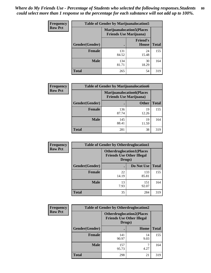| <b>Frequency</b> | <b>Table of Gender by Marijuanalocation5</b> |                                                                    |                                 |              |
|------------------|----------------------------------------------|--------------------------------------------------------------------|---------------------------------|--------------|
| <b>Row Pct</b>   |                                              | <b>Marijuanalocation5(Places</b><br><b>Friends Use Marijuana</b> ) |                                 |              |
|                  | Gender(Gender)                               |                                                                    | <b>Friend's</b><br><b>House</b> | <b>Total</b> |
|                  | Female                                       | 131<br>84.52                                                       | 24<br>15.48                     | 155          |
|                  | <b>Male</b>                                  | 134<br>81.71                                                       | 30<br>18.29                     | 164          |
|                  | <b>Total</b>                                 | 265                                                                | 54                              | 319          |

| <b>Frequency</b> | <b>Table of Gender by Marijuanalocation6</b> |                                                                    |              |              |
|------------------|----------------------------------------------|--------------------------------------------------------------------|--------------|--------------|
| <b>Row Pct</b>   |                                              | <b>Marijuanalocation6(Places</b><br><b>Friends Use Marijuana</b> ) |              |              |
|                  | Gender(Gender)                               |                                                                    | <b>Other</b> | <b>Total</b> |
|                  | <b>Female</b>                                | 136<br>87.74                                                       | 19<br>12.26  | 155          |
|                  | <b>Male</b>                                  | 145<br>88.41                                                       | 19<br>11.59  | 164          |
|                  | <b>Total</b>                                 | 281                                                                | 38           | 319          |

| <b>Frequency</b> | <b>Table of Gender by Otherdruglocation1</b> |                                                                                |              |              |
|------------------|----------------------------------------------|--------------------------------------------------------------------------------|--------------|--------------|
| <b>Row Pct</b>   |                                              | <b>Otherdruglocation1(Places</b><br><b>Friends Use Other Illegal</b><br>Drugs) |              |              |
|                  | <b>Gender</b> (Gender)                       |                                                                                | Do Not Use   | <b>Total</b> |
|                  | <b>Female</b>                                | 22<br>14.19                                                                    | 133<br>85.81 | 155          |
|                  | <b>Male</b>                                  | 13<br>7.93                                                                     | 151<br>92.07 | 164          |
|                  | <b>Total</b>                                 | 35                                                                             | 284          | 319          |

| Frequency      | <b>Table of Gender by Otherdruglocation2</b>                                   |              |            |              |
|----------------|--------------------------------------------------------------------------------|--------------|------------|--------------|
| <b>Row Pct</b> | <b>Otherdruglocation2(Places</b><br><b>Friends Use Other Illegal</b><br>Drugs) |              |            |              |
|                | Gender(Gender)                                                                 |              | Home       | <b>Total</b> |
|                | Female                                                                         | 141<br>90.97 | 14<br>9.03 | 155          |
|                | <b>Male</b>                                                                    | 157<br>95.73 | 4.27       | 164          |
|                | <b>Total</b>                                                                   | 298          | 21         | 319          |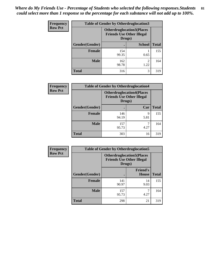| Frequency      | <b>Table of Gender by Otherdruglocation3</b> |              |                                                                      |              |
|----------------|----------------------------------------------|--------------|----------------------------------------------------------------------|--------------|
| <b>Row Pct</b> |                                              | Drugs)       | <b>Otherdruglocation3(Places</b><br><b>Friends Use Other Illegal</b> |              |
|                | Gender(Gender)                               |              | <b>School</b>                                                        | <b>Total</b> |
|                | <b>Female</b>                                | 154<br>99.35 | 0.65                                                                 | 155          |
|                | <b>Male</b>                                  | 162<br>98.78 | $\mathfrak{D}$<br>1.22                                               | 164          |
|                | <b>Total</b>                                 | 316          | 3                                                                    | 319          |

| Frequency      | <b>Table of Gender by Otherdruglocation4</b> |                                                                                |           |              |
|----------------|----------------------------------------------|--------------------------------------------------------------------------------|-----------|--------------|
| <b>Row Pct</b> |                                              | <b>Otherdruglocation4(Places</b><br><b>Friends Use Other Illegal</b><br>Drugs) |           |              |
|                | Gender(Gender)                               |                                                                                | Car       | <b>Total</b> |
|                | Female                                       | 146<br>94.19                                                                   | 9<br>5.81 | 155          |
|                | <b>Male</b>                                  | 157<br>95.73                                                                   | 4.27      | 164          |
|                | <b>Total</b>                                 | 303                                                                            | 16        | 319          |

| <b>Frequency</b> |                | <b>Table of Gender by Otherdruglocation5</b> |                                                                      |              |
|------------------|----------------|----------------------------------------------|----------------------------------------------------------------------|--------------|
| <b>Row Pct</b>   |                | Drugs)                                       | <b>Otherdruglocation5(Places</b><br><b>Friends Use Other Illegal</b> |              |
|                  | Gender(Gender) |                                              | <b>Friend's</b><br><b>House</b>                                      | <b>Total</b> |
|                  | <b>Female</b>  | 141<br>90.97                                 | 14<br>9.03                                                           | 155          |
|                  | <b>Male</b>    | 157<br>95.73                                 | 4.27                                                                 | 164          |
|                  | <b>Total</b>   | 298                                          | 21                                                                   | 319          |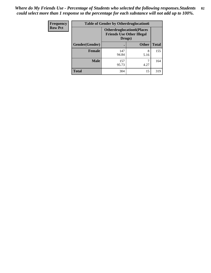| <b>Frequency</b> | <b>Table of Gender by Otherdruglocation6</b> |                                            |                                  |              |
|------------------|----------------------------------------------|--------------------------------------------|----------------------------------|--------------|
| <b>Row Pct</b>   |                                              | <b>Friends Use Other Illegal</b><br>Drugs) | <b>Otherdruglocation6(Places</b> |              |
|                  | Gender(Gender)                               |                                            | <b>Other</b>                     | <b>Total</b> |
|                  | Female                                       | 147<br>94.84                               | 8<br>5.16                        | 155          |
|                  | <b>Male</b>                                  | 157<br>95.73                               | 4.27                             | 164          |
|                  | <b>Total</b>                                 | 304                                        | 15                               | 319          |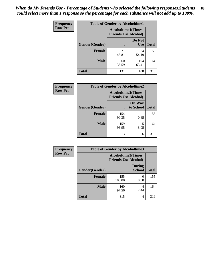| <b>Frequency</b> | <b>Table of Gender by Alcoholtime1</b> |                                                          |                      |              |
|------------------|----------------------------------------|----------------------------------------------------------|----------------------|--------------|
| <b>Row Pct</b>   |                                        | <b>Alcoholtime1(Times</b><br><b>Friends Use Alcohol)</b> |                      |              |
|                  | Gender(Gender)                         | $\bullet$                                                | Do Not<br><b>Use</b> | <b>Total</b> |
|                  | <b>Female</b>                          | 71<br>45.81                                              | 84<br>54.19          | 155          |
|                  | <b>Male</b>                            | 60<br>36.59                                              | 104<br>63.41         | 164          |
|                  | <b>Total</b>                           | 131                                                      | 188                  | 319          |

| <b>Frequency</b> | <b>Table of Gender by Alcoholtime2</b> |                                                          |                            |              |
|------------------|----------------------------------------|----------------------------------------------------------|----------------------------|--------------|
| <b>Row Pct</b>   |                                        | <b>Alcoholtime2(Times</b><br><b>Friends Use Alcohol)</b> |                            |              |
|                  | Gender(Gender)                         |                                                          | <b>On Way</b><br>to School | <b>Total</b> |
|                  | <b>Female</b>                          | 154<br>99.35                                             | 0.65                       | 155          |
|                  | <b>Male</b>                            | 159<br>96.95                                             | 5<br>3.05                  | 164          |
|                  | <b>Total</b>                           | 313                                                      | 6                          | 319          |

| Frequency      | <b>Table of Gender by Alcoholtime3</b> |                                                   |                                |              |
|----------------|----------------------------------------|---------------------------------------------------|--------------------------------|--------------|
| <b>Row Pct</b> |                                        | Alcoholtime3(Times<br><b>Friends Use Alcohol)</b> |                                |              |
|                | Gender(Gender)                         |                                                   | <b>During</b><br><b>School</b> | <b>Total</b> |
|                | Female                                 | 155<br>100.00                                     | $\Omega$<br>0.00               | 155          |
|                | <b>Male</b>                            | 160<br>97.56                                      | 4<br>2.44                      | 164          |
|                | <b>Total</b>                           | 315                                               | 4                              | 319          |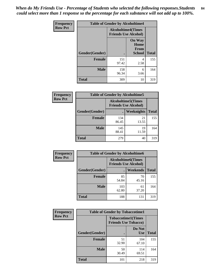*When do My Friends Use - Percentage of Students who selected the following responses.Students could select more than 1 response so the percentage for each substance will not add up to 100%.* **84**

| Frequency      | <b>Table of Gender by Alcoholtime4</b> |                                                          |                                                |              |
|----------------|----------------------------------------|----------------------------------------------------------|------------------------------------------------|--------------|
| <b>Row Pct</b> |                                        | <b>Alcoholtime4(Times</b><br><b>Friends Use Alcohol)</b> |                                                |              |
|                | Gender(Gender)                         | $\bullet$                                                | <b>On Way</b><br>Home<br>From<br><b>School</b> | <b>Total</b> |
|                | <b>Female</b>                          | 151<br>97.42                                             | 4<br>2.58                                      | 155          |
|                | <b>Male</b>                            | 158<br>96.34                                             | 6<br>3.66                                      | 164          |
|                | <b>Total</b>                           | 309                                                      | 10                                             | 319          |

| <b>Frequency</b> | <b>Table of Gender by Alcoholtime5</b>                    |              |             |              |  |
|------------------|-----------------------------------------------------------|--------------|-------------|--------------|--|
| <b>Row Pct</b>   | <b>Alcoholtime5</b> (Times<br><b>Friends Use Alcohol)</b> |              |             |              |  |
|                  | Gender(Gender)                                            |              | Weeknights  | <b>Total</b> |  |
|                  | <b>Female</b>                                             | 134<br>86.45 | 21<br>13.55 | 155          |  |
|                  | <b>Male</b>                                               | 145<br>88.41 | 19<br>11.59 | 164          |  |
|                  | <b>Total</b>                                              | 279          | 40          | 319          |  |

| <b>Frequency</b> | <b>Table of Gender by Alcoholtime6</b> |              |                                                           |              |
|------------------|----------------------------------------|--------------|-----------------------------------------------------------|--------------|
| <b>Row Pct</b>   |                                        |              | <b>Alcoholtime6</b> (Times<br><b>Friends Use Alcohol)</b> |              |
|                  | Gender(Gender)                         |              | Weekends                                                  | <b>Total</b> |
|                  | Female                                 | 85<br>54.84  | 70<br>45.16                                               | 155          |
|                  | <b>Male</b>                            | 103<br>62.80 | 61<br>37.20                                               | 164          |
|                  | <b>Total</b>                           | 188          | 131                                                       | 319          |

| Frequency      | <b>Table of Gender by Tobaccotime1</b> |                                                          |                      |              |
|----------------|----------------------------------------|----------------------------------------------------------|----------------------|--------------|
| <b>Row Pct</b> |                                        | <b>Tobaccotime1(Times</b><br><b>Friends Use Tobacco)</b> |                      |              |
|                | Gender(Gender)                         |                                                          | Do Not<br><b>Use</b> | <b>Total</b> |
|                | <b>Female</b>                          | 51<br>32.90                                              | 104<br>67.10         | 155          |
|                | <b>Male</b>                            | 50<br>30.49                                              | 114<br>69.51         | 164          |
|                | <b>Total</b>                           | 101                                                      | 218                  | 319          |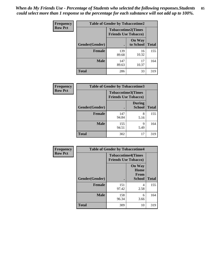| <b>Frequency</b> | <b>Table of Gender by Tobaccotime2</b> |                             |                            |              |
|------------------|----------------------------------------|-----------------------------|----------------------------|--------------|
| <b>Row Pct</b>   |                                        | <b>Friends Use Tobacco)</b> | <b>Tobaccotime2(Times</b>  |              |
|                  | Gender(Gender)                         |                             | <b>On Way</b><br>to School | <b>Total</b> |
|                  | <b>Female</b>                          | 139<br>89.68                | 16<br>10.32                | 155          |
|                  | <b>Male</b>                            | 147<br>89.63                | 17<br>10.37                | 164          |
|                  | <b>Total</b>                           | 286                         | 33                         | 319          |

| <b>Frequency</b> | <b>Table of Gender by Tobaccotime3</b> |                             |                                |              |
|------------------|----------------------------------------|-----------------------------|--------------------------------|--------------|
| <b>Row Pct</b>   |                                        | <b>Friends Use Tobacco)</b> | <b>Tobaccotime3(Times</b>      |              |
|                  | Gender(Gender)                         |                             | <b>During</b><br><b>School</b> | <b>Total</b> |
|                  | <b>Female</b>                          | 147<br>94.84                | 8<br>5.16                      | 155          |
|                  | <b>Male</b>                            | 155<br>94.51                | q<br>5.49                      | 164          |
|                  | <b>Total</b>                           | 302                         | 17                             | 319          |

| <b>Frequency</b> | <b>Table of Gender by Tobaccotime4</b> |                                                          |                                                |              |
|------------------|----------------------------------------|----------------------------------------------------------|------------------------------------------------|--------------|
| <b>Row Pct</b>   |                                        | <b>Tobaccotime4(Times</b><br><b>Friends Use Tobacco)</b> |                                                |              |
|                  | Gender(Gender)                         |                                                          | <b>On Way</b><br>Home<br>From<br><b>School</b> | <b>Total</b> |
|                  | <b>Female</b>                          | 151<br>97.42                                             | 4<br>2.58                                      | 155          |
|                  | <b>Male</b>                            | 158<br>96.34                                             | 6<br>3.66                                      | 164          |
|                  | <b>Total</b>                           | 309                                                      | 10                                             | 319          |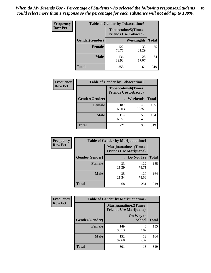| <b>Frequency</b> | <b>Table of Gender by Tobaccotime5</b> |              |                                                           |              |
|------------------|----------------------------------------|--------------|-----------------------------------------------------------|--------------|
| <b>Row Pct</b>   |                                        |              | <b>Tobaccotime5</b> (Times<br><b>Friends Use Tobacco)</b> |              |
|                  | Gender(Gender)                         |              | <b>Weeknights</b>                                         | <b>Total</b> |
|                  | <b>Female</b>                          | 122<br>78.71 | 33<br>21.29                                               | 155          |
|                  | <b>Male</b>                            | 136<br>82.93 | 28<br>17.07                                               | 164          |
|                  | <b>Total</b>                           | 258          | 61                                                        | 319          |

| <b>Frequency</b> | <b>Table of Gender by Tobaccotime6</b> |                                                          |             |              |
|------------------|----------------------------------------|----------------------------------------------------------|-------------|--------------|
| <b>Row Pct</b>   |                                        | <b>Tobaccotime6(Times</b><br><b>Friends Use Tobacco)</b> |             |              |
|                  | Gender(Gender)                         |                                                          | Weekends    | <b>Total</b> |
|                  | <b>Female</b>                          | 107<br>69.03                                             | 48<br>30.97 | 155          |
|                  | <b>Male</b>                            | 114<br>69.51                                             | 50<br>30.49 | 164          |
|                  | <b>Total</b>                           | 221                                                      | 98          | 319          |

| Frequency      | <b>Table of Gender by Marijuanatime1</b> |                                |                             |              |
|----------------|------------------------------------------|--------------------------------|-----------------------------|--------------|
| <b>Row Pct</b> |                                          | <b>Friends Use Marijuana</b> ) | <b>Marijuanatime1(Times</b> |              |
|                | Gender(Gender)                           |                                | Do Not Use                  | <b>Total</b> |
|                | Female                                   | 33<br>21.29                    | 122<br>78.71                | 155          |
|                | <b>Male</b>                              | 35<br>21.34                    | 129<br>78.66                | 164          |
|                | <b>Total</b>                             | 68                             | 251                         | 319          |

| <b>Frequency</b> | <b>Table of Gender by Marijuanatime2</b> |                                                               |                            |              |
|------------------|------------------------------------------|---------------------------------------------------------------|----------------------------|--------------|
| <b>Row Pct</b>   |                                          | <b>Marijuanatime2(Times</b><br><b>Friends Use Marijuana</b> ) |                            |              |
|                  | Gender(Gender)                           |                                                               | On Way to<br><b>School</b> | <b>Total</b> |
|                  | <b>Female</b>                            | 149<br>96.13                                                  | 6<br>3.87                  | 155          |
|                  | <b>Male</b>                              | 152<br>92.68                                                  | 12<br>7.32                 | 164          |
|                  | <b>Total</b>                             | 301                                                           | 18                         | 319          |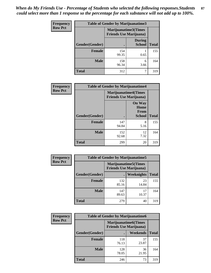*When do My Friends Use - Percentage of Students who selected the following responses.Students could select more than 1 response so the percentage for each substance will not add up to 100%.* **87**

| <b>Frequency</b> | Table of Gender by Marijuanatime3 |                                                        |                                |              |
|------------------|-----------------------------------|--------------------------------------------------------|--------------------------------|--------------|
| <b>Row Pct</b>   |                                   | Marijuanatime3(Times<br><b>Friends Use Marijuana</b> ) |                                |              |
|                  | Gender(Gender)                    |                                                        | <b>During</b><br><b>School</b> | <b>Total</b> |
|                  | <b>Female</b>                     | 154<br>99.35                                           | 0.65                           | 155          |
|                  | <b>Male</b>                       | 158<br>96.34                                           | 6<br>3.66                      | 164          |
|                  | <b>Total</b>                      | 312                                                    |                                | 319          |

| Frequency      | <b>Table of Gender by Marijuanatime4</b> |                                |                                                       |              |
|----------------|------------------------------------------|--------------------------------|-------------------------------------------------------|--------------|
| <b>Row Pct</b> |                                          | <b>Friends Use Marijuana</b> ) | <b>Marijuanatime4</b> (Times                          |              |
|                | <b>Gender</b> (Gender)                   |                                | <b>On Way</b><br>Home<br><b>From</b><br><b>School</b> | <b>Total</b> |
|                | <b>Female</b>                            | 147<br>94.84                   | 8<br>5.16                                             | 155          |
|                | <b>Male</b>                              | 152<br>92.68                   | 12<br>7.32                                            | 164          |
|                | <b>Total</b>                             | 299                            | 20                                                    | 319          |

| Frequency      | <b>Table of Gender by Marijuanatime5</b> |              |                                                                |              |
|----------------|------------------------------------------|--------------|----------------------------------------------------------------|--------------|
| <b>Row Pct</b> |                                          |              | <b>Marijuanatime5</b> (Times<br><b>Friends Use Marijuana</b> ) |              |
|                | Gender(Gender)                           |              | Weeknights                                                     | <b>Total</b> |
|                | <b>Female</b>                            | 132<br>85.16 | 23<br>14.84                                                    | 155          |
|                | <b>Male</b>                              | 147<br>89.63 | 17<br>10.37                                                    | 164          |
|                | <b>Total</b>                             | 279          | 40                                                             | 319          |

| Frequency      | <b>Table of Gender by Marijuanatime6</b> |                                                                |                 |              |
|----------------|------------------------------------------|----------------------------------------------------------------|-----------------|--------------|
| <b>Row Pct</b> |                                          | <b>Marijuanatime6</b> (Times<br><b>Friends Use Marijuana</b> ) |                 |              |
|                | Gender(Gender)                           |                                                                | <b>Weekends</b> | <b>Total</b> |
|                | <b>Female</b>                            | 118<br>76.13                                                   | 37<br>23.87     | 155          |
|                | <b>Male</b>                              | 128<br>78.05                                                   | 36<br>21.95     | 164          |
|                | <b>Total</b>                             | 246                                                            | 73              | 319          |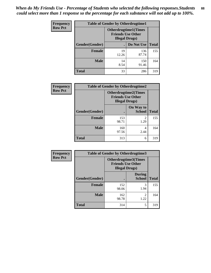| <b>Frequency</b> | <b>Table of Gender by Otherdrugtime1</b> |                                                                                    |              |              |
|------------------|------------------------------------------|------------------------------------------------------------------------------------|--------------|--------------|
| <b>Row Pct</b>   |                                          | <b>Otherdrugtime1</b> (Times<br><b>Friends Use Other</b><br><b>Illegal Drugs</b> ) |              |              |
|                  | Gender(Gender)                           |                                                                                    | Do Not Use   | <b>Total</b> |
|                  | <b>Female</b>                            | 19<br>12.26                                                                        | 136<br>87.74 | 155          |
|                  | Male                                     | 14<br>8.54                                                                         | 150<br>91.46 | 164          |
|                  | <b>Total</b>                             | 33                                                                                 | 286          | 319          |

| Frequency      | <b>Table of Gender by Otherdrugtime2</b> |                                                                                   |                            |              |
|----------------|------------------------------------------|-----------------------------------------------------------------------------------|----------------------------|--------------|
| <b>Row Pct</b> |                                          | <b>Otherdrugtime2(Times</b><br><b>Friends Use Other</b><br><b>Illegal Drugs</b> ) |                            |              |
|                | Gender(Gender)                           |                                                                                   | On Way to<br><b>School</b> | <b>Total</b> |
|                | <b>Female</b>                            | 153<br>98.71                                                                      | $\overline{2}$<br>1.29     | 155          |
|                | <b>Male</b>                              | 160<br>97.56                                                                      | 4<br>2.44                  | 164          |
|                | <b>Total</b>                             | 313                                                                               | 6                          | 319          |

| Frequency      | <b>Table of Gender by Otherdrugtime3</b> |                        |                                                  |              |
|----------------|------------------------------------------|------------------------|--------------------------------------------------|--------------|
| <b>Row Pct</b> |                                          | <b>Illegal Drugs</b> ) | Otherdrugtime3(Times<br><b>Friends Use Other</b> |              |
|                | Gender(Gender)                           |                        | <b>During</b><br><b>School</b>                   | <b>Total</b> |
|                | <b>Female</b>                            | 152<br>98.06           | 3<br>1.94                                        | 155          |
|                | <b>Male</b>                              | 162<br>98.78           | $\overline{c}$<br>1.22                           | 164          |
|                | <b>Total</b>                             | 314                    | 5                                                | 319          |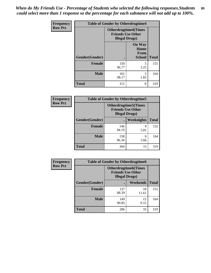*When do My Friends Use - Percentage of Students who selected the following responses.Students could select more than 1 response so the percentage for each substance will not add up to 100%.* **89**

| <b>Frequency</b> |                | <b>Table of Gender by Otherdrugtime4</b> |                                                         |              |
|------------------|----------------|------------------------------------------|---------------------------------------------------------|--------------|
| <b>Row Pct</b>   |                | <b>Illegal Drugs</b> )                   | <b>Otherdrugtime4(Times</b><br><b>Friends Use Other</b> |              |
|                  | Gender(Gender) |                                          | <b>On Way</b><br>Home<br><b>From</b><br><b>School</b>   | <b>Total</b> |
|                  | <b>Female</b>  | 150<br>96.77                             | 5<br>3.23                                               | 155          |
|                  | <b>Male</b>    | 161<br>98.17                             | 3<br>1.83                                               | 164          |
|                  | <b>Total</b>   | 311                                      | 8                                                       | 319          |

| <b>Frequency</b> | <b>Table of Gender by Otherdrugtime5</b> |              |                                                                                   |              |
|------------------|------------------------------------------|--------------|-----------------------------------------------------------------------------------|--------------|
| <b>Row Pct</b>   |                                          |              | <b>Otherdrugtime5</b> (Times<br><b>Friends Use Other</b><br><b>Illegal Drugs)</b> |              |
|                  | Gender(Gender)                           |              | Weeknights                                                                        | <b>Total</b> |
|                  | <b>Female</b>                            | 146<br>94.19 | 9<br>5.81                                                                         | 155          |
|                  | <b>Male</b>                              | 158<br>96.34 | 6<br>3.66                                                                         | 164          |
|                  | <b>Total</b>                             | 304          | 15                                                                                | 319          |

| <b>Frequency</b> | <b>Table of Gender by Otherdrugtime6</b> |                                                                                   |             |              |
|------------------|------------------------------------------|-----------------------------------------------------------------------------------|-------------|--------------|
| <b>Row Pct</b>   |                                          | <b>Otherdrugtime6(Times</b><br><b>Friends Use Other</b><br><b>Illegal Drugs</b> ) |             |              |
|                  | Gender(Gender)                           |                                                                                   | Weekends    | <b>Total</b> |
|                  | Female                                   | 137<br>88.39                                                                      | 18<br>11.61 | 155          |
|                  | <b>Male</b>                              | 149<br>90.85                                                                      | 15<br>9.15  | 164          |
|                  | <b>Total</b>                             | 286                                                                               | 33          | 319          |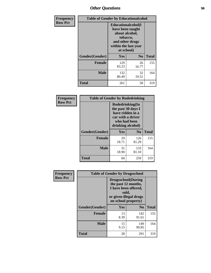## *Other Questions* **90**

| <b>Frequency</b> | <b>Table of Gender by Educationalcohol</b> |                                                                                                                                       |                |              |
|------------------|--------------------------------------------|---------------------------------------------------------------------------------------------------------------------------------------|----------------|--------------|
| <b>Row Pct</b>   |                                            | <b>Educationalcohol</b> (I<br>have been taught<br>about alcohol,<br>tobacco,<br>and other drugs<br>within the last year<br>at school) |                |              |
|                  | Gender(Gender)                             | <b>Yes</b>                                                                                                                            | N <sub>0</sub> | <b>Total</b> |
|                  | <b>Female</b>                              | 129<br>83.23                                                                                                                          | 26<br>16.77    | 155          |
|                  | <b>Male</b>                                | 132<br>80.49                                                                                                                          | 32<br>19.51    | 164          |
|                  | <b>Total</b>                               | 261                                                                                                                                   | 58             | 319          |

| Frequency<br><b>Row Pct</b> | <b>Table of Gender by Rodedrinking</b> |                                                                                                                     |              |              |
|-----------------------------|----------------------------------------|---------------------------------------------------------------------------------------------------------------------|--------------|--------------|
|                             |                                        | Rodedrinking(In<br>the past 30 days I<br>have ridden in a<br>car with a driver<br>who had been<br>drinking alcohol) |              |              |
|                             | Gender(Gender)                         | Yes                                                                                                                 | $\bf N_0$    | <b>Total</b> |
|                             | <b>Female</b>                          | 29<br>18.71                                                                                                         | 126<br>81.29 | 155          |
|                             | <b>Male</b>                            | 31<br>18.90                                                                                                         | 133<br>81.10 | 164          |
|                             | <b>Total</b>                           | 60                                                                                                                  | 259          | 319          |

| Frequency      | <b>Table of Gender by Drugsschool</b> |                                                                                                                                     |                |              |  |
|----------------|---------------------------------------|-------------------------------------------------------------------------------------------------------------------------------------|----------------|--------------|--|
| <b>Row Pct</b> |                                       | <b>Drugsschool</b> (During<br>the past 12 months,<br>I have been offered,<br>sold,<br>or given illegal drugs<br>on school property) |                |              |  |
|                | Gender(Gender)                        | Yes                                                                                                                                 | N <sub>0</sub> | <b>Total</b> |  |
|                | <b>Female</b>                         | 13<br>8.39                                                                                                                          | 142<br>91.61   | 155          |  |
|                | <b>Male</b>                           | 15<br>9.15                                                                                                                          | 149<br>90.85   | 164          |  |
|                | <b>Total</b>                          | 28                                                                                                                                  | 291            | 319          |  |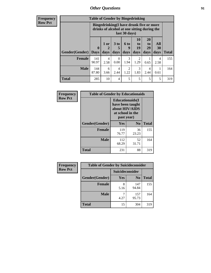## *Other Questions* **91**

**Frequency Row Pct**

| <b>Table of Gender by Bingedrinking</b> |                                                                                                         |              |                   |                        |                        |                               |                          |              |
|-----------------------------------------|---------------------------------------------------------------------------------------------------------|--------------|-------------------|------------------------|------------------------|-------------------------------|--------------------------|--------------|
|                                         | Bingedrinking(I have drunk five or more<br>drinks of alcohol at one sitting during the<br>last 30 days) |              |                   |                        |                        |                               |                          |              |
| <b>Gender</b> (Gender)                  | $\mathbf 0$<br><b>Days</b>                                                                              | 1 or<br>days | 3 to<br>5<br>days | 6 to<br>q<br>days      | 10<br>to<br>19<br>days | <b>20</b><br>to<br>29<br>days | All<br><b>30</b><br>days | <b>Total</b> |
| <b>Female</b>                           | 141<br>90.97                                                                                            | 4<br>2.58    | $\Omega$<br>0.00  | 3<br>1.94              | 2<br>1.29              | 0.65                          | 4<br>2.58                | 155          |
| <b>Male</b>                             | 144                                                                                                     | 6            | 4                 | $\overline{c}$<br>1.22 | 3<br>1.83              | 4<br>2.44                     | 0.61                     | 164          |
|                                         | 87.80                                                                                                   | 3.66         | 2.44              |                        |                        |                               |                          |              |

| Frequency      | <b>Table of Gender by Educationaids</b> |                                                                                                 |                |              |  |
|----------------|-----------------------------------------|-------------------------------------------------------------------------------------------------|----------------|--------------|--|
| <b>Row Pct</b> |                                         | <b>Educationaids</b> (I<br>have been taught<br>about HIV/AIDS<br>at school in the<br>past year) |                |              |  |
|                | Gender(Gender)                          | Yes                                                                                             | N <sub>0</sub> | <b>Total</b> |  |
|                | <b>Female</b>                           | 119<br>76.77                                                                                    | 36<br>23.23    | 155          |  |
|                | <b>Male</b>                             | 112<br>68.29                                                                                    | 52<br>31.71    | 164          |  |
|                | <b>Total</b>                            | 231                                                                                             | 88             | 319          |  |

| <b>Frequency</b> | <b>Table of Gender by Suicideconsider</b> |                 |                |              |  |
|------------------|-------------------------------------------|-----------------|----------------|--------------|--|
| <b>Row Pct</b>   |                                           | Suicideconsider |                |              |  |
|                  | Gender(Gender)                            | Yes             | N <sub>0</sub> | <b>Total</b> |  |
|                  | <b>Female</b>                             | 8<br>5.16       | 147<br>94.84   | 155          |  |
|                  | <b>Male</b>                               | 4.27            | 157<br>95.73   | 164          |  |
|                  | Total                                     | 15              | 304            | 319          |  |